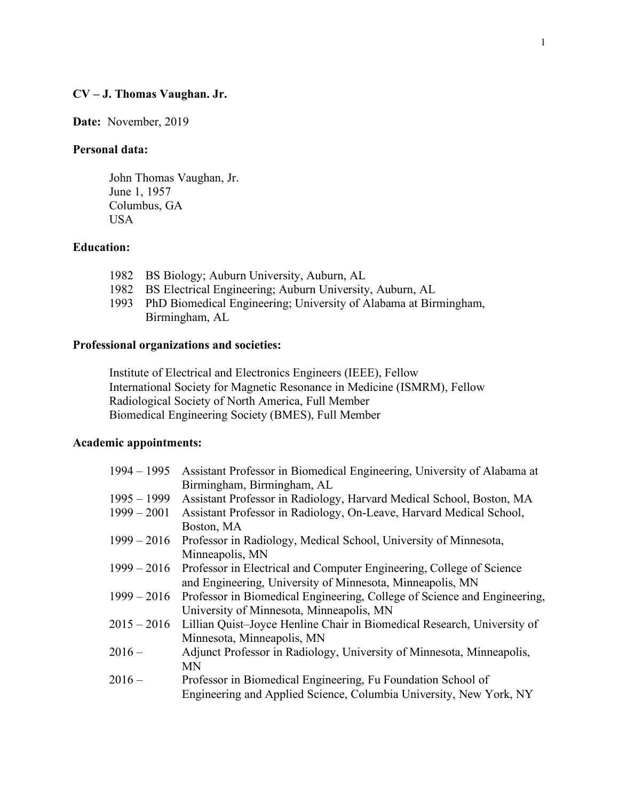## **CV – J. Thomas Vaughan. Jr.**

**Date:** November, 2019

# **Personal data:**

John Thomas Vaughan, Jr. June 1, 1957 Columbus, GA USA

# **Education:**

- 1982 BS Biology; Auburn University, Auburn, AL
- 1982 BS Electrical Engineering; Auburn University, Auburn, AL
- 1993 PhD Biomedical Engineering; University of Alabama at Birmingham, Birmingham, AL

## **Professional organizations and societies:**

Institute of Electrical and Electronics Engineers (IEEE), Fellow International Society for Magnetic Resonance in Medicine (ISMRM), Fellow Radiological Society of North America, Full Member Biomedical Engineering Society (BMES), Full Member

### **Academic appointments:**

| $1994 - 1995$ | Assistant Professor in Biomedical Engineering, University of Alabama at  |
|---------------|--------------------------------------------------------------------------|
|               | Birmingham, Birmingham, AL                                               |
| $1995 - 1999$ | Assistant Professor in Radiology, Harvard Medical School, Boston, MA     |
| $1999 - 2001$ | Assistant Professor in Radiology, On-Leave, Harvard Medical School,      |
|               | Boston, MA                                                               |
| $1999 - 2016$ | Professor in Radiology, Medical School, University of Minnesota,         |
|               | Minneapolis, MN                                                          |
| $1999 - 2016$ | Professor in Electrical and Computer Engineering, College of Science     |
|               | and Engineering, University of Minnesota, Minneapolis, MN                |
| $1999 - 2016$ | Professor in Biomedical Engineering, College of Science and Engineering, |
|               | University of Minnesota, Minneapolis, MN                                 |
| $2015 - 2016$ | Lillian Quist-Joyce Henline Chair in Biomedical Research, University of  |
|               | Minnesota, Minneapolis, MN                                               |
| $2016-$       | Adjunct Professor in Radiology, University of Minnesota, Minneapolis,    |
|               | <b>MN</b>                                                                |
| $2016 -$      | Professor in Biomedical Engineering, Fu Foundation School of             |
|               | Engineering and Applied Science, Columbia University, New York, NY       |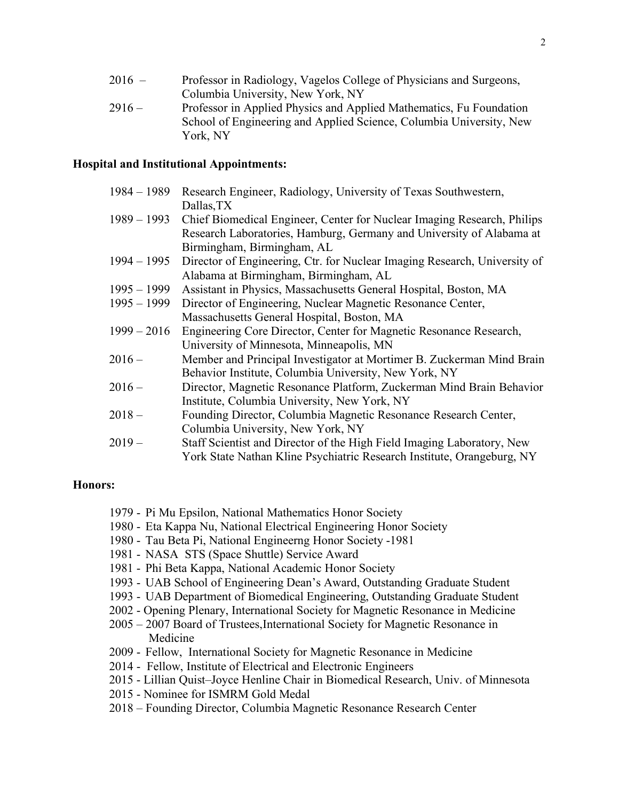| $2016 -$ | Professor in Radiology, Vagelos College of Physicians and Surgeons, |
|----------|---------------------------------------------------------------------|
|          | Columbia University, New York, NY                                   |
| $2916-$  | Professor in Applied Physics and Applied Mathematics Fu Foundation  |

2916 – Professor in Applied Physics and Applied Mathematics, Fu Foundation School of Engineering and Applied Science, Columbia University, New York, NY

## **Hospital and Institutional Appointments:**

| $1984 - 1989$ | Research Engineer, Radiology, University of Texas Southwestern,           |
|---------------|---------------------------------------------------------------------------|
|               | Dallas, TX                                                                |
| $1989 - 1993$ | Chief Biomedical Engineer, Center for Nuclear Imaging Research, Philips   |
|               | Research Laboratories, Hamburg, Germany and University of Alabama at      |
|               | Birmingham, Birmingham, AL                                                |
| $1994 - 1995$ | Director of Engineering, Ctr. for Nuclear Imaging Research, University of |
|               | Alabama at Birmingham, Birmingham, AL                                     |
| $1995 - 1999$ | Assistant in Physics, Massachusetts General Hospital, Boston, MA          |
| $1995 - 1999$ | Director of Engineering, Nuclear Magnetic Resonance Center,               |
|               | Massachusetts General Hospital, Boston, MA                                |
| $1999 - 2016$ | Engineering Core Director, Center for Magnetic Resonance Research,        |
|               | University of Minnesota, Minneapolis, MN                                  |
| $2016 -$      | Member and Principal Investigator at Mortimer B. Zuckerman Mind Brain     |
|               | Behavior Institute, Columbia University, New York, NY                     |
| $2016 -$      | Director, Magnetic Resonance Platform, Zuckerman Mind Brain Behavior      |
|               | Institute, Columbia University, New York, NY                              |
| $2018 -$      | Founding Director, Columbia Magnetic Resonance Research Center,           |
|               | Columbia University, New York, NY                                         |
| 2019 –        | Staff Scientist and Director of the High Field Imaging Laboratory, New    |
|               | York State Nathan Kline Psychiatric Research Institute, Orangeburg, NY    |

# **Honors:**

- 1979 Pi Mu Epsilon, National Mathematics Honor Society
- 1980 Eta Kappa Nu, National Electrical Engineering Honor Society
- 1980 Tau Beta Pi, National Engineerng Honor Society -1981
- 1981 NASA STS (Space Shuttle) Service Award
- 1981 Phi Beta Kappa, National Academic Honor Society
- 1993 UAB School of Engineering Dean's Award, Outstanding Graduate Student
- 1993 UAB Department of Biomedical Engineering, Outstanding Graduate Student
- 2002 Opening Plenary, International Society for Magnetic Resonance in Medicine
- 2005 2007 Board of Trustees,International Society for Magnetic Resonance in Medicine
- 2009 Fellow, International Society for Magnetic Resonance in Medicine
- 2014 Fellow, Institute of Electrical and Electronic Engineers
- 2015 Lillian Quist–Joyce Henline Chair in Biomedical Research, Univ. of Minnesota
- 2015 Nominee for ISMRM Gold Medal
- 2018 Founding Director, Columbia Magnetic Resonance Research Center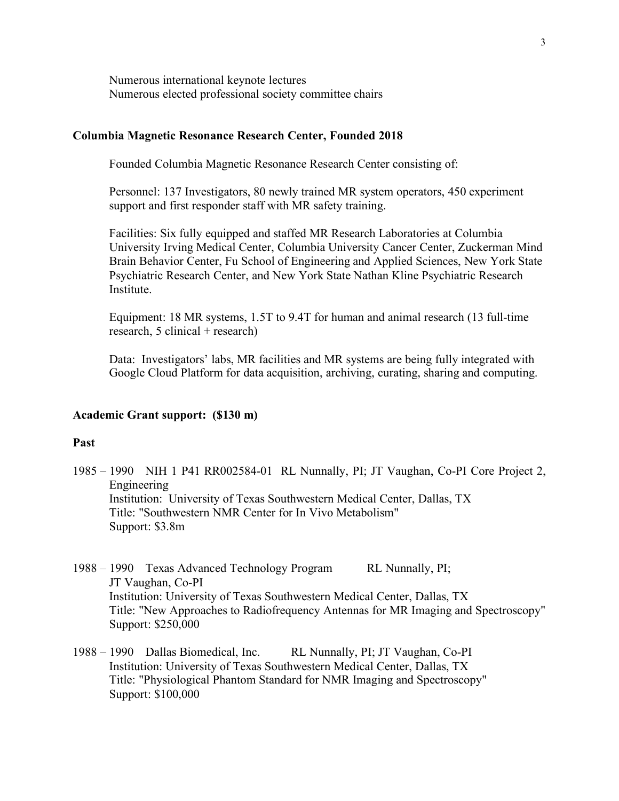Numerous international keynote lectures Numerous elected professional society committee chairs

## **Columbia Magnetic Resonance Research Center, Founded 2018**

Founded Columbia Magnetic Resonance Research Center consisting of:

Personnel: 137 Investigators, 80 newly trained MR system operators, 450 experiment support and first responder staff with MR safety training.

Facilities: Six fully equipped and staffed MR Research Laboratories at Columbia University Irving Medical Center, Columbia University Cancer Center, Zuckerman Mind Brain Behavior Center, Fu School of Engineering and Applied Sciences, New York State Psychiatric Research Center, and New York State Nathan Kline Psychiatric Research Institute.

Equipment: 18 MR systems, 1.5T to 9.4T for human and animal research (13 full-time research, 5 clinical + research)

Data: Investigators' labs, MR facilities and MR systems are being fully integrated with Google Cloud Platform for data acquisition, archiving, curating, sharing and computing.

### **Academic Grant support: (\$130 m)**

### **Past**

- 1985 1990 NIH 1 P41 RR002584-01 RL Nunnally, PI; JT Vaughan, Co-PI Core Project 2, Engineering Institution: University of Texas Southwestern Medical Center, Dallas, TX Title: "Southwestern NMR Center for In Vivo Metabolism" Support: \$3.8m
- 1988 1990 Texas Advanced Technology Program RL Nunnally, PI; JT Vaughan, Co-PI Institution: University of Texas Southwestern Medical Center, Dallas, TX Title: "New Approaches to Radiofrequency Antennas for MR Imaging and Spectroscopy" Support: \$250,000
- 1988 1990 Dallas Biomedical, Inc. RL Nunnally, PI; JT Vaughan, Co-PI Institution: University of Texas Southwestern Medical Center, Dallas, TX Title: "Physiological Phantom Standard for NMR Imaging and Spectroscopy" Support: \$100,000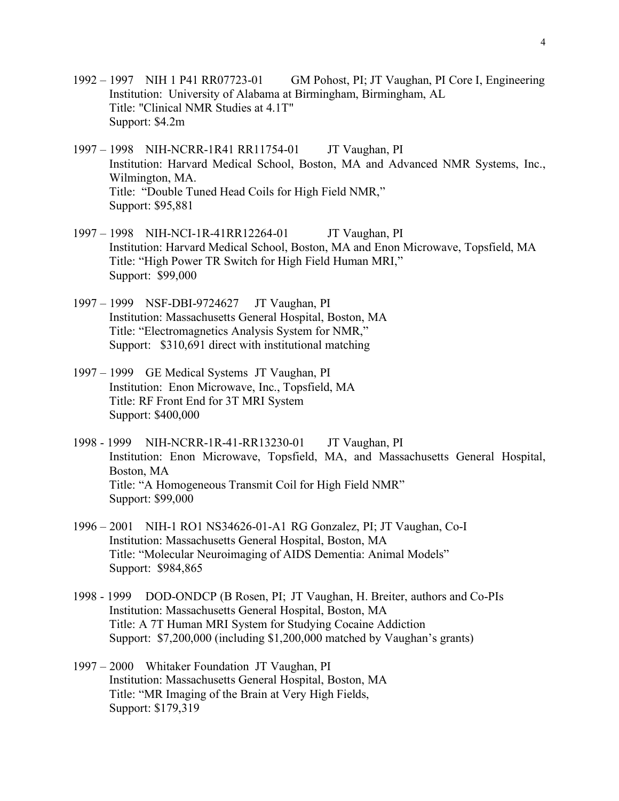- 1992 1997 NIH 1 P41 RR07723-01 GM Pohost, PI; JT Vaughan, PI Core I, Engineering Institution: University of Alabama at Birmingham, Birmingham, AL Title: "Clinical NMR Studies at 4.1T" Support: \$4.2m
- 1997 1998 NIH-NCRR-1R41 RR11754-01 JT Vaughan, PI Institution: Harvard Medical School, Boston, MA and Advanced NMR Systems, Inc., Wilmington, MA. Title: "Double Tuned Head Coils for High Field NMR," Support: \$95,881
- 1997 1998 NIH-NCI-1R-41RR12264-01 JT Vaughan, PI Institution: Harvard Medical School, Boston, MA and Enon Microwave, Topsfield, MA Title: "High Power TR Switch for High Field Human MRI," Support: \$99,000
- 1997 1999 NSF-DBI-9724627 JT Vaughan, PI Institution: Massachusetts General Hospital, Boston, MA Title: "Electromagnetics Analysis System for NMR," Support: \$310,691 direct with institutional matching
- 1997 1999 GE Medical Systems JT Vaughan, PI Institution: Enon Microwave, Inc., Topsfield, MA Title: RF Front End for 3T MRI System Support: \$400,000
- 1998 1999 NIH-NCRR-1R-41-RR13230-01 JT Vaughan, PI Institution: Enon Microwave, Topsfield, MA, and Massachusetts General Hospital, Boston, MA Title: "A Homogeneous Transmit Coil for High Field NMR" Support: \$99,000
- 1996 2001 NIH-1 RO1 NS34626-01-A1 RG Gonzalez, PI; JT Vaughan, Co-I Institution: Massachusetts General Hospital, Boston, MA Title: "Molecular Neuroimaging of AIDS Dementia: Animal Models" Support: \$984,865
- 1998 1999 DOD-ONDCP (B Rosen, PI; JT Vaughan, H. Breiter, authors and Co-PIs Institution: Massachusetts General Hospital, Boston, MA Title: A 7T Human MRI System for Studying Cocaine Addiction Support: \$7,200,000 (including \$1,200,000 matched by Vaughan's grants)
- 1997 2000 Whitaker Foundation JT Vaughan, PI Institution: Massachusetts General Hospital, Boston, MA Title: "MR Imaging of the Brain at Very High Fields, Support: \$179,319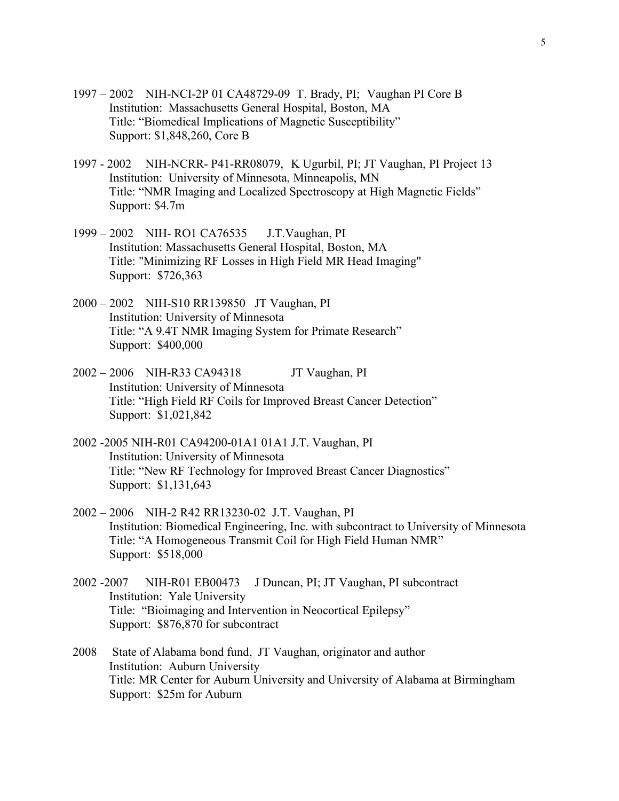- 1997 2002 NIH-NCI-2P 01 CA48729-09 T. Brady, PI; Vaughan PI Core B Institution: Massachusetts General Hospital, Boston, MA Title: "Biomedical Implications of Magnetic Susceptibility" Support: \$1,848,260, Core B
- 1997 2002 NIH-NCRR- P41-RR08079, K Ugurbil, PI; JT Vaughan, PI Project 13 Institution: University of Minnesota, Minneapolis, MN Title: "NMR Imaging and Localized Spectroscopy at High Magnetic Fields" Support: \$4.7m
- 1999 2002 NIH- RO1 CA76535 J.T.Vaughan, PI Institution: Massachusetts General Hospital, Boston, MA Title: "Minimizing RF Losses in High Field MR Head Imaging" Support: \$726,363
- 2000 2002 NIH-S10 RR139850 JT Vaughan, PI Institution: University of Minnesota Title: "A 9.4T NMR Imaging System for Primate Research" Support: \$400,000
- 2002 2006 NIH-R33 CA94318 JT Vaughan, PI Institution: University of Minnesota Title: "High Field RF Coils for Improved Breast Cancer Detection" Support: \$1,021,842
- 2002 -2005 NIH-R01 CA94200-01A1 01A1 J.T. Vaughan, PI Institution: University of Minnesota Title: "New RF Technology for Improved Breast Cancer Diagnostics" Support: \$1,131,643
- 2002 2006 NIH-2 R42 RR13230-02 J.T. Vaughan, PI Institution: Biomedical Engineering, Inc. with subcontract to University of Minnesota Title: "A Homogeneous Transmit Coil for High Field Human NMR" Support: \$518,000
- 2002 -2007 NIH-R01 EB00473 J Duncan, PI; JT Vaughan, PI subcontract Institution: Yale University Title: "Bioimaging and Intervention in Neocortical Epilepsy" Support: \$876,870 for subcontract
- 2008 State of Alabama bond fund, JT Vaughan, originator and author Institution: Auburn University Title: MR Center for Auburn University and University of Alabama at Birmingham Support: \$25m for Auburn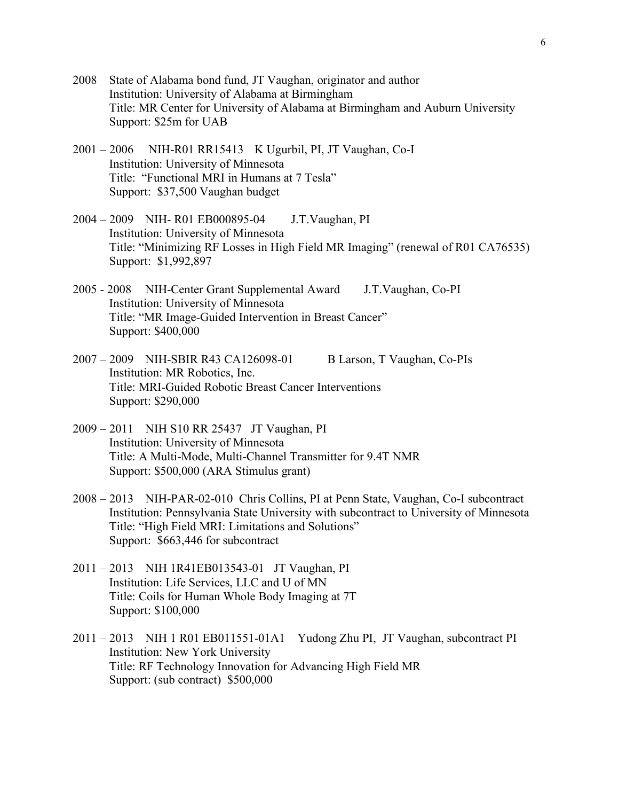- 2008 State of Alabama bond fund, JT Vaughan, originator and author Institution: University of Alabama at Birmingham Title: MR Center for University of Alabama at Birmingham and Auburn University Support: \$25m for UAB
- 2001 2006 NIH-R01 RR15413 K Ugurbil, PI, JT Vaughan, Co-I Institution: University of Minnesota Title: "Functional MRI in Humans at 7 Tesla" Support: \$37,500 Vaughan budget
- 2004 2009 NIH- R01 EB000895-04 J.T.Vaughan, PI Institution: University of Minnesota Title: "Minimizing RF Losses in High Field MR Imaging" (renewal of R01 CA76535) Support: \$1,992,897
- 2005 2008 NIH-Center Grant Supplemental Award J.T.Vaughan, Co-PI Institution: University of Minnesota Title: "MR Image-Guided Intervention in Breast Cancer" Support: \$400,000
- 2007 2009 NIH-SBIR R43 CA126098-01 B Larson, T Vaughan, Co-PIs Institution: MR Robotics, Inc. Title: MRI-Guided Robotic Breast Cancer Interventions Support: \$290,000
- 2009 2011 NIH S10 RR 25437 JT Vaughan, PI Institution: University of Minnesota Title: A Multi-Mode, Multi-Channel Transmitter for 9.4T NMR Support: \$500,000 (ARA Stimulus grant)
- 2008 2013 NIH-PAR-02-010 Chris Collins, PI at Penn State, Vaughan, Co-I subcontract Institution: Pennsylvania State University with subcontract to University of Minnesota Title: "High Field MRI: Limitations and Solutions" Support: \$663,446 for subcontract
- 2011 2013 NIH 1R41EB013543-01 JT Vaughan, PI Institution: Life Services, LLC and U of MN Title: Coils for Human Whole Body Imaging at 7T Support: \$100,000
- 2011 2013 NIH 1 R01 EB011551-01A1 Yudong Zhu PI, JT Vaughan, subcontract PI Institution: New York University Title: RF Technology Innovation for Advancing High Field MR Support: (sub contract) \$500,000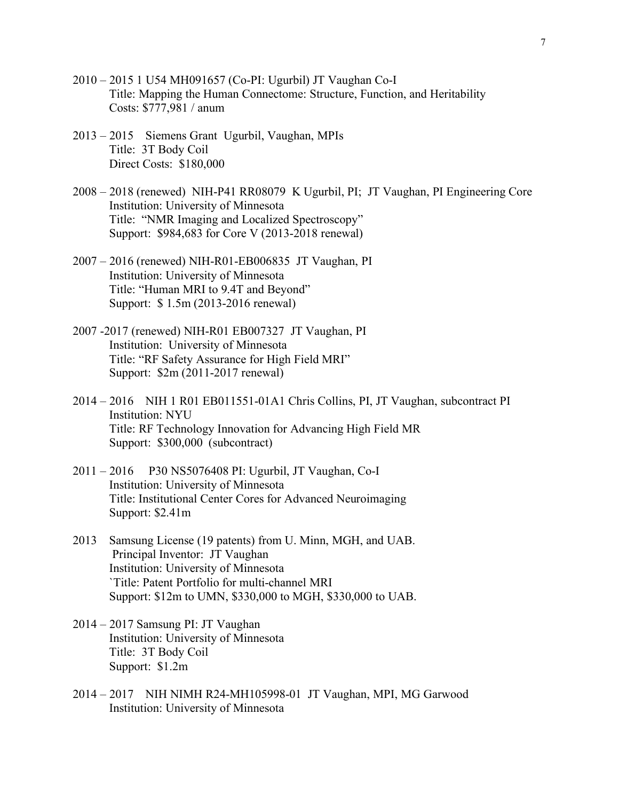- 2010 2015 1 U54 MH091657 (Co-PI: Ugurbil) JT Vaughan Co-I Title: Mapping the Human Connectome: Structure, Function, and Heritability Costs: \$777,981 / anum
- 2013 2015 Siemens Grant Ugurbil, Vaughan, MPIs Title: 3T Body Coil Direct Costs: \$180,000
- 2008 2018 (renewed) NIH-P41 RR08079 K Ugurbil, PI; JT Vaughan, PI Engineering Core Institution: University of Minnesota Title: "NMR Imaging and Localized Spectroscopy" Support: \$984,683 for Core V (2013-2018 renewal)
- 2007 2016 (renewed) NIH-R01-EB006835 JT Vaughan, PI Institution: University of Minnesota Title: "Human MRI to 9.4T and Beyond" Support: \$ 1.5m (2013-2016 renewal)
- 2007 -2017 (renewed) NIH-R01 EB007327 JT Vaughan, PI Institution: University of Minnesota Title: "RF Safety Assurance for High Field MRI" Support: \$2m (2011-2017 renewal)
- 2014 2016 NIH 1 R01 EB011551-01A1 Chris Collins, PI, JT Vaughan, subcontract PI Institution: NYU Title: RF Technology Innovation for Advancing High Field MR Support: \$300,000 (subcontract)
- 2011 2016 P30 NS5076408 PI: Ugurbil, JT Vaughan, Co-I Institution: University of Minnesota Title: Institutional Center Cores for Advanced Neuroimaging Support: \$2.41m
- 2013 Samsung License (19 patents) from U. Minn, MGH, and UAB. Principal Inventor: JT Vaughan Institution: University of Minnesota `Title: Patent Portfolio for multi-channel MRI Support: \$12m to UMN, \$330,000 to MGH, \$330,000 to UAB.
- 2014 2017 Samsung PI: JT Vaughan Institution: University of Minnesota Title: 3T Body Coil Support: \$1.2m
- 2014 2017 NIH NIMH R24-MH105998-01 JT Vaughan, MPI, MG Garwood Institution: University of Minnesota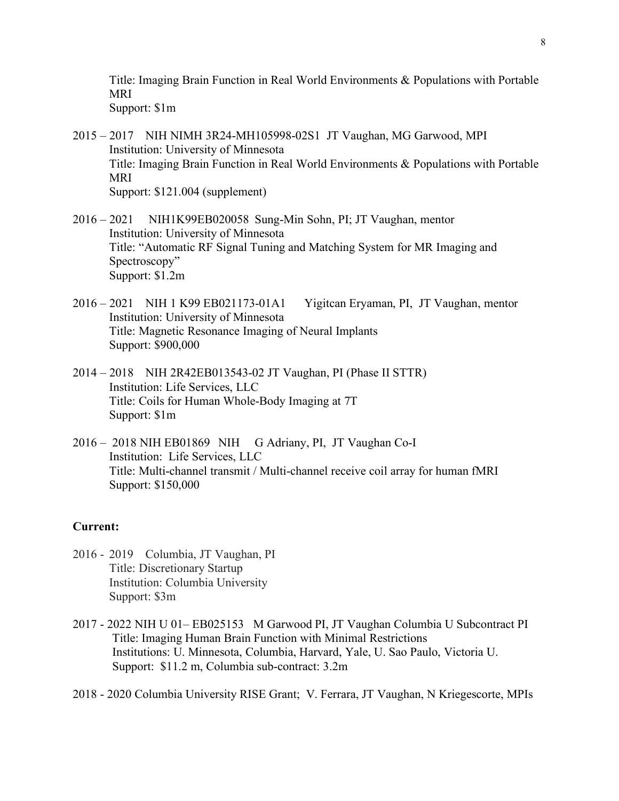Title: Imaging Brain Function in Real World Environments & Populations with Portable MRI Support: \$1m

2015 – 2017 NIH NIMH 3R24-MH105998-02S1 JT Vaughan, MG Garwood, MPI Institution: University of Minnesota Title: Imaging Brain Function in Real World Environments & Populations with Portable MRI Support: \$121.004 (supplement)

- 2016 2021 NIH1K99EB020058 Sung-Min Sohn, PI; JT Vaughan, mentor Institution: University of Minnesota Title: "Automatic RF Signal Tuning and Matching System for MR Imaging and Spectroscopy" Support: \$1.2m
- 2016 2021 NIH 1 K99 EB021173-01A1 Yigitcan Eryaman, PI, JT Vaughan, mentor Institution: University of Minnesota Title: Magnetic Resonance Imaging of Neural Implants Support: \$900,000
- 2014 2018 NIH 2R42EB013543-02 JT Vaughan, PI (Phase II STTR) Institution: Life Services, LLC Title: Coils for Human Whole-Body Imaging at 7T Support: \$1m
- 2016 2018 NIH EB01869 NIH G Adriany, PI, JT Vaughan Co-I Institution: Life Services, LLC Title: Multi-channel transmit / Multi-channel receive coil array for human fMRI Support: \$150,000

# **Current:**

- 2016 2019 Columbia, JT Vaughan, PI Title: Discretionary Startup Institution: Columbia University Support: \$3m
- 2017 2022 NIH U 01– EB025153 M Garwood PI, JT Vaughan Columbia U Subcontract PI Title: Imaging Human Brain Function with Minimal Restrictions Institutions: U. Minnesota, Columbia, Harvard, Yale, U. Sao Paulo, Victoria U. Support: \$11.2 m, Columbia sub-contract: 3.2m

2018 - 2020 Columbia University RISE Grant; V. Ferrara, JT Vaughan, N Kriegescorte, MPIs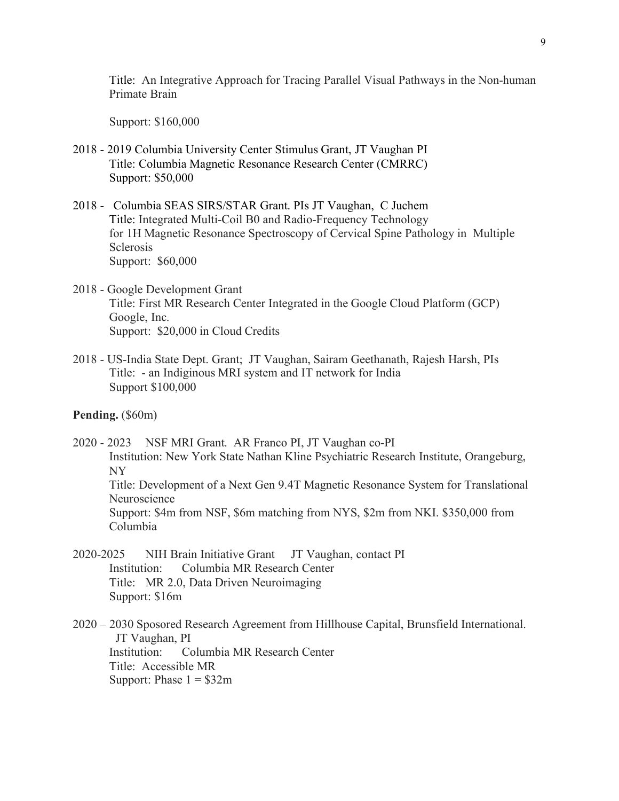Title: An Integrative Approach for Tracing Parallel Visual Pathways in the Non-human Primate Brain

Support: \$160,000

- 2018 2019 Columbia University Center Stimulus Grant, JT Vaughan PI Title: Columbia Magnetic Resonance Research Center (CMRRC) Support: \$50,000
- 2018 Columbia SEAS SIRS/STAR Grant. PIs JT Vaughan, C Juchem Title: Integrated Multi-Coil B0 and Radio-Frequency Technology for 1H Magnetic Resonance Spectroscopy of Cervical Spine Pathology in Multiple **Sclerosis** Support: \$60,000
- 2018 Google Development Grant Title: First MR Research Center Integrated in the Google Cloud Platform (GCP) Google, Inc. Support: \$20,000 in Cloud Credits
- 2018 US-India State Dept. Grant; JT Vaughan, Sairam Geethanath, Rajesh Harsh, PIs Title: - an Indiginous MRI system and IT network for India Support \$100,000
- **Pending.** (\$60m)
- 2020 2023 NSF MRI Grant. AR Franco PI, JT Vaughan co-PI Institution: New York State Nathan Kline Psychiatric Research Institute, Orangeburg, NY Title: Development of a Next Gen 9.4T Magnetic Resonance System for Translational Neuroscience Support: \$4m from NSF, \$6m matching from NYS, \$2m from NKI. \$350,000 from Columbia
- 2020-2025 NIH Brain Initiative Grant JT Vaughan, contact PI Institution: Columbia MR Research Center Title: MR 2.0, Data Driven Neuroimaging Support: \$16m
- 2020 2030 Sposored Research Agreement from Hillhouse Capital, Brunsfield International. JT Vaughan, PI Institution: Columbia MR Research Center Title: Accessible MR Support: Phase  $1 = $32m$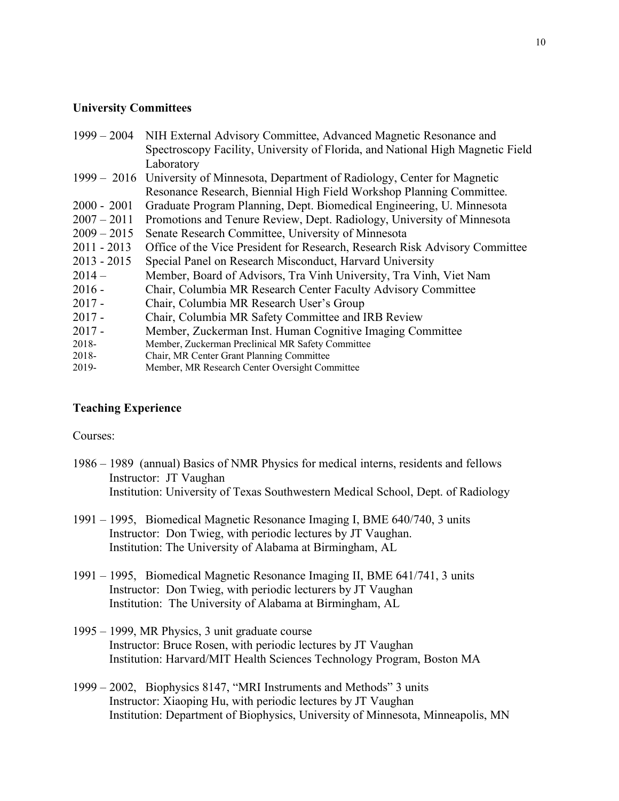## **University Committees**

|               | 1999 – 2004 NIH External Advisory Committee, Advanced Magnetic Resonance and      |
|---------------|-----------------------------------------------------------------------------------|
|               | Spectroscopy Facility, University of Florida, and National High Magnetic Field    |
|               | Laboratory                                                                        |
|               | 1999 – 2016 University of Minnesota, Department of Radiology, Center for Magnetic |
|               | Resonance Research, Biennial High Field Workshop Planning Committee.              |
| $2000 - 2001$ | Graduate Program Planning, Dept. Biomedical Engineering, U. Minnesota             |
| $2007 - 2011$ | Promotions and Tenure Review, Dept. Radiology, University of Minnesota            |
| $2009 - 2015$ | Senate Research Committee, University of Minnesota                                |
| $2011 - 2013$ | Office of the Vice President for Research, Research Risk Advisory Committee       |
| $2013 - 2015$ | Special Panel on Research Misconduct, Harvard University                          |
| $2014-$       | Member, Board of Advisors, Tra Vinh University, Tra Vinh, Viet Nam                |
| $2016 -$      | Chair, Columbia MR Research Center Faculty Advisory Committee                     |
| $2017 -$      | Chair, Columbia MR Research User's Group                                          |
| $2017 -$      | Chair, Columbia MR Safety Committee and IRB Review                                |
| $2017 -$      | Member, Zuckerman Inst. Human Cognitive Imaging Committee                         |
| 2018-         | Member, Zuckerman Preclinical MR Safety Committee                                 |
| 2018-         | Chair, MR Center Grant Planning Committee                                         |
| 2019-         | Member, MR Research Center Oversight Committee                                    |

# **Teaching Experience**

Courses:

- 1986 1989 (annual) Basics of NMR Physics for medical interns, residents and fellows Instructor: JT Vaughan Institution: University of Texas Southwestern Medical School, Dept. of Radiology
- 1991 1995, Biomedical Magnetic Resonance Imaging I, BME 640/740, 3 units Instructor: Don Twieg, with periodic lectures by JT Vaughan. Institution: The University of Alabama at Birmingham, AL
- 1991 1995, Biomedical Magnetic Resonance Imaging II, BME 641/741, 3 units Instructor: Don Twieg, with periodic lecturers by JT Vaughan Institution: The University of Alabama at Birmingham, AL
- 1995 1999, MR Physics, 3 unit graduate course Instructor: Bruce Rosen, with periodic lectures by JT Vaughan Institution: Harvard/MIT Health Sciences Technology Program, Boston MA
- 1999 2002, Biophysics 8147, "MRI Instruments and Methods" 3 units Instructor: Xiaoping Hu, with periodic lectures by JT Vaughan Institution: Department of Biophysics, University of Minnesota, Minneapolis, MN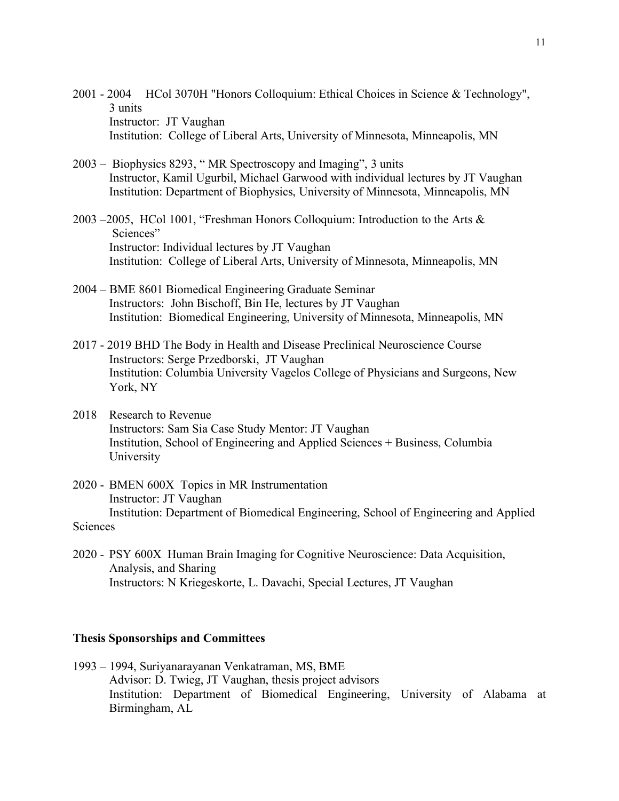2001 - 2004 HCol 3070H "Honors Colloquium: Ethical Choices in Science & Technology", 3 units Instructor: JT Vaughan Institution: College of Liberal Arts, University of Minnesota, Minneapolis, MN

- 2003 Biophysics 8293, " MR Spectroscopy and Imaging", 3 units Instructor, Kamil Ugurbil, Michael Garwood with individual lectures by JT Vaughan Institution: Department of Biophysics, University of Minnesota, Minneapolis, MN
- 2003 –2005, HCol 1001, "Freshman Honors Colloquium: Introduction to the Arts & Sciences" Instructor: Individual lectures by JT Vaughan Institution: College of Liberal Arts, University of Minnesota, Minneapolis, MN
- 2004 BME 8601 Biomedical Engineering Graduate Seminar Instructors: John Bischoff, Bin He, lectures by JT Vaughan Institution: Biomedical Engineering, University of Minnesota, Minneapolis, MN
- 2017 2019 BHD The Body in Health and Disease Preclinical Neuroscience Course Instructors: Serge Przedborski, JT Vaughan Institution: Columbia University Vagelos College of Physicians and Surgeons, New York, NY
- 2018 Research to Revenue Instructors: Sam Sia Case Study Mentor: JT Vaughan Institution, School of Engineering and Applied Sciences + Business, Columbia University
- 2020 BMEN 600X Topics in MR Instrumentation Instructor: JT Vaughan Institution: Department of Biomedical Engineering, School of Engineering and Applied Sciences
- 2020 PSY 600X Human Brain Imaging for Cognitive Neuroscience: Data Acquisition, Analysis, and Sharing Instructors: N Kriegeskorte, L. Davachi, Special Lectures, JT Vaughan

#### **Thesis Sponsorships and Committees**

1993 – 1994, Suriyanarayanan Venkatraman, MS, BME Advisor: D. Twieg, JT Vaughan, thesis project advisors Institution: Department of Biomedical Engineering, University of Alabama at Birmingham, AL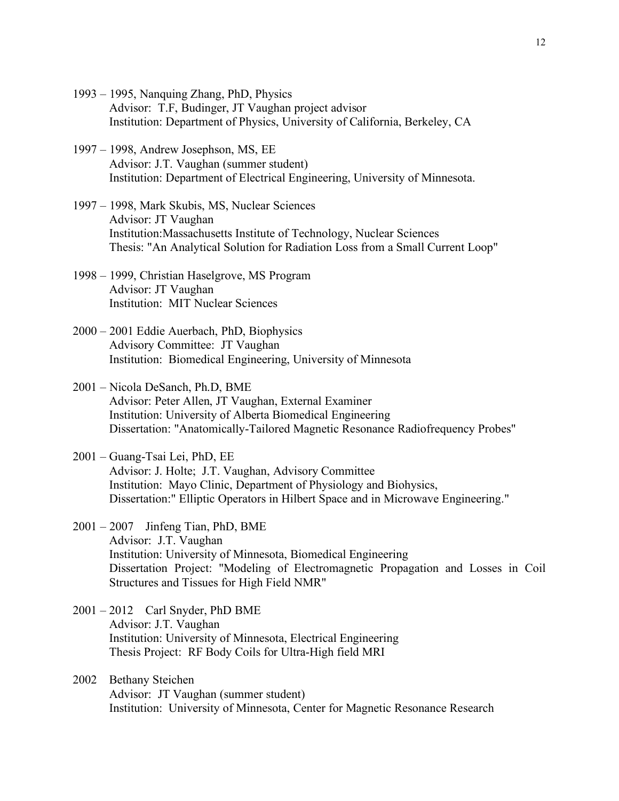- 1993 1995, Nanquing Zhang, PhD, Physics Advisor: T.F, Budinger, JT Vaughan project advisor Institution: Department of Physics, University of California, Berkeley, CA
- 1997 1998, Andrew Josephson, MS, EE Advisor: J.T. Vaughan (summer student) Institution: Department of Electrical Engineering, University of Minnesota.
- 1997 1998, Mark Skubis, MS, Nuclear Sciences Advisor: JT Vaughan Institution:Massachusetts Institute of Technology, Nuclear Sciences Thesis: "An Analytical Solution for Radiation Loss from a Small Current Loop"
- 1998 1999, Christian Haselgrove, MS Program Advisor: JT Vaughan Institution: MIT Nuclear Sciences
- 2000 2001 Eddie Auerbach, PhD, Biophysics Advisory Committee: JT Vaughan Institution: Biomedical Engineering, University of Minnesota
- 2001 Nicola DeSanch, Ph.D, BME Advisor: Peter Allen, JT Vaughan, External Examiner Institution: University of Alberta Biomedical Engineering Dissertation: "Anatomically-Tailored Magnetic Resonance Radiofrequency Probes"
- 2001 Guang-Tsai Lei, PhD, EE Advisor: J. Holte; J.T. Vaughan, Advisory Committee Institution: Mayo Clinic, Department of Physiology and Biohysics, Dissertation:" Elliptic Operators in Hilbert Space and in Microwave Engineering."
- 2001 2007 Jinfeng Tian, PhD, BME Advisor: J.T. Vaughan Institution: University of Minnesota, Biomedical Engineering Dissertation Project: "Modeling of Electromagnetic Propagation and Losses in Coil Structures and Tissues for High Field NMR"
- 2001 2012 Carl Snyder, PhD BME Advisor: J.T. Vaughan Institution: University of Minnesota, Electrical Engineering Thesis Project: RF Body Coils for Ultra-High field MRI
- 2002 Bethany Steichen Advisor: JT Vaughan (summer student) Institution: University of Minnesota, Center for Magnetic Resonance Research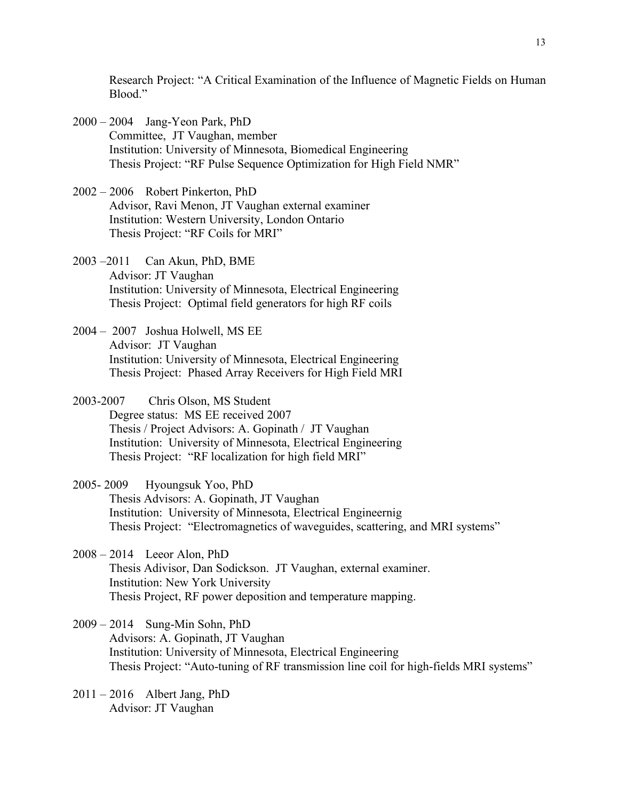Research Project: "A Critical Examination of the Influence of Magnetic Fields on Human Blood<sup>"</sup>

- 2000 2004 Jang-Yeon Park, PhD Committee, JT Vaughan, member Institution: University of Minnesota, Biomedical Engineering Thesis Project: "RF Pulse Sequence Optimization for High Field NMR"
- 2002 2006 Robert Pinkerton, PhD Advisor, Ravi Menon, JT Vaughan external examiner Institution: Western University, London Ontario Thesis Project: "RF Coils for MRI"
- 2003 –2011 Can Akun, PhD, BME Advisor: JT Vaughan Institution: University of Minnesota, Electrical Engineering Thesis Project: Optimal field generators for high RF coils
- 2004 2007 Joshua Holwell, MS EE Advisor: JT Vaughan Institution: University of Minnesota, Electrical Engineering Thesis Project: Phased Array Receivers for High Field MRI
- 2003-2007 Chris Olson, MS Student Degree status: MS EE received 2007 Thesis / Project Advisors: A. Gopinath / JT Vaughan Institution: University of Minnesota, Electrical Engineering Thesis Project: "RF localization for high field MRI"

## 2005- 2009 Hyoungsuk Yoo, PhD

- Thesis Advisors: A. Gopinath, JT Vaughan Institution: University of Minnesota, Electrical Engineernig Thesis Project: "Electromagnetics of waveguides, scattering, and MRI systems"
- 2008 2014 Leeor Alon, PhD Thesis Adivisor, Dan Sodickson. JT Vaughan, external examiner. Institution: New York University Thesis Project, RF power deposition and temperature mapping.
- 2009 2014 Sung-Min Sohn, PhD Advisors: A. Gopinath, JT Vaughan Institution: University of Minnesota, Electrical Engineering Thesis Project: "Auto-tuning of RF transmission line coil for high-fields MRI systems"
- 2011 2016 Albert Jang, PhD Advisor: JT Vaughan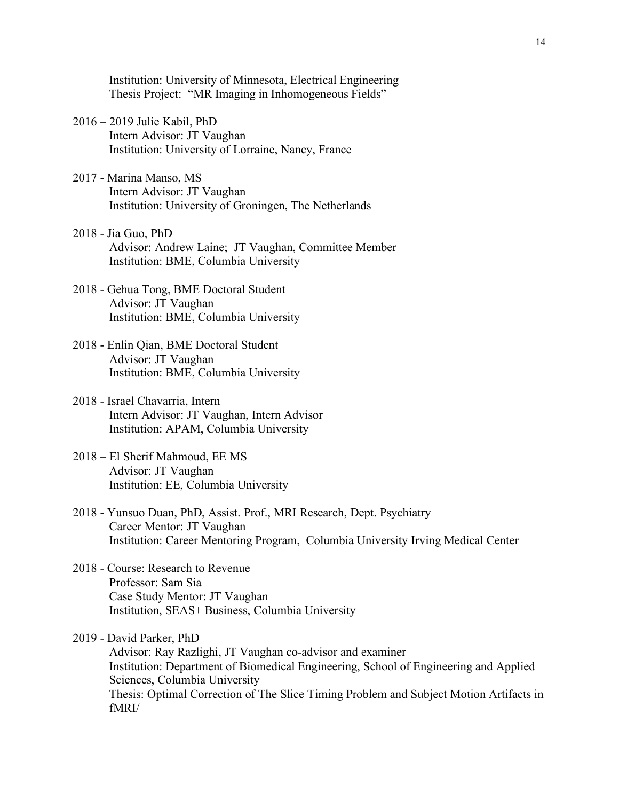Institution: University of Minnesota, Electrical Engineering Thesis Project: "MR Imaging in Inhomogeneous Fields"

- 2016 2019 Julie Kabil, PhD Intern Advisor: JT Vaughan Institution: University of Lorraine, Nancy, France
- 2017 Marina Manso, MS Intern Advisor: JT Vaughan Institution: University of Groningen, The Netherlands
- 2018 Jia Guo, PhD Advisor: Andrew Laine; JT Vaughan, Committee Member Institution: BME, Columbia University
- 2018 Gehua Tong, BME Doctoral Student Advisor: JT Vaughan Institution: BME, Columbia University
- 2018 Enlin Qian, BME Doctoral Student Advisor: JT Vaughan Institution: BME, Columbia University
- 2018 Israel Chavarria, Intern Intern Advisor: JT Vaughan, Intern Advisor Institution: APAM, Columbia University
- 2018 El Sherif Mahmoud, EE MS Advisor: JT Vaughan Institution: EE, Columbia University
- 2018 Yunsuo Duan, PhD, Assist. Prof., MRI Research, Dept. Psychiatry Career Mentor: JT Vaughan Institution: Career Mentoring Program, Columbia University Irving Medical Center
- 2018 Course: Research to Revenue Professor: Sam Sia Case Study Mentor: JT Vaughan Institution, SEAS+ Business, Columbia University

2019 - David Parker, PhD Advisor: Ray Razlighi, JT Vaughan co-advisor and examiner Institution: Department of Biomedical Engineering, School of Engineering and Applied Sciences, Columbia University Thesis: Optimal Correction of The Slice Timing Problem and Subject Motion Artifacts in fMRI/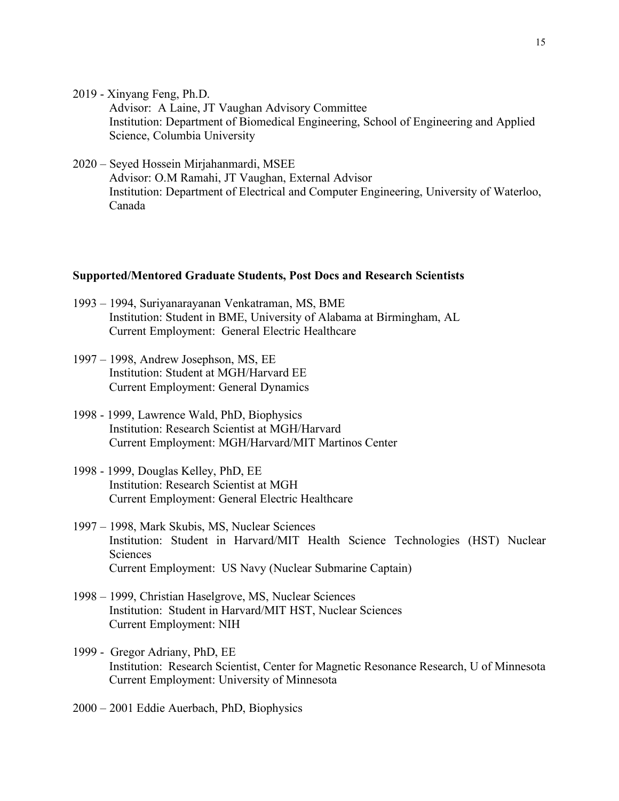2019 - Xinyang Feng, Ph.D.

Advisor: A Laine, JT Vaughan Advisory Committee Institution: Department of Biomedical Engineering, School of Engineering and Applied Science, Columbia University

2020 – Seyed Hossein Mirjahanmardi, MSEE Advisor: O.M Ramahi, JT Vaughan, External Advisor Institution: Department of Electrical and Computer Engineering, University of Waterloo, Canada

#### **Supported/Mentored Graduate Students, Post Docs and Research Scientists**

- 1993 1994, Suriyanarayanan Venkatraman, MS, BME Institution: Student in BME, University of Alabama at Birmingham, AL Current Employment: General Electric Healthcare
- 1997 1998, Andrew Josephson, MS, EE Institution: Student at MGH/Harvard EE Current Employment: General Dynamics
- 1998 1999, Lawrence Wald, PhD, Biophysics Institution: Research Scientist at MGH/Harvard Current Employment: MGH/Harvard/MIT Martinos Center
- 1998 1999, Douglas Kelley, PhD, EE Institution: Research Scientist at MGH Current Employment: General Electric Healthcare
- 1997 1998, Mark Skubis, MS, Nuclear Sciences Institution: Student in Harvard/MIT Health Science Technologies (HST) Nuclear Sciences Current Employment: US Navy (Nuclear Submarine Captain)
- 1998 1999, Christian Haselgrove, MS, Nuclear Sciences Institution: Student in Harvard/MIT HST, Nuclear Sciences Current Employment: NIH
- 1999 Gregor Adriany, PhD, EE Institution: Research Scientist, Center for Magnetic Resonance Research, U of Minnesota Current Employment: University of Minnesota
- 2000 2001 Eddie Auerbach, PhD, Biophysics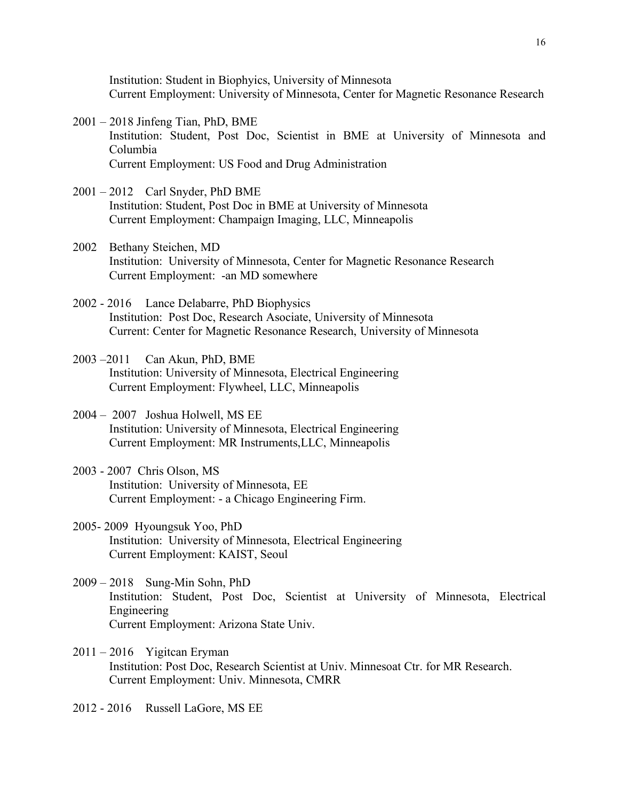Institution: Student in Biophyics, University of Minnesota Current Employment: University of Minnesota, Center for Magnetic Resonance Research

- 2001 2018 Jinfeng Tian, PhD, BME Institution: Student, Post Doc, Scientist in BME at University of Minnesota and Columbia Current Employment: US Food and Drug Administration
- 2001 2012 Carl Snyder, PhD BME Institution: Student, Post Doc in BME at University of Minnesota Current Employment: Champaign Imaging, LLC, Minneapolis
- 2002 Bethany Steichen, MD Institution: University of Minnesota, Center for Magnetic Resonance Research Current Employment: -an MD somewhere
- 2002 2016 Lance Delabarre, PhD Biophysics Institution: Post Doc, Research Asociate, University of Minnesota Current: Center for Magnetic Resonance Research, University of Minnesota
- 2003 –2011 Can Akun, PhD, BME Institution: University of Minnesota, Electrical Engineering Current Employment: Flywheel, LLC, Minneapolis
- 2004 2007 Joshua Holwell, MS EE Institution: University of Minnesota, Electrical Engineering Current Employment: MR Instruments,LLC, Minneapolis
- 2003 2007 Chris Olson, MS Institution: University of Minnesota, EE Current Employment: - a Chicago Engineering Firm.
- 2005- 2009 Hyoungsuk Yoo, PhD Institution: University of Minnesota, Electrical Engineering Current Employment: KAIST, Seoul
- 2009 2018 Sung-Min Sohn, PhD Institution: Student, Post Doc, Scientist at University of Minnesota, Electrical Engineering Current Employment: Arizona State Univ.
- $2011 2016$  Yigitcan Eryman Institution: Post Doc, Research Scientist at Univ. Minnesoat Ctr. for MR Research. Current Employment: Univ. Minnesota, CMRR
- 2012 2016 Russell LaGore, MS EE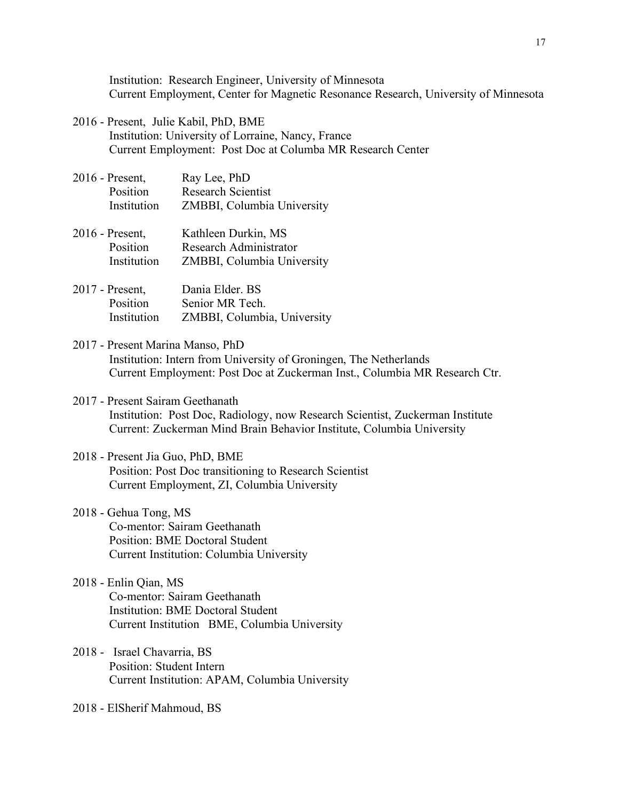Institution: Research Engineer, University of Minnesota Current Employment, Center for Magnetic Resonance Research, University of Minnesota

- 2016 Present, Julie Kabil, PhD, BME Institution: University of Lorraine, Nancy, France Current Employment: Post Doc at Columba MR Research Center
- 2016 Present, Ray Lee, PhD Position Research Scientist Institution ZMBBI, Columbia University
- 2016 Present, Kathleen Durkin, MS Position Research Administrator Institution ZMBBI, Columbia University
- 2017 Present, Dania Elder. BS Position Senior MR Tech. Institution ZMBBI, Columbia, University
- 2017 Present Marina Manso, PhD Institution: Intern from University of Groningen, The Netherlands Current Employment: Post Doc at Zuckerman Inst., Columbia MR Research Ctr.
- 2017 Present Sairam Geethanath Institution: Post Doc, Radiology, now Research Scientist, Zuckerman Institute Current: Zuckerman Mind Brain Behavior Institute, Columbia University
- 2018 Present Jia Guo, PhD, BME Position: Post Doc transitioning to Research Scientist Current Employment, ZI, Columbia University
- 2018 Gehua Tong, MS Co-mentor: Sairam Geethanath Position: BME Doctoral Student Current Institution: Columbia University
- 2018 Enlin Qian, MS Co-mentor: Sairam Geethanath Institution: BME Doctoral Student Current Institution BME, Columbia University
- 2018 Israel Chavarria, BS Position: Student Intern Current Institution: APAM, Columbia University

2018 - ElSherif Mahmoud, BS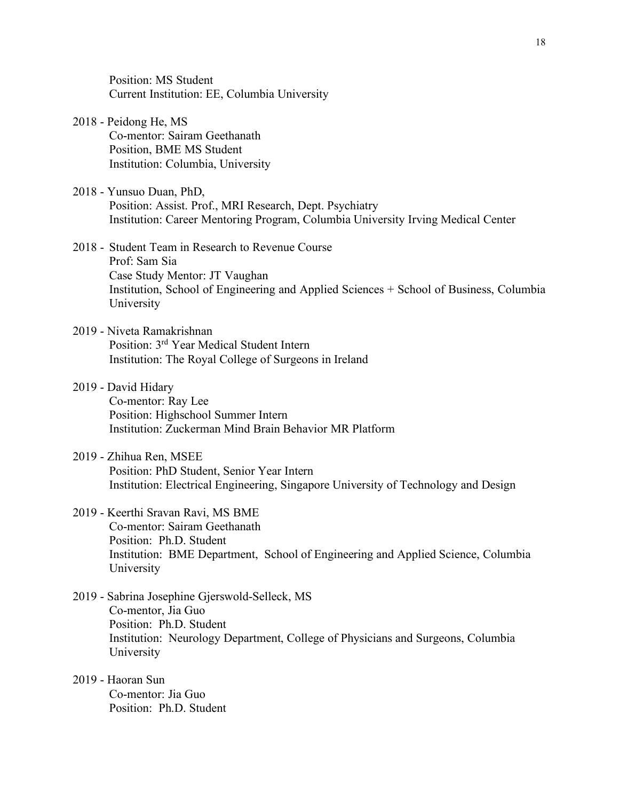Position: MS Student Current Institution: EE, Columbia University

- 2018 Peidong He, MS Co-mentor: Sairam Geethanath Position, BME MS Student Institution: Columbia, University
- 2018 Yunsuo Duan, PhD, Position: Assist. Prof., MRI Research, Dept. Psychiatry Institution: Career Mentoring Program, Columbia University Irving Medical Center
- 2018 Student Team in Research to Revenue Course Prof: Sam Sia Case Study Mentor: JT Vaughan Institution, School of Engineering and Applied Sciences + School of Business, Columbia University
- 2019 Niveta Ramakrishnan Position: 3rd Year Medical Student Intern Institution: The Royal College of Surgeons in Ireland
- 2019 David Hidary Co-mentor: Ray Lee Position: Highschool Summer Intern Institution: Zuckerman Mind Brain Behavior MR Platform
- 2019 Zhihua Ren, MSEE Position: PhD Student, Senior Year Intern Institution: Electrical Engineering, Singapore University of Technology and Design
- 2019 Keerthi Sravan Ravi, MS BME Co-mentor: Sairam Geethanath Position: Ph.D. Student Institution: BME Department, School of Engineering and Applied Science, Columbia University
- 2019 Sabrina Josephine Gjerswold-Selleck, MS Co-mentor, Jia Guo Position: Ph.D. Student Institution: Neurology Department, College of Physicians and Surgeons, Columbia University
- 2019 Haoran Sun Co-mentor: Jia Guo Position: Ph.D. Student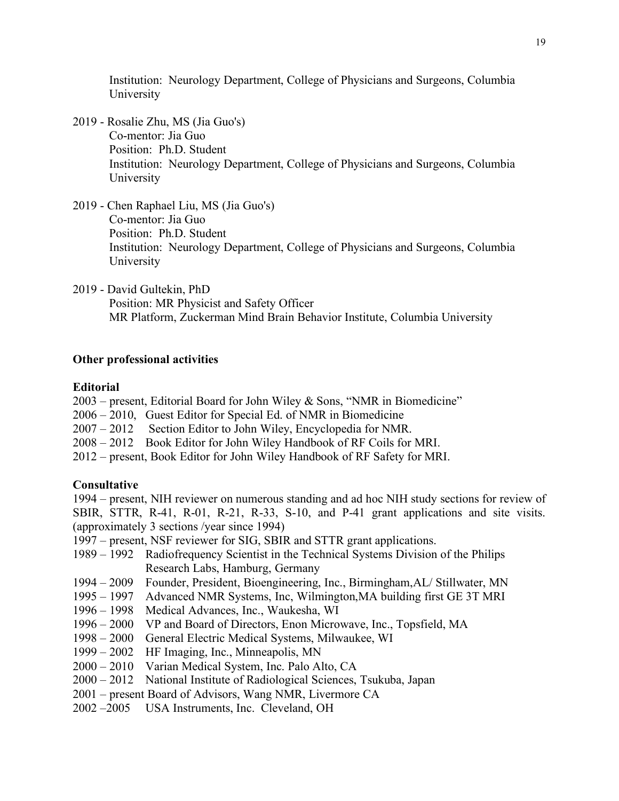Institution: Neurology Department, College of Physicians and Surgeons, Columbia University

- 2019 Rosalie Zhu, MS (Jia Guo's) Co-mentor: Jia Guo Position: Ph.D. Student Institution: Neurology Department, College of Physicians and Surgeons, Columbia University
- 2019 Chen Raphael Liu, MS (Jia Guo's) Co-mentor: Jia Guo Position: Ph.D. Student Institution: Neurology Department, College of Physicians and Surgeons, Columbia University
- 2019 David Gultekin, PhD Position: MR Physicist and Safety Officer MR Platform, Zuckerman Mind Brain Behavior Institute, Columbia University

### **Other professional activities**

#### **Editorial**

2003 – present, Editorial Board for John Wiley & Sons, "NMR in Biomedicine"

- 2006 2010, Guest Editor for Special Ed. of NMR in Biomedicine
- 2007 2012 Section Editor to John Wiley, Encyclopedia for NMR.
- 2008 2012 Book Editor for John Wiley Handbook of RF Coils for MRI.
- 2012 present, Book Editor for John Wiley Handbook of RF Safety for MRI.

#### **Consultative**

1994 – present, NIH reviewer on numerous standing and ad hoc NIH study sections for review of SBIR, STTR, R-41, R-01, R-21, R-33, S-10, and P-41 grant applications and site visits. (approximately 3 sections /year since 1994)

- 1997 present, NSF reviewer for SIG, SBIR and STTR grant applications.
- 1989 1992 Radiofrequency Scientist in the Technical Systems Division of the Philips Research Labs, Hamburg, Germany
- 1994 2009 Founder, President, Bioengineering, Inc., Birmingham,AL/ Stillwater, MN
- 1995 1997 Advanced NMR Systems, Inc, Wilmington,MA building first GE 3T MRI
- 1996 1998 Medical Advances, Inc., Waukesha, WI
- 1996 2000 VP and Board of Directors, Enon Microwave, Inc., Topsfield, MA
- 1998 2000 General Electric Medical Systems, Milwaukee, WI
- 1999 2002 HF Imaging, Inc., Minneapolis, MN
- 2000 2010 Varian Medical System, Inc. Palo Alto, CA
- 2000 2012 National Institute of Radiological Sciences, Tsukuba, Japan
- 2001 present Board of Advisors, Wang NMR, Livermore CA
- 2002 –2005 USA Instruments, Inc. Cleveland, OH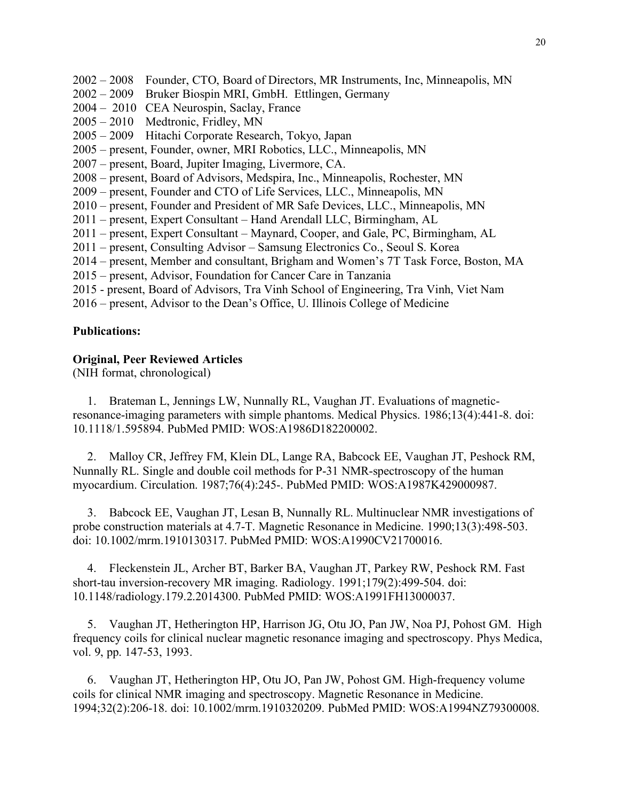- 2002 2008 Founder, CTO, Board of Directors, MR Instruments, Inc, Minneapolis, MN
- 2002 2009 Bruker Biospin MRI, GmbH. Ettlingen, Germany
- 2004 2010 CEA Neurospin, Saclay, France
- 2005 2010 Medtronic, Fridley, MN
- 2005 2009 Hitachi Corporate Research, Tokyo, Japan
- 2005 present, Founder, owner, MRI Robotics, LLC., Minneapolis, MN
- 2007 present, Board, Jupiter Imaging, Livermore, CA.
- 2008 present, Board of Advisors, Medspira, Inc., Minneapolis, Rochester, MN
- 2009 present, Founder and CTO of Life Services, LLC., Minneapolis, MN
- 2010 present, Founder and President of MR Safe Devices, LLC., Minneapolis, MN
- 2011 present, Expert Consultant Hand Arendall LLC, Birmingham, AL
- 2011 present, Expert Consultant Maynard, Cooper, and Gale, PC, Birmingham, AL
- 2011 present, Consulting Advisor Samsung Electronics Co., Seoul S. Korea
- 2014 present, Member and consultant, Brigham and Women's 7T Task Force, Boston, MA
- 2015 present, Advisor, Foundation for Cancer Care in Tanzania
- 2015 present, Board of Advisors, Tra Vinh School of Engineering, Tra Vinh, Viet Nam
- 2016 present, Advisor to the Dean's Office, U. Illinois College of Medicine

## **Publications:**

### **Original, Peer Reviewed Articles**

(NIH format, chronological)

1. Brateman L, Jennings LW, Nunnally RL, Vaughan JT. Evaluations of magneticresonance-imaging parameters with simple phantoms. Medical Physics. 1986;13(4):441-8. doi: 10.1118/1.595894. PubMed PMID: WOS:A1986D182200002.

2. Malloy CR, Jeffrey FM, Klein DL, Lange RA, Babcock EE, Vaughan JT, Peshock RM, Nunnally RL. Single and double coil methods for P-31 NMR-spectroscopy of the human myocardium. Circulation. 1987;76(4):245-. PubMed PMID: WOS:A1987K429000987.

3. Babcock EE, Vaughan JT, Lesan B, Nunnally RL. Multinuclear NMR investigations of probe construction materials at 4.7-T. Magnetic Resonance in Medicine. 1990;13(3):498-503. doi: 10.1002/mrm.1910130317. PubMed PMID: WOS:A1990CV21700016.

4. Fleckenstein JL, Archer BT, Barker BA, Vaughan JT, Parkey RW, Peshock RM. Fast short-tau inversion-recovery MR imaging. Radiology. 1991;179(2):499-504. doi: 10.1148/radiology.179.2.2014300. PubMed PMID: WOS:A1991FH13000037.

5. Vaughan JT, Hetherington HP, Harrison JG, Otu JO, Pan JW, Noa PJ, Pohost GM. High frequency coils for clinical nuclear magnetic resonance imaging and spectroscopy. Phys Medica, vol. 9, pp. 147-53, 1993.

6. Vaughan JT, Hetherington HP, Otu JO, Pan JW, Pohost GM. High-frequency volume coils for clinical NMR imaging and spectroscopy. Magnetic Resonance in Medicine. 1994;32(2):206-18. doi: 10.1002/mrm.1910320209. PubMed PMID: WOS:A1994NZ79300008.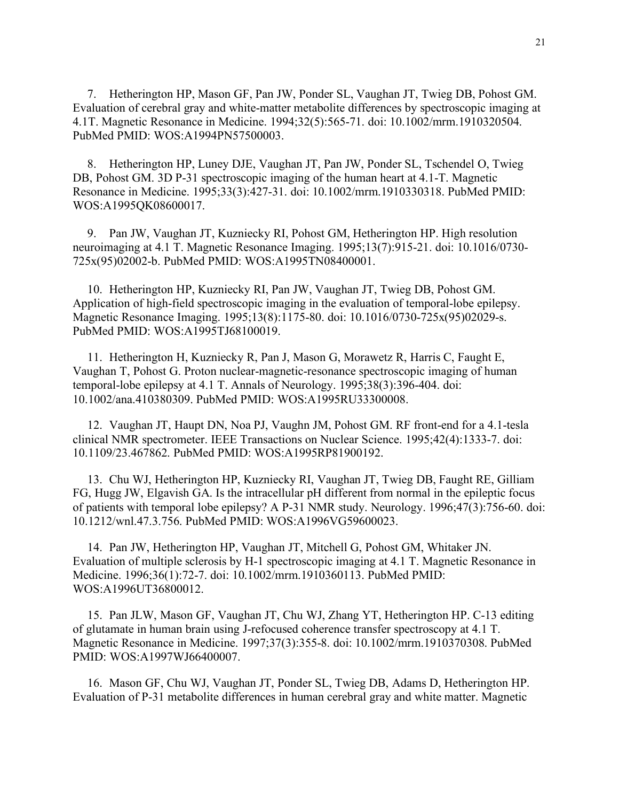7. Hetherington HP, Mason GF, Pan JW, Ponder SL, Vaughan JT, Twieg DB, Pohost GM. Evaluation of cerebral gray and white-matter metabolite differences by spectroscopic imaging at 4.1T. Magnetic Resonance in Medicine. 1994;32(5):565-71. doi: 10.1002/mrm.1910320504. PubMed PMID: WOS:A1994PN57500003.

8. Hetherington HP, Luney DJE, Vaughan JT, Pan JW, Ponder SL, Tschendel O, Twieg DB, Pohost GM. 3D P-31 spectroscopic imaging of the human heart at 4.1-T. Magnetic Resonance in Medicine. 1995;33(3):427-31. doi: 10.1002/mrm.1910330318. PubMed PMID: WOS:A1995QK08600017.

9. Pan JW, Vaughan JT, Kuzniecky RI, Pohost GM, Hetherington HP. High resolution neuroimaging at 4.1 T. Magnetic Resonance Imaging. 1995;13(7):915-21. doi: 10.1016/0730- 725x(95)02002-b. PubMed PMID: WOS:A1995TN08400001.

10. Hetherington HP, Kuzniecky RI, Pan JW, Vaughan JT, Twieg DB, Pohost GM. Application of high-field spectroscopic imaging in the evaluation of temporal-lobe epilepsy. Magnetic Resonance Imaging. 1995;13(8):1175-80. doi: 10.1016/0730-725x(95)02029-s. PubMed PMID: WOS:A1995TJ68100019.

11. Hetherington H, Kuzniecky R, Pan J, Mason G, Morawetz R, Harris C, Faught E, Vaughan T, Pohost G. Proton nuclear-magnetic-resonance spectroscopic imaging of human temporal-lobe epilepsy at 4.1 T. Annals of Neurology. 1995;38(3):396-404. doi: 10.1002/ana.410380309. PubMed PMID: WOS:A1995RU33300008.

12. Vaughan JT, Haupt DN, Noa PJ, Vaughn JM, Pohost GM. RF front-end for a 4.1-tesla clinical NMR spectrometer. IEEE Transactions on Nuclear Science. 1995;42(4):1333-7. doi: 10.1109/23.467862. PubMed PMID: WOS:A1995RP81900192.

13. Chu WJ, Hetherington HP, Kuzniecky RI, Vaughan JT, Twieg DB, Faught RE, Gilliam FG, Hugg JW, Elgavish GA. Is the intracellular pH different from normal in the epileptic focus of patients with temporal lobe epilepsy? A P-31 NMR study. Neurology. 1996;47(3):756-60. doi: 10.1212/wnl.47.3.756. PubMed PMID: WOS:A1996VG59600023.

14. Pan JW, Hetherington HP, Vaughan JT, Mitchell G, Pohost GM, Whitaker JN. Evaluation of multiple sclerosis by H-1 spectroscopic imaging at 4.1 T. Magnetic Resonance in Medicine. 1996;36(1):72-7. doi: 10.1002/mrm.1910360113. PubMed PMID: WOS:A1996UT36800012.

15. Pan JLW, Mason GF, Vaughan JT, Chu WJ, Zhang YT, Hetherington HP. C-13 editing of glutamate in human brain using J-refocused coherence transfer spectroscopy at 4.1 T. Magnetic Resonance in Medicine. 1997;37(3):355-8. doi: 10.1002/mrm.1910370308. PubMed PMID: WOS:A1997WJ66400007.

16. Mason GF, Chu WJ, Vaughan JT, Ponder SL, Twieg DB, Adams D, Hetherington HP. Evaluation of P-31 metabolite differences in human cerebral gray and white matter. Magnetic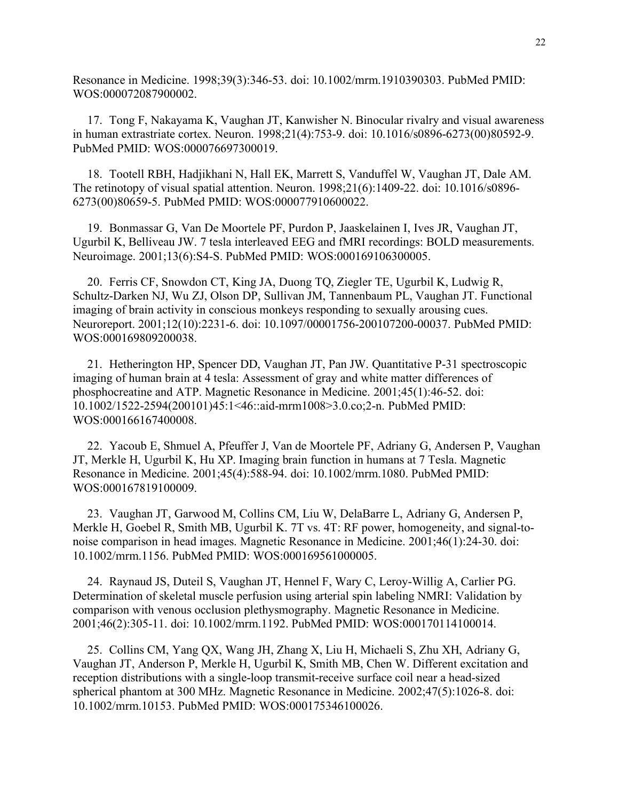Resonance in Medicine. 1998;39(3):346-53. doi: 10.1002/mrm.1910390303. PubMed PMID: WOS:000072087900002.

17. Tong F, Nakayama K, Vaughan JT, Kanwisher N. Binocular rivalry and visual awareness in human extrastriate cortex. Neuron. 1998;21(4):753-9. doi: 10.1016/s0896-6273(00)80592-9. PubMed PMID: WOS:000076697300019.

18. Tootell RBH, Hadjikhani N, Hall EK, Marrett S, Vanduffel W, Vaughan JT, Dale AM. The retinotopy of visual spatial attention. Neuron. 1998;21(6):1409-22. doi: 10.1016/s0896- 6273(00)80659-5. PubMed PMID: WOS:000077910600022.

19. Bonmassar G, Van De Moortele PF, Purdon P, Jaaskelainen I, Ives JR, Vaughan JT, Ugurbil K, Belliveau JW. 7 tesla interleaved EEG and fMRI recordings: BOLD measurements. Neuroimage. 2001;13(6):S4-S. PubMed PMID: WOS:000169106300005.

20. Ferris CF, Snowdon CT, King JA, Duong TQ, Ziegler TE, Ugurbil K, Ludwig R, Schultz-Darken NJ, Wu ZJ, Olson DP, Sullivan JM, Tannenbaum PL, Vaughan JT. Functional imaging of brain activity in conscious monkeys responding to sexually arousing cues. Neuroreport. 2001;12(10):2231-6. doi: 10.1097/00001756-200107200-00037. PubMed PMID: WOS:000169809200038.

21. Hetherington HP, Spencer DD, Vaughan JT, Pan JW. Quantitative P-31 spectroscopic imaging of human brain at 4 tesla: Assessment of gray and white matter differences of phosphocreatine and ATP. Magnetic Resonance in Medicine. 2001;45(1):46-52. doi: 10.1002/1522-2594(200101)45:1<46::aid-mrm1008>3.0.co;2-n. PubMed PMID: WOS:000166167400008.

22. Yacoub E, Shmuel A, Pfeuffer J, Van de Moortele PF, Adriany G, Andersen P, Vaughan JT, Merkle H, Ugurbil K, Hu XP. Imaging brain function in humans at 7 Tesla. Magnetic Resonance in Medicine. 2001;45(4):588-94. doi: 10.1002/mrm.1080. PubMed PMID: WOS:000167819100009.

23. Vaughan JT, Garwood M, Collins CM, Liu W, DelaBarre L, Adriany G, Andersen P, Merkle H, Goebel R, Smith MB, Ugurbil K. 7T vs. 4T: RF power, homogeneity, and signal-tonoise comparison in head images. Magnetic Resonance in Medicine. 2001;46(1):24-30. doi: 10.1002/mrm.1156. PubMed PMID: WOS:000169561000005.

24. Raynaud JS, Duteil S, Vaughan JT, Hennel F, Wary C, Leroy-Willig A, Carlier PG. Determination of skeletal muscle perfusion using arterial spin labeling NMRI: Validation by comparison with venous occlusion plethysmography. Magnetic Resonance in Medicine. 2001;46(2):305-11. doi: 10.1002/mrm.1192. PubMed PMID: WOS:000170114100014.

25. Collins CM, Yang QX, Wang JH, Zhang X, Liu H, Michaeli S, Zhu XH, Adriany G, Vaughan JT, Anderson P, Merkle H, Ugurbil K, Smith MB, Chen W. Different excitation and reception distributions with a single-loop transmit-receive surface coil near a head-sized spherical phantom at 300 MHz. Magnetic Resonance in Medicine. 2002;47(5):1026-8. doi: 10.1002/mrm.10153. PubMed PMID: WOS:000175346100026.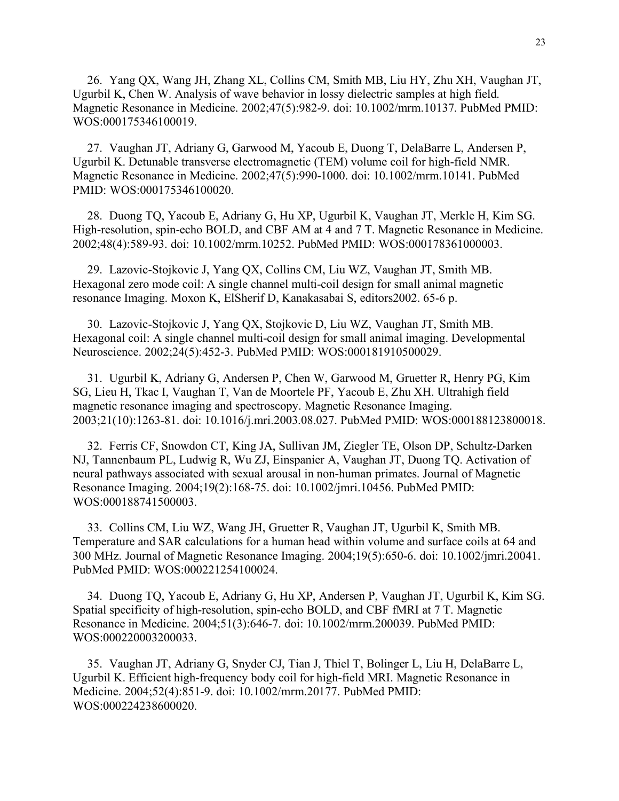26. Yang QX, Wang JH, Zhang XL, Collins CM, Smith MB, Liu HY, Zhu XH, Vaughan JT, Ugurbil K, Chen W. Analysis of wave behavior in lossy dielectric samples at high field. Magnetic Resonance in Medicine. 2002;47(5):982-9. doi: 10.1002/mrm.10137. PubMed PMID: WOS:000175346100019.

27. Vaughan JT, Adriany G, Garwood M, Yacoub E, Duong T, DelaBarre L, Andersen P, Ugurbil K. Detunable transverse electromagnetic (TEM) volume coil for high-field NMR. Magnetic Resonance in Medicine. 2002;47(5):990-1000. doi: 10.1002/mrm.10141. PubMed PMID: WOS:000175346100020.

28. Duong TQ, Yacoub E, Adriany G, Hu XP, Ugurbil K, Vaughan JT, Merkle H, Kim SG. High-resolution, spin-echo BOLD, and CBF AM at 4 and 7 T. Magnetic Resonance in Medicine. 2002;48(4):589-93. doi: 10.1002/mrm.10252. PubMed PMID: WOS:000178361000003.

29. Lazovic-Stojkovic J, Yang QX, Collins CM, Liu WZ, Vaughan JT, Smith MB. Hexagonal zero mode coil: A single channel multi-coil design for small animal magnetic resonance Imaging. Moxon K, ElSherif D, Kanakasabai S, editors2002. 65-6 p.

30. Lazovic-Stojkovic J, Yang QX, Stojkovic D, Liu WZ, Vaughan JT, Smith MB. Hexagonal coil: A single channel multi-coil design for small animal imaging. Developmental Neuroscience. 2002;24(5):452-3. PubMed PMID: WOS:000181910500029.

31. Ugurbil K, Adriany G, Andersen P, Chen W, Garwood M, Gruetter R, Henry PG, Kim SG, Lieu H, Tkac I, Vaughan T, Van de Moortele PF, Yacoub E, Zhu XH. Ultrahigh field magnetic resonance imaging and spectroscopy. Magnetic Resonance Imaging. 2003;21(10):1263-81. doi: 10.1016/j.mri.2003.08.027. PubMed PMID: WOS:000188123800018.

32. Ferris CF, Snowdon CT, King JA, Sullivan JM, Ziegler TE, Olson DP, Schultz-Darken NJ, Tannenbaum PL, Ludwig R, Wu ZJ, Einspanier A, Vaughan JT, Duong TQ. Activation of neural pathways associated with sexual arousal in non-human primates. Journal of Magnetic Resonance Imaging. 2004;19(2):168-75. doi: 10.1002/jmri.10456. PubMed PMID: WOS:000188741500003.

33. Collins CM, Liu WZ, Wang JH, Gruetter R, Vaughan JT, Ugurbil K, Smith MB. Temperature and SAR calculations for a human head within volume and surface coils at 64 and 300 MHz. Journal of Magnetic Resonance Imaging. 2004;19(5):650-6. doi: 10.1002/jmri.20041. PubMed PMID: WOS:000221254100024.

34. Duong TQ, Yacoub E, Adriany G, Hu XP, Andersen P, Vaughan JT, Ugurbil K, Kim SG. Spatial specificity of high-resolution, spin-echo BOLD, and CBF fMRI at 7 T. Magnetic Resonance in Medicine. 2004;51(3):646-7. doi: 10.1002/mrm.200039. PubMed PMID: WOS:000220003200033.

35. Vaughan JT, Adriany G, Snyder CJ, Tian J, Thiel T, Bolinger L, Liu H, DelaBarre L, Ugurbil K. Efficient high-frequency body coil for high-field MRI. Magnetic Resonance in Medicine. 2004;52(4):851-9. doi: 10.1002/mrm.20177. PubMed PMID: WOS:000224238600020.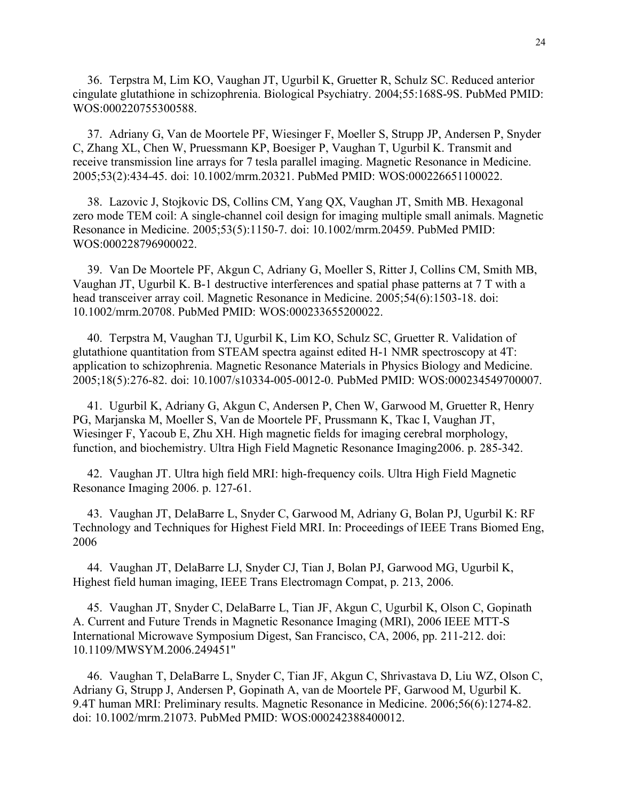36. Terpstra M, Lim KO, Vaughan JT, Ugurbil K, Gruetter R, Schulz SC. Reduced anterior cingulate glutathione in schizophrenia. Biological Psychiatry. 2004;55:168S-9S. PubMed PMID: WOS:000220755300588.

37. Adriany G, Van de Moortele PF, Wiesinger F, Moeller S, Strupp JP, Andersen P, Snyder C, Zhang XL, Chen W, Pruessmann KP, Boesiger P, Vaughan T, Ugurbil K. Transmit and receive transmission line arrays for 7 tesla parallel imaging. Magnetic Resonance in Medicine. 2005;53(2):434-45. doi: 10.1002/mrm.20321. PubMed PMID: WOS:000226651100022.

38. Lazovic J, Stojkovic DS, Collins CM, Yang QX, Vaughan JT, Smith MB. Hexagonal zero mode TEM coil: A single-channel coil design for imaging multiple small animals. Magnetic Resonance in Medicine. 2005;53(5):1150-7. doi: 10.1002/mrm.20459. PubMed PMID: WOS:000228796900022.

39. Van De Moortele PF, Akgun C, Adriany G, Moeller S, Ritter J, Collins CM, Smith MB, Vaughan JT, Ugurbil K. B-1 destructive interferences and spatial phase patterns at 7 T with a head transceiver array coil. Magnetic Resonance in Medicine. 2005;54(6):1503-18. doi: 10.1002/mrm.20708. PubMed PMID: WOS:000233655200022.

40. Terpstra M, Vaughan TJ, Ugurbil K, Lim KO, Schulz SC, Gruetter R. Validation of glutathione quantitation from STEAM spectra against edited H-1 NMR spectroscopy at 4T: application to schizophrenia. Magnetic Resonance Materials in Physics Biology and Medicine. 2005;18(5):276-82. doi: 10.1007/s10334-005-0012-0. PubMed PMID: WOS:000234549700007.

41. Ugurbil K, Adriany G, Akgun C, Andersen P, Chen W, Garwood M, Gruetter R, Henry PG, Marjanska M, Moeller S, Van de Moortele PF, Prussmann K, Tkac I, Vaughan JT, Wiesinger F, Yacoub E, Zhu XH. High magnetic fields for imaging cerebral morphology, function, and biochemistry. Ultra High Field Magnetic Resonance Imaging2006. p. 285-342.

42. Vaughan JT. Ultra high field MRI: high-frequency coils. Ultra High Field Magnetic Resonance Imaging 2006. p. 127-61.

43. Vaughan JT, DelaBarre L, Snyder C, Garwood M, Adriany G, Bolan PJ, Ugurbil K: RF Technology and Techniques for Highest Field MRI. In: Proceedings of IEEE Trans Biomed Eng, 2006

44. Vaughan JT, DelaBarre LJ, Snyder CJ, Tian J, Bolan PJ, Garwood MG, Ugurbil K, Highest field human imaging, IEEE Trans Electromagn Compat, p. 213, 2006.

45. Vaughan JT, Snyder C, DelaBarre L, Tian JF, Akgun C, Ugurbil K, Olson C, Gopinath A. Current and Future Trends in Magnetic Resonance Imaging (MRI), 2006 IEEE MTT-S International Microwave Symposium Digest, San Francisco, CA, 2006, pp. 211-212. doi: 10.1109/MWSYM.2006.249451"

46. Vaughan T, DelaBarre L, Snyder C, Tian JF, Akgun C, Shrivastava D, Liu WZ, Olson C, Adriany G, Strupp J, Andersen P, Gopinath A, van de Moortele PF, Garwood M, Ugurbil K. 9.4T human MRI: Preliminary results. Magnetic Resonance in Medicine. 2006;56(6):1274-82. doi: 10.1002/mrm.21073. PubMed PMID: WOS:000242388400012.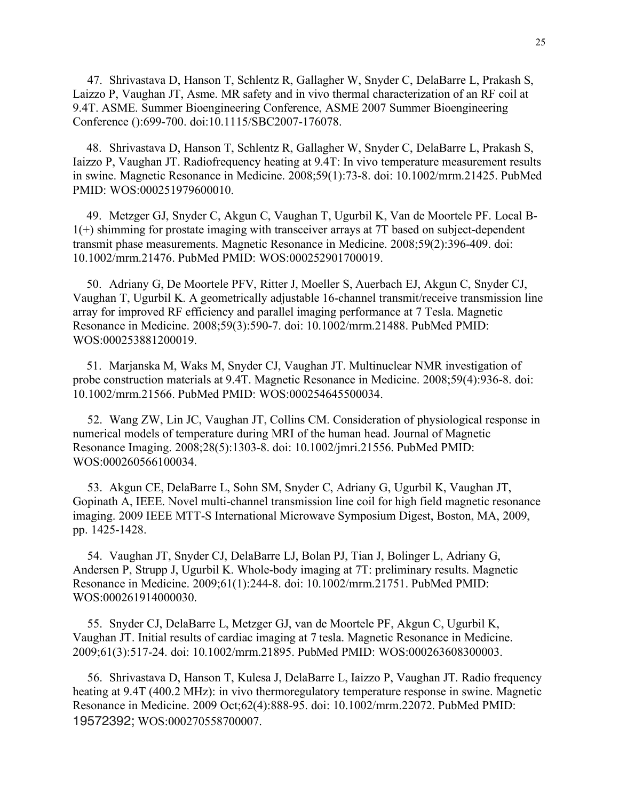47. Shrivastava D, Hanson T, Schlentz R, Gallagher W, Snyder C, DelaBarre L, Prakash S, Laizzo P, Vaughan JT, Asme. MR safety and in vivo thermal characterization of an RF coil at 9.4T. ASME. Summer Bioengineering Conference, ASME 2007 Summer Bioengineering Conference ():699-700. doi:10.1115/SBC2007-176078.

48. Shrivastava D, Hanson T, Schlentz R, Gallagher W, Snyder C, DelaBarre L, Prakash S, Iaizzo P, Vaughan JT. Radiofrequency heating at 9.4T: In vivo temperature measurement results in swine. Magnetic Resonance in Medicine. 2008;59(1):73-8. doi: 10.1002/mrm.21425. PubMed PMID: WOS:000251979600010.

49. Metzger GJ, Snyder C, Akgun C, Vaughan T, Ugurbil K, Van de Moortele PF. Local B-1(+) shimming for prostate imaging with transceiver arrays at 7T based on subject-dependent transmit phase measurements. Magnetic Resonance in Medicine. 2008;59(2):396-409. doi: 10.1002/mrm.21476. PubMed PMID: WOS:000252901700019.

50. Adriany G, De Moortele PFV, Ritter J, Moeller S, Auerbach EJ, Akgun C, Snyder CJ, Vaughan T, Ugurbil K. A geometrically adjustable 16-channel transmit/receive transmission line array for improved RF efficiency and parallel imaging performance at 7 Tesla. Magnetic Resonance in Medicine. 2008;59(3):590-7. doi: 10.1002/mrm.21488. PubMed PMID: WOS:000253881200019.

51. Marjanska M, Waks M, Snyder CJ, Vaughan JT. Multinuclear NMR investigation of probe construction materials at 9.4T. Magnetic Resonance in Medicine. 2008;59(4):936-8. doi: 10.1002/mrm.21566. PubMed PMID: WOS:000254645500034.

52. Wang ZW, Lin JC, Vaughan JT, Collins CM. Consideration of physiological response in numerical models of temperature during MRI of the human head. Journal of Magnetic Resonance Imaging. 2008;28(5):1303-8. doi: 10.1002/jmri.21556. PubMed PMID: WOS:000260566100034.

53. Akgun CE, DelaBarre L, Sohn SM, Snyder C, Adriany G, Ugurbil K, Vaughan JT, Gopinath A, IEEE. Novel multi-channel transmission line coil for high field magnetic resonance imaging. 2009 IEEE MTT-S International Microwave Symposium Digest, Boston, MA, 2009, pp. 1425-1428.

54. Vaughan JT, Snyder CJ, DelaBarre LJ, Bolan PJ, Tian J, Bolinger L, Adriany G, Andersen P, Strupp J, Ugurbil K. Whole-body imaging at 7T: preliminary results. Magnetic Resonance in Medicine. 2009;61(1):244-8. doi: 10.1002/mrm.21751. PubMed PMID: WOS:000261914000030.

55. Snyder CJ, DelaBarre L, Metzger GJ, van de Moortele PF, Akgun C, Ugurbil K, Vaughan JT. Initial results of cardiac imaging at 7 tesla. Magnetic Resonance in Medicine. 2009;61(3):517-24. doi: 10.1002/mrm.21895. PubMed PMID: WOS:000263608300003.

56. Shrivastava D, Hanson T, Kulesa J, DelaBarre L, Iaizzo P, Vaughan JT. Radio frequency heating at 9.4T (400.2 MHz): in vivo thermoregulatory temperature response in swine. Magnetic Resonance in Medicine. 2009 Oct;62(4):888-95. doi: 10.1002/mrm.22072. PubMed PMID: 19572392; WOS:000270558700007.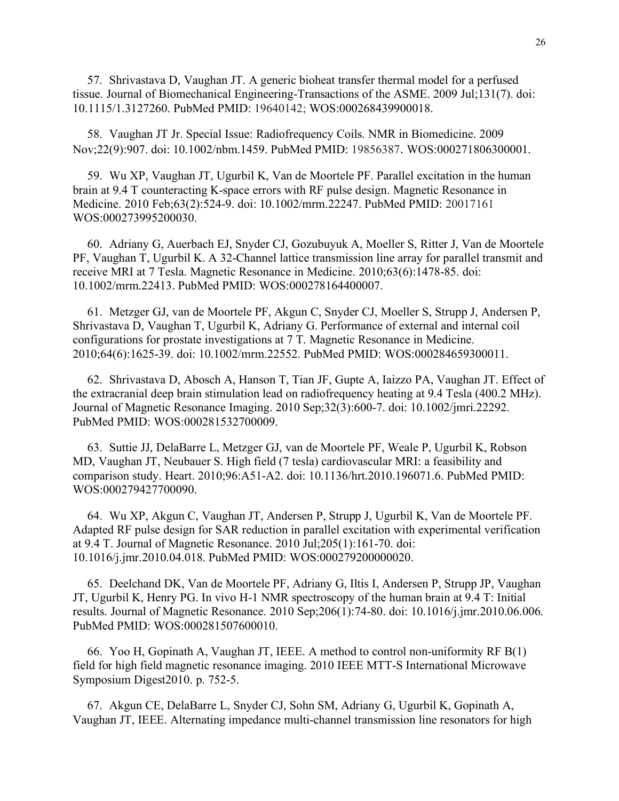57. Shrivastava D, Vaughan JT. A generic bioheat transfer thermal model for a perfused tissue. Journal of Biomechanical Engineering-Transactions of the ASME. 2009 Jul;131(7). doi: 10.1115/1.3127260. PubMed PMID: 19640142; WOS:000268439900018.

58. Vaughan JT Jr. Special Issue: Radiofrequency Coils. NMR in Biomedicine. 2009 Nov;22(9):907. doi: 10.1002/nbm.1459. PubMed PMID: 19856387. WOS:000271806300001.

59. Wu XP, Vaughan JT, Ugurbil K, Van de Moortele PF. Parallel excitation in the human brain at 9.4 T counteracting K-space errors with RF pulse design. Magnetic Resonance in Medicine. 2010 Feb;63(2):524-9. doi: 10.1002/mrm.22247. PubMed PMID: 20017161 WOS:000273995200030.

60. Adriany G, Auerbach EJ, Snyder CJ, Gozubuyuk A, Moeller S, Ritter J, Van de Moortele PF, Vaughan T, Ugurbil K. A 32-Channel lattice transmission line array for parallel transmit and receive MRI at 7 Tesla. Magnetic Resonance in Medicine. 2010;63(6):1478-85. doi: 10.1002/mrm.22413. PubMed PMID: WOS:000278164400007.

61. Metzger GJ, van de Moortele PF, Akgun C, Snyder CJ, Moeller S, Strupp J, Andersen P, Shrivastava D, Vaughan T, Ugurbil K, Adriany G. Performance of external and internal coil configurations for prostate investigations at 7 T. Magnetic Resonance in Medicine. 2010;64(6):1625-39. doi: 10.1002/mrm.22552. PubMed PMID: WOS:000284659300011.

62. Shrivastava D, Abosch A, Hanson T, Tian JF, Gupte A, Iaizzo PA, Vaughan JT. Effect of the extracranial deep brain stimulation lead on radiofrequency heating at 9.4 Tesla (400.2 MHz). Journal of Magnetic Resonance Imaging. 2010 Sep;32(3):600-7. doi: 10.1002/jmri.22292. PubMed PMID: WOS:000281532700009.

63. Suttie JJ, DelaBarre L, Metzger GJ, van de Moortele PF, Weale P, Ugurbil K, Robson MD, Vaughan JT, Neubauer S. High field (7 tesla) cardiovascular MRI: a feasibility and comparison study. Heart. 2010;96:A51-A2. doi: 10.1136/hrt.2010.196071.6. PubMed PMID: WOS:000279427700090.

64. Wu XP, Akgun C, Vaughan JT, Andersen P, Strupp J, Ugurbil K, Van de Moortele PF. Adapted RF pulse design for SAR reduction in parallel excitation with experimental verification at 9.4 T. Journal of Magnetic Resonance. 2010 Jul;205(1):161-70. doi: 10.1016/j.jmr.2010.04.018. PubMed PMID: WOS:000279200000020.

65. Deelchand DK, Van de Moortele PF, Adriany G, Iltis I, Andersen P, Strupp JP, Vaughan JT, Ugurbil K, Henry PG. In vivo H-1 NMR spectroscopy of the human brain at 9.4 T: Initial results. Journal of Magnetic Resonance. 2010 Sep;206(1):74-80. doi: 10.1016/j.jmr.2010.06.006. PubMed PMID: WOS:000281507600010.

66. Yoo H, Gopinath A, Vaughan JT, IEEE. A method to control non-uniformity RF B(1) field for high field magnetic resonance imaging. 2010 IEEE MTT-S International Microwave Symposium Digest2010. p. 752-5.

67. Akgun CE, DelaBarre L, Snyder CJ, Sohn SM, Adriany G, Ugurbil K, Gopinath A, Vaughan JT, IEEE. Alternating impedance multi-channel transmission line resonators for high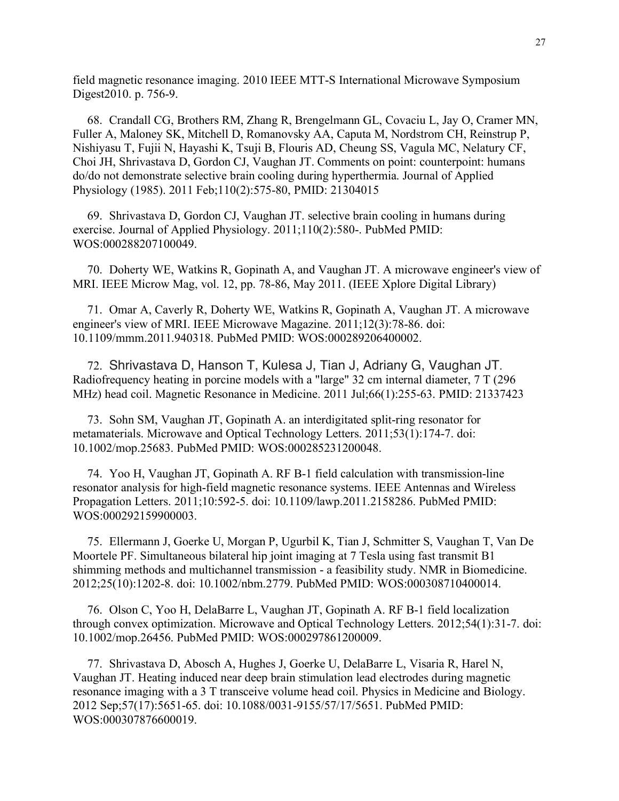field magnetic resonance imaging. 2010 IEEE MTT-S International Microwave Symposium Digest2010. p. 756-9.

68. Crandall CG, Brothers RM, Zhang R, Brengelmann GL, Covaciu L, Jay O, Cramer MN, Fuller A, Maloney SK, Mitchell D, Romanovsky AA, Caputa M, Nordstrom CH, Reinstrup P, Nishiyasu T, Fujii N, Hayashi K, Tsuji B, Flouris AD, Cheung SS, Vagula MC, Nelatury CF, Choi JH, Shrivastava D, Gordon CJ, Vaughan JT. Comments on point: counterpoint: humans do/do not demonstrate selective brain cooling during hyperthermia. Journal of Applied Physiology (1985). 2011 Feb;110(2):575-80, PMID: 21304015

69. Shrivastava D, Gordon CJ, Vaughan JT. selective brain cooling in humans during exercise. Journal of Applied Physiology. 2011;110(2):580-. PubMed PMID: WOS:000288207100049.

70. Doherty WE, Watkins R, Gopinath A, and Vaughan JT. A microwave engineer's view of MRI. IEEE Microw Mag, vol. 12, pp. 78-86, May 2011. (IEEE Xplore Digital Library)

71. Omar A, Caverly R, Doherty WE, Watkins R, Gopinath A, Vaughan JT. A microwave engineer's view of MRI. IEEE Microwave Magazine. 2011;12(3):78-86. doi: 10.1109/mmm.2011.940318. PubMed PMID: WOS:000289206400002.

72. Shrivastava D, Hanson T, Kulesa J, Tian J, Adriany G, Vaughan JT. Radiofrequency heating in porcine models with a "large" 32 cm internal diameter, 7 T (296 MHz) head coil. Magnetic Resonance in Medicine. 2011 Jul;66(1):255-63. PMID: 21337423

73. Sohn SM, Vaughan JT, Gopinath A. an interdigitated split-ring resonator for metamaterials. Microwave and Optical Technology Letters. 2011;53(1):174-7. doi: 10.1002/mop.25683. PubMed PMID: WOS:000285231200048.

74. Yoo H, Vaughan JT, Gopinath A. RF B-1 field calculation with transmission-line resonator analysis for high-field magnetic resonance systems. IEEE Antennas and Wireless Propagation Letters. 2011;10:592-5. doi: 10.1109/lawp.2011.2158286. PubMed PMID: WOS:000292159900003.

75. Ellermann J, Goerke U, Morgan P, Ugurbil K, Tian J, Schmitter S, Vaughan T, Van De Moortele PF. Simultaneous bilateral hip joint imaging at 7 Tesla using fast transmit B1 shimming methods and multichannel transmission - a feasibility study. NMR in Biomedicine. 2012;25(10):1202-8. doi: 10.1002/nbm.2779. PubMed PMID: WOS:000308710400014.

76. Olson C, Yoo H, DelaBarre L, Vaughan JT, Gopinath A. RF B-1 field localization through convex optimization. Microwave and Optical Technology Letters. 2012;54(1):31-7. doi: 10.1002/mop.26456. PubMed PMID: WOS:000297861200009.

77. Shrivastava D, Abosch A, Hughes J, Goerke U, DelaBarre L, Visaria R, Harel N, Vaughan JT. Heating induced near deep brain stimulation lead electrodes during magnetic resonance imaging with a 3 T transceive volume head coil. Physics in Medicine and Biology. 2012 Sep;57(17):5651-65. doi: 10.1088/0031-9155/57/17/5651. PubMed PMID: WOS:000307876600019.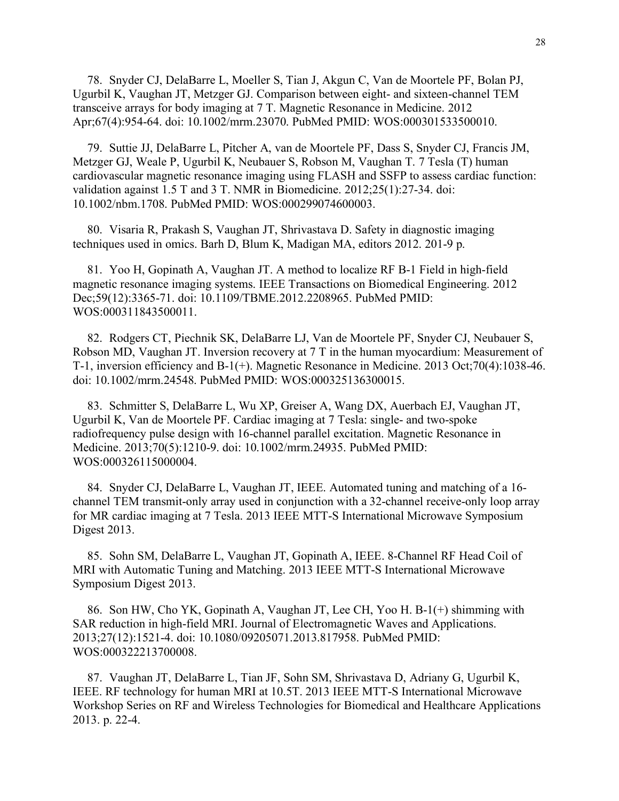78. Snyder CJ, DelaBarre L, Moeller S, Tian J, Akgun C, Van de Moortele PF, Bolan PJ, Ugurbil K, Vaughan JT, Metzger GJ. Comparison between eight- and sixteen-channel TEM transceive arrays for body imaging at 7 T. Magnetic Resonance in Medicine. 2012 Apr;67(4):954-64. doi: 10.1002/mrm.23070. PubMed PMID: WOS:000301533500010.

79. Suttie JJ, DelaBarre L, Pitcher A, van de Moortele PF, Dass S, Snyder CJ, Francis JM, Metzger GJ, Weale P, Ugurbil K, Neubauer S, Robson M, Vaughan T. 7 Tesla (T) human cardiovascular magnetic resonance imaging using FLASH and SSFP to assess cardiac function: validation against 1.5 T and 3 T. NMR in Biomedicine. 2012;25(1):27-34. doi: 10.1002/nbm.1708. PubMed PMID: WOS:000299074600003.

80. Visaria R, Prakash S, Vaughan JT, Shrivastava D. Safety in diagnostic imaging techniques used in omics. Barh D, Blum K, Madigan MA, editors 2012. 201-9 p.

81. Yoo H, Gopinath A, Vaughan JT. A method to localize RF B-1 Field in high-field magnetic resonance imaging systems. IEEE Transactions on Biomedical Engineering. 2012 Dec;59(12):3365-71. doi: 10.1109/TBME.2012.2208965. PubMed PMID: WOS:000311843500011.

82. Rodgers CT, Piechnik SK, DelaBarre LJ, Van de Moortele PF, Snyder CJ, Neubauer S, Robson MD, Vaughan JT. Inversion recovery at 7 T in the human myocardium: Measurement of T-1, inversion efficiency and B-1(+). Magnetic Resonance in Medicine. 2013 Oct;70(4):1038-46. doi: 10.1002/mrm.24548. PubMed PMID: WOS:000325136300015.

83. Schmitter S, DelaBarre L, Wu XP, Greiser A, Wang DX, Auerbach EJ, Vaughan JT, Ugurbil K, Van de Moortele PF. Cardiac imaging at 7 Tesla: single- and two-spoke radiofrequency pulse design with 16-channel parallel excitation. Magnetic Resonance in Medicine. 2013;70(5):1210-9. doi: 10.1002/mrm.24935. PubMed PMID: WOS:000326115000004.

84. Snyder CJ, DelaBarre L, Vaughan JT, IEEE. Automated tuning and matching of a 16 channel TEM transmit-only array used in conjunction with a 32-channel receive-only loop array for MR cardiac imaging at 7 Tesla. 2013 IEEE MTT-S International Microwave Symposium Digest 2013.

85. Sohn SM, DelaBarre L, Vaughan JT, Gopinath A, IEEE. 8-Channel RF Head Coil of MRI with Automatic Tuning and Matching. 2013 IEEE MTT-S International Microwave Symposium Digest 2013.

86. Son HW, Cho YK, Gopinath A, Vaughan JT, Lee CH, Yoo H. B-1(+) shimming with SAR reduction in high-field MRI. Journal of Electromagnetic Waves and Applications. 2013;27(12):1521-4. doi: 10.1080/09205071.2013.817958. PubMed PMID: WOS:000322213700008.

87. Vaughan JT, DelaBarre L, Tian JF, Sohn SM, Shrivastava D, Adriany G, Ugurbil K, IEEE. RF technology for human MRI at 10.5T. 2013 IEEE MTT-S International Microwave Workshop Series on RF and Wireless Technologies for Biomedical and Healthcare Applications 2013. p. 22-4.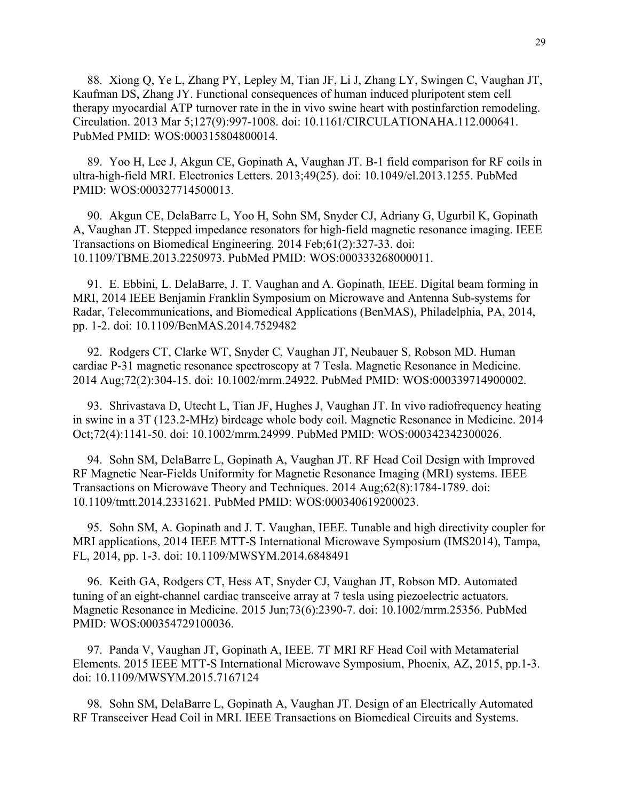88. Xiong Q, Ye L, Zhang PY, Lepley M, Tian JF, Li J, Zhang LY, Swingen C, Vaughan JT, Kaufman DS, Zhang JY. Functional consequences of human induced pluripotent stem cell therapy myocardial ATP turnover rate in the in vivo swine heart with postinfarction remodeling. Circulation. 2013 Mar 5;127(9):997-1008. doi: 10.1161/CIRCULATIONAHA.112.000641. PubMed PMID: WOS:000315804800014.

89. Yoo H, Lee J, Akgun CE, Gopinath A, Vaughan JT. B-1 field comparison for RF coils in ultra-high-field MRI. Electronics Letters. 2013;49(25). doi: 10.1049/el.2013.1255. PubMed PMID: WOS:000327714500013.

90. Akgun CE, DelaBarre L, Yoo H, Sohn SM, Snyder CJ, Adriany G, Ugurbil K, Gopinath A, Vaughan JT. Stepped impedance resonators for high-field magnetic resonance imaging. IEEE Transactions on Biomedical Engineering. 2014 Feb;61(2):327-33. doi: 10.1109/TBME.2013.2250973. PubMed PMID: WOS:000333268000011.

91. E. Ebbini, L. DelaBarre, J. T. Vaughan and A. Gopinath, IEEE. Digital beam forming in MRI, 2014 IEEE Benjamin Franklin Symposium on Microwave and Antenna Sub-systems for Radar, Telecommunications, and Biomedical Applications (BenMAS), Philadelphia, PA, 2014, pp. 1-2. doi: 10.1109/BenMAS.2014.7529482

92. Rodgers CT, Clarke WT, Snyder C, Vaughan JT, Neubauer S, Robson MD. Human cardiac P-31 magnetic resonance spectroscopy at 7 Tesla. Magnetic Resonance in Medicine. 2014 Aug;72(2):304-15. doi: 10.1002/mrm.24922. PubMed PMID: WOS:000339714900002.

93. Shrivastava D, Utecht L, Tian JF, Hughes J, Vaughan JT. In vivo radiofrequency heating in swine in a 3T (123.2-MHz) birdcage whole body coil. Magnetic Resonance in Medicine. 2014 Oct;72(4):1141-50. doi: 10.1002/mrm.24999. PubMed PMID: WOS:000342342300026.

94. Sohn SM, DelaBarre L, Gopinath A, Vaughan JT. RF Head Coil Design with Improved RF Magnetic Near-Fields Uniformity for Magnetic Resonance Imaging (MRI) systems. IEEE Transactions on Microwave Theory and Techniques. 2014 Aug;62(8):1784-1789. doi: 10.1109/tmtt.2014.2331621. PubMed PMID: WOS:000340619200023.

95. Sohn SM, A. Gopinath and J. T. Vaughan, IEEE. Tunable and high directivity coupler for MRI applications, 2014 IEEE MTT-S International Microwave Symposium (IMS2014), Tampa, FL, 2014, pp. 1-3. doi: 10.1109/MWSYM.2014.6848491

96. Keith GA, Rodgers CT, Hess AT, Snyder CJ, Vaughan JT, Robson MD. Automated tuning of an eight-channel cardiac transceive array at 7 tesla using piezoelectric actuators. Magnetic Resonance in Medicine. 2015 Jun;73(6):2390-7. doi: 10.1002/mrm.25356. PubMed PMID: WOS:000354729100036.

97. Panda V, Vaughan JT, Gopinath A, IEEE. 7T MRI RF Head Coil with Metamaterial Elements. 2015 IEEE MTT-S International Microwave Symposium, Phoenix, AZ, 2015, pp.1-3. doi: 10.1109/MWSYM.2015.7167124

98. Sohn SM, DelaBarre L, Gopinath A, Vaughan JT. Design of an Electrically Automated RF Transceiver Head Coil in MRI. IEEE Transactions on Biomedical Circuits and Systems.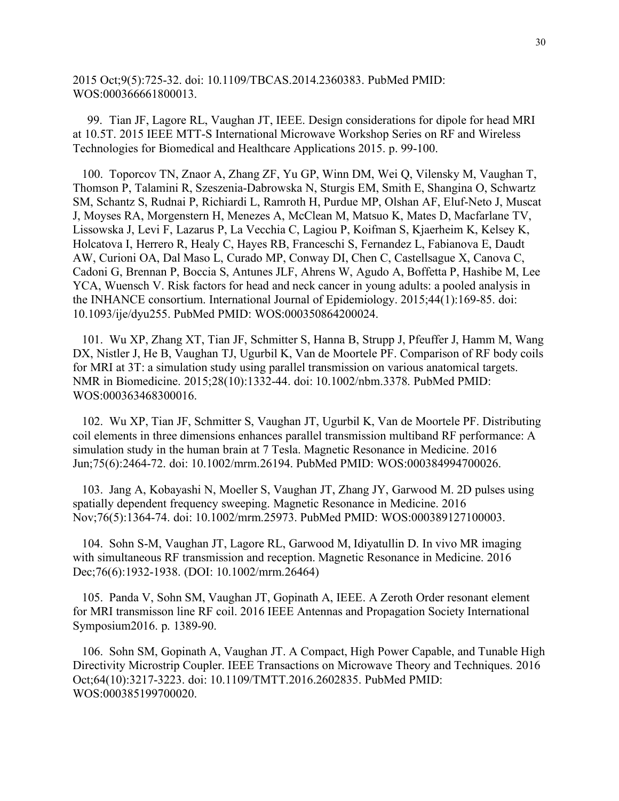2015 Oct;9(5):725-32. doi: 10.1109/TBCAS.2014.2360383. PubMed PMID: WOS:000366661800013.

99. Tian JF, Lagore RL, Vaughan JT, IEEE. Design considerations for dipole for head MRI at 10.5T. 2015 IEEE MTT-S International Microwave Workshop Series on RF and Wireless Technologies for Biomedical and Healthcare Applications 2015. p. 99-100.

100. Toporcov TN, Znaor A, Zhang ZF, Yu GP, Winn DM, Wei Q, Vilensky M, Vaughan T, Thomson P, Talamini R, Szeszenia-Dabrowska N, Sturgis EM, Smith E, Shangina O, Schwartz SM, Schantz S, Rudnai P, Richiardi L, Ramroth H, Purdue MP, Olshan AF, Eluf-Neto J, Muscat J, Moyses RA, Morgenstern H, Menezes A, McClean M, Matsuo K, Mates D, Macfarlane TV, Lissowska J, Levi F, Lazarus P, La Vecchia C, Lagiou P, Koifman S, Kjaerheim K, Kelsey K, Holcatova I, Herrero R, Healy C, Hayes RB, Franceschi S, Fernandez L, Fabianova E, Daudt AW, Curioni OA, Dal Maso L, Curado MP, Conway DI, Chen C, Castellsague X, Canova C, Cadoni G, Brennan P, Boccia S, Antunes JLF, Ahrens W, Agudo A, Boffetta P, Hashibe M, Lee YCA, Wuensch V. Risk factors for head and neck cancer in young adults: a pooled analysis in the INHANCE consortium. International Journal of Epidemiology. 2015;44(1):169-85. doi: 10.1093/ije/dyu255. PubMed PMID: WOS:000350864200024.

101. Wu XP, Zhang XT, Tian JF, Schmitter S, Hanna B, Strupp J, Pfeuffer J, Hamm M, Wang DX, Nistler J, He B, Vaughan TJ, Ugurbil K, Van de Moortele PF. Comparison of RF body coils for MRI at 3T: a simulation study using parallel transmission on various anatomical targets. NMR in Biomedicine. 2015;28(10):1332-44. doi: 10.1002/nbm.3378. PubMed PMID: WOS:000363468300016.

102. Wu XP, Tian JF, Schmitter S, Vaughan JT, Ugurbil K, Van de Moortele PF. Distributing coil elements in three dimensions enhances parallel transmission multiband RF performance: A simulation study in the human brain at 7 Tesla. Magnetic Resonance in Medicine. 2016 Jun;75(6):2464-72. doi: 10.1002/mrm.26194. PubMed PMID: WOS:000384994700026.

103. Jang A, Kobayashi N, Moeller S, Vaughan JT, Zhang JY, Garwood M. 2D pulses using spatially dependent frequency sweeping. Magnetic Resonance in Medicine. 2016 Nov;76(5):1364-74. doi: 10.1002/mrm.25973. PubMed PMID: WOS:000389127100003.

104. Sohn S-M, Vaughan JT, Lagore RL, Garwood M, Idiyatullin D. In vivo MR imaging with simultaneous RF transmission and reception. Magnetic Resonance in Medicine. 2016 Dec;76(6):1932-1938. (DOI: 10.1002/mrm.26464)

105. Panda V, Sohn SM, Vaughan JT, Gopinath A, IEEE. A Zeroth Order resonant element for MRI transmisson line RF coil. 2016 IEEE Antennas and Propagation Society International Symposium2016. p. 1389-90.

106. Sohn SM, Gopinath A, Vaughan JT. A Compact, High Power Capable, and Tunable High Directivity Microstrip Coupler. IEEE Transactions on Microwave Theory and Techniques. 2016 Oct;64(10):3217-3223. doi: 10.1109/TMTT.2016.2602835. PubMed PMID: WOS:000385199700020.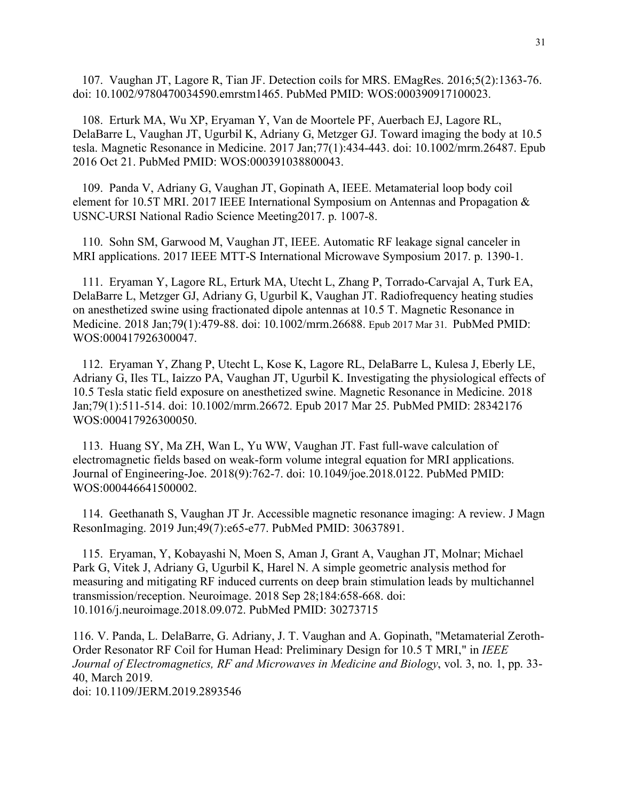107. Vaughan JT, Lagore R, Tian JF. Detection coils for MRS. EMagRes. 2016;5(2):1363-76. doi: 10.1002/9780470034590.emrstm1465. PubMed PMID: WOS:000390917100023.

108. Erturk MA, Wu XP, Eryaman Y, Van de Moortele PF, Auerbach EJ, Lagore RL, DelaBarre L, Vaughan JT, Ugurbil K, Adriany G, Metzger GJ. Toward imaging the body at 10.5 tesla. Magnetic Resonance in Medicine. 2017 Jan;77(1):434-443. doi: 10.1002/mrm.26487. Epub 2016 Oct 21. PubMed PMID: WOS:000391038800043.

109. Panda V, Adriany G, Vaughan JT, Gopinath A, IEEE. Metamaterial loop body coil element for 10.5T MRI. 2017 IEEE International Symposium on Antennas and Propagation & USNC-URSI National Radio Science Meeting2017. p. 1007-8.

110. Sohn SM, Garwood M, Vaughan JT, IEEE. Automatic RF leakage signal canceler in MRI applications. 2017 IEEE MTT-S International Microwave Symposium 2017. p. 1390-1.

111. Eryaman Y, Lagore RL, Erturk MA, Utecht L, Zhang P, Torrado-Carvajal A, Turk EA, DelaBarre L, Metzger GJ, Adriany G, Ugurbil K, Vaughan JT. Radiofrequency heating studies on anesthetized swine using fractionated dipole antennas at 10.5 T. Magnetic Resonance in Medicine. 2018 Jan;79(1):479-88. doi: 10.1002/mrm.26688. Epub 2017 Mar 31. PubMed PMID: WOS:000417926300047.

112. Eryaman Y, Zhang P, Utecht L, Kose K, Lagore RL, DelaBarre L, Kulesa J, Eberly LE, Adriany G, Iles TL, Iaizzo PA, Vaughan JT, Ugurbil K. Investigating the physiological effects of 10.5 Tesla static field exposure on anesthetized swine. Magnetic Resonance in Medicine. 2018 Jan;79(1):511-514. doi: 10.1002/mrm.26672. Epub 2017 Mar 25. PubMed PMID: 28342176 WOS:000417926300050.

113. Huang SY, Ma ZH, Wan L, Yu WW, Vaughan JT. Fast full-wave calculation of electromagnetic fields based on weak-form volume integral equation for MRI applications. Journal of Engineering-Joe. 2018(9):762-7. doi: 10.1049/joe.2018.0122. PubMed PMID: WOS:000446641500002.

114. Geethanath S, Vaughan JT Jr. Accessible magnetic resonance imaging: A review. J Magn ResonImaging. 2019 Jun;49(7):e65-e77. PubMed PMID: 30637891.

115. Eryaman, Y, Kobayashi N, Moen S, Aman J, Grant A, Vaughan JT, Molnar; Michael Park G, Vitek J, Adriany G, Ugurbil K, Harel N. A simple geometric analysis method for measuring and mitigating RF induced currents on deep brain stimulation leads by multichannel transmission/reception. Neuroimage. 2018 Sep 28;184:658-668. doi: 10.1016/j.neuroimage.2018.09.072. PubMed PMID: 30273715

116. V. Panda, L. DelaBarre, G. Adriany, J. T. Vaughan and A. Gopinath, "Metamaterial Zeroth-Order Resonator RF Coil for Human Head: Preliminary Design for 10.5 T MRI," in *IEEE Journal of Electromagnetics, RF and Microwaves in Medicine and Biology*, vol. 3, no. 1, pp. 33- 40, March 2019. doi: 10.1109/JERM.2019.2893546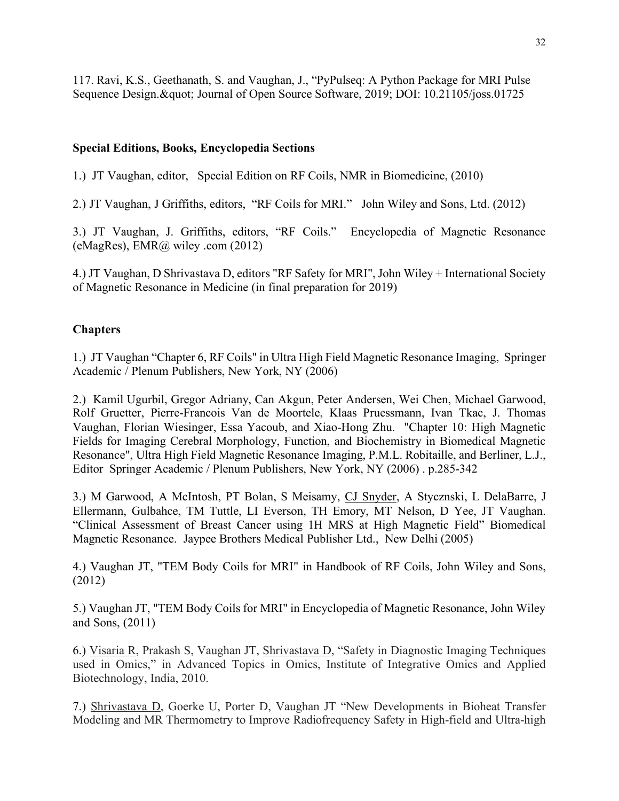117. Ravi, K.S., Geethanath, S. and Vaughan, J., "PyPulseq: A Python Package for MRI Pulse Sequence Design. & quot; Journal of Open Source Software, 2019; DOI: 10.21105/joss.01725

# **Special Editions, Books, Encyclopedia Sections**

1.) JT Vaughan, editor, Special Edition on RF Coils, NMR in Biomedicine, (2010)

2.) JT Vaughan, J Griffiths, editors, "RF Coils for MRI." John Wiley and Sons, Ltd. (2012)

3.) JT Vaughan, J. Griffiths, editors, "RF Coils." Encyclopedia of Magnetic Resonance (eMagRes), EMR@ wiley .com (2012)

4.) JT Vaughan, D Shrivastava D, editors "RF Safety for MRI", John Wiley + International Society of Magnetic Resonance in Medicine (in final preparation for 2019)

# **Chapters**

1.) JT Vaughan "Chapter 6, RF Coils" in Ultra High Field Magnetic Resonance Imaging, Springer Academic / Plenum Publishers, New York, NY (2006)

2.) Kamil Ugurbil, Gregor Adriany, Can Akgun, Peter Andersen, Wei Chen, Michael Garwood, Rolf Gruetter, Pierre-Francois Van de Moortele, Klaas Pruessmann, Ivan Tkac, J. Thomas Vaughan, Florian Wiesinger, Essa Yacoub, and Xiao-Hong Zhu. "Chapter 10: High Magnetic Fields for Imaging Cerebral Morphology, Function, and Biochemistry in Biomedical Magnetic Resonance", Ultra High Field Magnetic Resonance Imaging, P.M.L. Robitaille, and Berliner, L.J., Editor Springer Academic / Plenum Publishers, New York, NY (2006) . p.285-342

3.) M Garwood, A McIntosh, PT Bolan, S Meisamy, CJ Snyder, A Stycznski, L DelaBarre, J Ellermann, Gulbahce, TM Tuttle, LI Everson, TH Emory, MT Nelson, D Yee, JT Vaughan. "Clinical Assessment of Breast Cancer using 1H MRS at High Magnetic Field" Biomedical Magnetic Resonance. Jaypee Brothers Medical Publisher Ltd., New Delhi (2005)

4.) Vaughan JT, "TEM Body Coils for MRI" in Handbook of RF Coils, John Wiley and Sons, (2012)

5.) Vaughan JT, "TEM Body Coils for MRI" in Encyclopedia of Magnetic Resonance, John Wiley and Sons, (2011)

6.) Visaria R, Prakash S, Vaughan JT, Shrivastava D, "Safety in Diagnostic Imaging Techniques used in Omics," in Advanced Topics in Omics, Institute of Integrative Omics and Applied Biotechnology, India, 2010.

7.) Shrivastava D, Goerke U, Porter D, Vaughan JT "New Developments in Bioheat Transfer Modeling and MR Thermometry to Improve Radiofrequency Safety in High-field and Ultra-high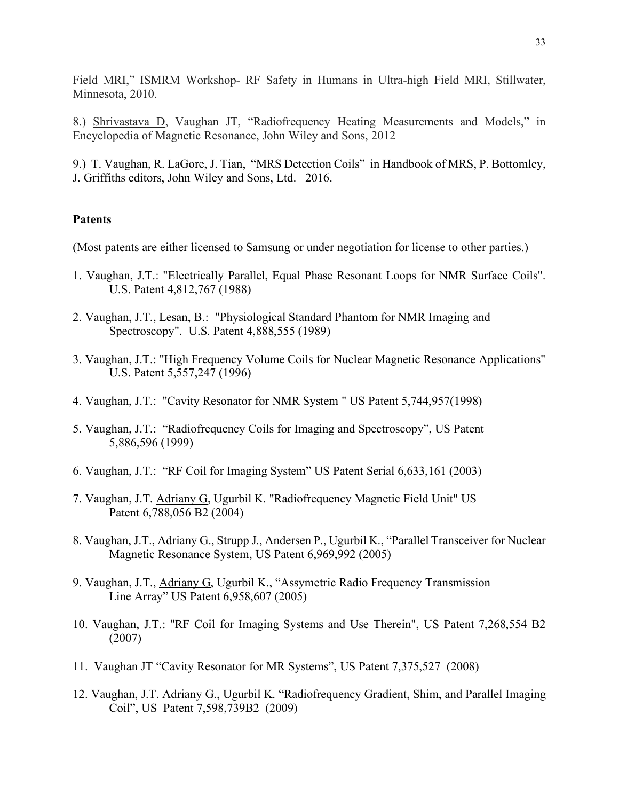Field MRI," ISMRM Workshop- RF Safety in Humans in Ultra-high Field MRI, Stillwater, Minnesota, 2010.

8.) Shrivastava D, Vaughan JT, "Radiofrequency Heating Measurements and Models," in Encyclopedia of Magnetic Resonance, John Wiley and Sons, 2012

9.) T. Vaughan, R. LaGore, J. Tian, "MRS Detection Coils" in Handbook of MRS, P. Bottomley, J. Griffiths editors, John Wiley and Sons, Ltd. 2016.

# **Patents**

(Most patents are either licensed to Samsung or under negotiation for license to other parties.)

- 1. Vaughan, J.T.: "Electrically Parallel, Equal Phase Resonant Loops for NMR Surface Coils". U.S. Patent 4,812,767 (1988)
- 2. Vaughan, J.T., Lesan, B.: "Physiological Standard Phantom for NMR Imaging and Spectroscopy". U.S. Patent 4,888,555 (1989)
- 3. Vaughan, J.T.: "High Frequency Volume Coils for Nuclear Magnetic Resonance Applications" U.S. Patent 5,557,247 (1996)
- 4. Vaughan, J.T.: "Cavity Resonator for NMR System " US Patent 5,744,957(1998)
- 5. Vaughan, J.T.: "Radiofrequency Coils for Imaging and Spectroscopy", US Patent 5,886,596 (1999)
- 6. Vaughan, J.T.: "RF Coil for Imaging System" US Patent Serial 6,633,161 (2003)
- 7. Vaughan, J.T. Adriany G, Ugurbil K. "Radiofrequency Magnetic Field Unit" US Patent 6,788,056 B2 (2004)
- 8. Vaughan, J.T., Adriany G., Strupp J., Andersen P., Ugurbil K., "Parallel Transceiver for Nuclear Magnetic Resonance System, US Patent 6,969,992 (2005)
- 9. Vaughan, J.T., Adriany G, Ugurbil K., "Assymetric Radio Frequency Transmission Line Array" US Patent 6,958,607 (2005)
- 10. Vaughan, J.T.: "RF Coil for Imaging Systems and Use Therein", US Patent 7,268,554 B2 (2007)
- 11. Vaughan JT "Cavity Resonator for MR Systems", US Patent 7,375,527 (2008)
- 12. Vaughan, J.T. Adriany G., Ugurbil K. "Radiofrequency Gradient, Shim, and Parallel Imaging Coil", US Patent 7,598,739B2 (2009)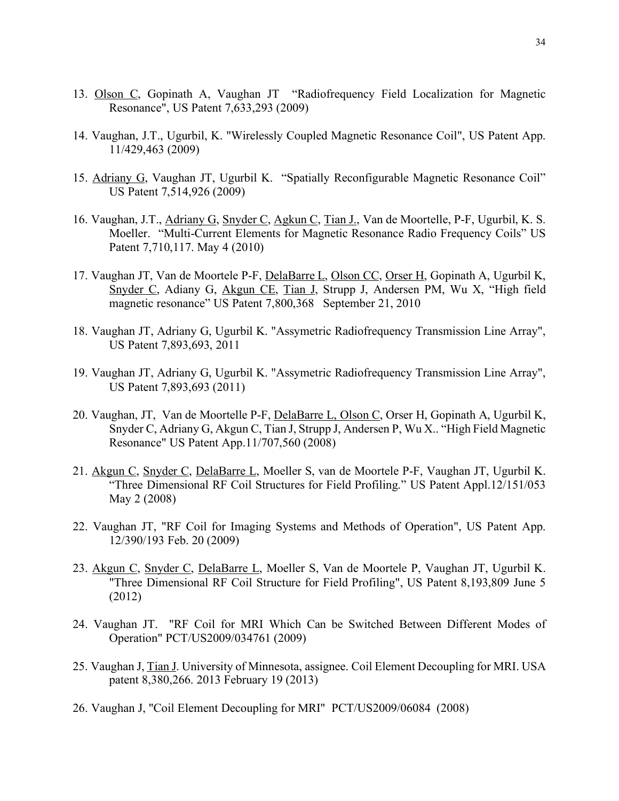- 13. Olson C, Gopinath A, Vaughan JT "Radiofrequency Field Localization for Magnetic Resonance", US Patent 7,633,293 (2009)
- 14. Vaughan, J.T., Ugurbil, K. "Wirelessly Coupled Magnetic Resonance Coil", US Patent App. 11/429,463 (2009)
- 15. Adriany G, Vaughan JT, Ugurbil K. "Spatially Reconfigurable Magnetic Resonance Coil" US Patent 7,514,926 (2009)
- 16. Vaughan, J.T., Adriany G, Snyder C, Agkun C, Tian J., Van de Moortelle, P-F, Ugurbil, K. S. Moeller. "Multi-Current Elements for Magnetic Resonance Radio Frequency Coils" US Patent 7,710,117. May 4 (2010)
- 17. Vaughan JT, Van de Moortele P-F, DelaBarre L, Olson CC, Orser H, Gopinath A, Ugurbil K, Snyder C, Adiany G, Akgun CE, Tian J, Strupp J, Andersen PM, Wu X, "High field magnetic resonance" US Patent 7,800,368 September 21, 2010
- 18. Vaughan JT, Adriany G, Ugurbil K. "Assymetric Radiofrequency Transmission Line Array", US Patent 7,893,693, 2011
- 19. Vaughan JT, Adriany G, Ugurbil K. "Assymetric Radiofrequency Transmission Line Array", US Patent 7,893,693 (2011)
- 20. Vaughan, JT, Van de Moortelle P-F, DelaBarre L, Olson C, Orser H, Gopinath A, Ugurbil K, Snyder C, Adriany G, Akgun C, Tian J, Strupp J, Andersen P, Wu X.. "High Field Magnetic Resonance" US Patent App.11/707,560 (2008)
- 21. Akgun C, Snyder C, DelaBarre L, Moeller S, van de Moortele P-F, Vaughan JT, Ugurbil K. "Three Dimensional RF Coil Structures for Field Profiling." US Patent Appl.12/151/053 May 2 (2008)
- 22. Vaughan JT, "RF Coil for Imaging Systems and Methods of Operation", US Patent App. 12/390/193 Feb. 20 (2009)
- 23. Akgun C, Snyder C, DelaBarre L, Moeller S, Van de Moortele P, Vaughan JT, Ugurbil K. "Three Dimensional RF Coil Structure for Field Profiling", US Patent 8,193,809 June 5 (2012)
- 24. Vaughan JT. "RF Coil for MRI Which Can be Switched Between Different Modes of Operation" PCT/US2009/034761 (2009)
- 25. Vaughan J, Tian J. University of Minnesota, assignee. Coil Element Decoupling for MRI. USA patent 8,380,266. 2013 February 19 (2013)
- 26. Vaughan J, "Coil Element Decoupling for MRI" PCT/US2009/06084 (2008)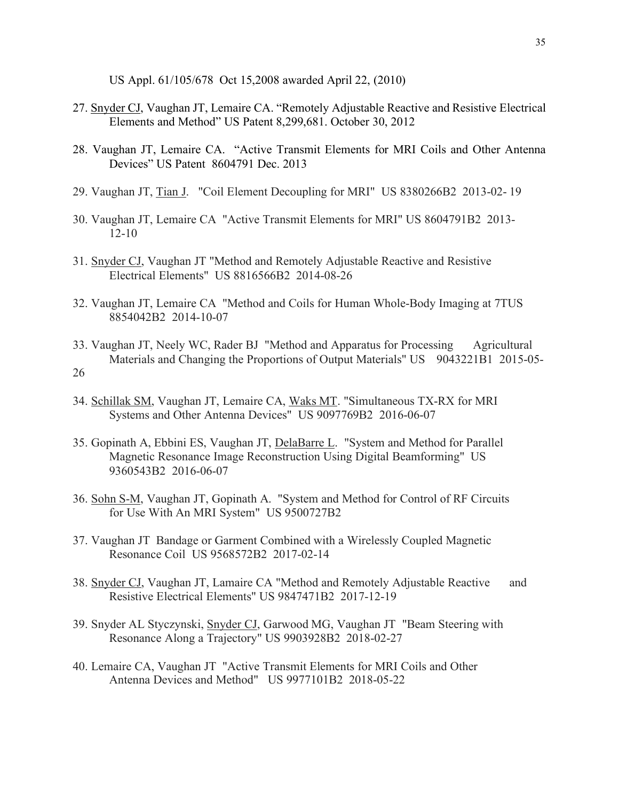US Appl. 61/105/678 Oct 15,2008 awarded April 22, (2010)

- 27. Snyder CJ, Vaughan JT, Lemaire CA. "Remotely Adjustable Reactive and Resistive Electrical Elements and Method" US Patent 8,299,681. October 30, 2012
- 28. Vaughan JT, Lemaire CA. "Active Transmit Elements for MRI Coils and Other Antenna Devices" US Patent 8604791 Dec. 2013
- 29. Vaughan JT, Tian J. "Coil Element Decoupling for MRI" US 8380266B2 2013-02- 19
- 30. Vaughan JT, Lemaire CA "Active Transmit Elements for MRI" US 8604791B2 2013- 12-10
- 31. Snyder CJ, Vaughan JT "Method and Remotely Adjustable Reactive and Resistive Electrical Elements" US 8816566B2 2014-08-26
- 32. Vaughan JT, Lemaire CA "Method and Coils for Human Whole-Body Imaging at 7TUS 8854042B2 2014-10-07
- 33. Vaughan JT, Neely WC, Rader BJ "Method and Apparatus for Processing Agricultural Materials and Changing the Proportions of Output Materials" US 9043221B1 2015-05-26
- 34. Schillak SM, Vaughan JT, Lemaire CA, Waks MT. "Simultaneous TX-RX for MRI Systems and Other Antenna Devices" US 9097769B2 2016-06-07
- 35. Gopinath A, Ebbini ES, Vaughan JT, DelaBarre L. "System and Method for Parallel Magnetic Resonance Image Reconstruction Using Digital Beamforming" US 9360543B2 2016-06-07
- 36. Sohn S-M, Vaughan JT, Gopinath A. "System and Method for Control of RF Circuits for Use With An MRI System" US 9500727B2
- 37. Vaughan JT Bandage or Garment Combined with a Wirelessly Coupled Magnetic Resonance Coil US 9568572B2 2017-02-14
- 38. Snyder CJ, Vaughan JT, Lamaire CA "Method and Remotely Adjustable Reactive and Resistive Electrical Elements" US 9847471B2 2017-12-19
- 39. Snyder AL Styczynski, Snyder CJ, Garwood MG, Vaughan JT "Beam Steering with Resonance Along a Trajectory" US 9903928B2 2018-02-27
- 40. Lemaire CA, Vaughan JT "Active Transmit Elements for MRI Coils and Other Antenna Devices and Method" US 9977101B2 2018-05-22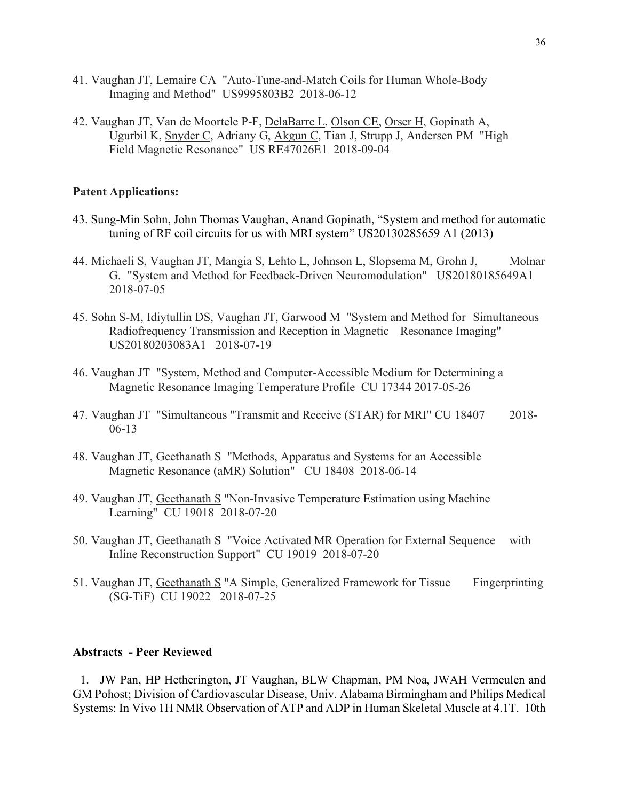- 41. Vaughan JT, Lemaire CA "Auto-Tune-and-Match Coils for Human Whole-Body Imaging and Method" US9995803B2 2018-06-12
- 42. Vaughan JT, Van de Moortele P-F, DelaBarre L, Olson CE, Orser H, Gopinath A, Ugurbil K, Snyder C, Adriany G, Akgun C, Tian J, Strupp J, Andersen PM "High Field Magnetic Resonance" US RE47026E1 2018-09-04

#### **Patent Applications:**

- 43. Sung-Min Sohn, John Thomas Vaughan, Anand Gopinath, "System and method for automatic tuning of RF coil circuits for us with MRI system" US20130285659 A1 (2013)
- 44. Michaeli S, Vaughan JT, Mangia S, Lehto L, Johnson L, Slopsema M, Grohn J, Molnar G. "System and Method for Feedback-Driven Neuromodulation" US20180185649A1 2018-07-05
- 45. Sohn S-M, Idiytullin DS, Vaughan JT, Garwood M "System and Method for Simultaneous Radiofrequency Transmission and Reception in Magnetic Resonance Imaging" US20180203083A1 2018-07-19
- 46. Vaughan JT "System, Method and Computer-Accessible Medium for Determining a Magnetic Resonance Imaging Temperature Profile CU 17344 2017-05-26
- 47. Vaughan JT "Simultaneous "Transmit and Receive (STAR) for MRI" CU 18407 2018- 06-13
- 48. Vaughan JT, Geethanath S "Methods, Apparatus and Systems for an Accessible Magnetic Resonance (aMR) Solution" CU 18408 2018-06-14
- 49. Vaughan JT, Geethanath S "Non-Invasive Temperature Estimation using Machine Learning" CU 19018 2018-07-20
- 50. Vaughan JT, Geethanath S "Voice Activated MR Operation for External Sequence with Inline Reconstruction Support" CU 19019 2018-07-20
- 51. Vaughan JT, Geethanath S "A Simple, Generalized Framework for Tissue Fingerprinting (SG-TiF) CU 19022 2018-07-25

### **Abstracts - Peer Reviewed**

1. JW Pan, HP Hetherington, JT Vaughan, BLW Chapman, PM Noa, JWAH Vermeulen and GM Pohost; Division of Cardiovascular Disease, Univ. Alabama Birmingham and Philips Medical Systems: In Vivo 1H NMR Observation of ATP and ADP in Human Skeletal Muscle at 4.1T. 10th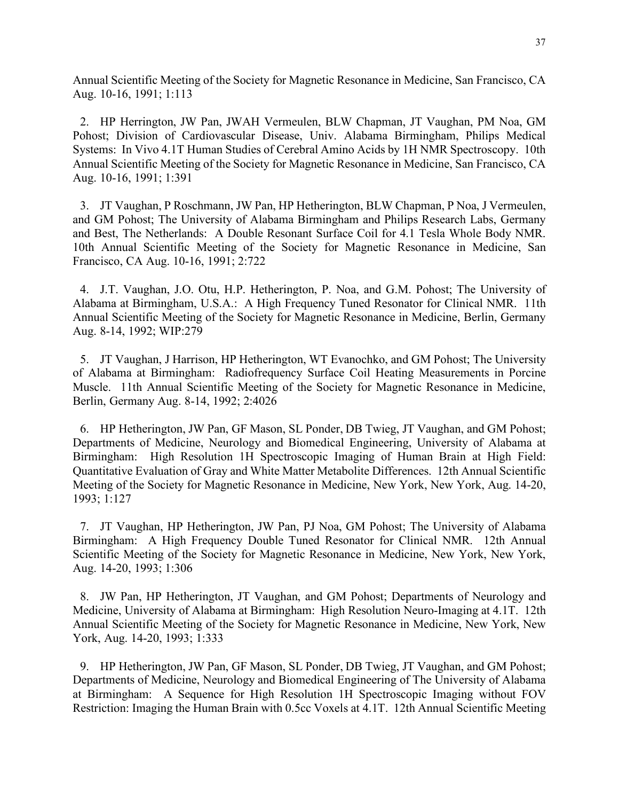Annual Scientific Meeting of the Society for Magnetic Resonance in Medicine, San Francisco, CA Aug. 10-16, 1991; 1:113

2. HP Herrington, JW Pan, JWAH Vermeulen, BLW Chapman, JT Vaughan, PM Noa, GM Pohost; Division of Cardiovascular Disease, Univ. Alabama Birmingham, Philips Medical Systems: In Vivo 4.1T Human Studies of Cerebral Amino Acids by 1H NMR Spectroscopy. 10th Annual Scientific Meeting of the Society for Magnetic Resonance in Medicine, San Francisco, CA Aug. 10-16, 1991; 1:391

3. JT Vaughan, P Roschmann, JW Pan, HP Hetherington, BLW Chapman, P Noa, J Vermeulen, and GM Pohost; The University of Alabama Birmingham and Philips Research Labs, Germany and Best, The Netherlands: A Double Resonant Surface Coil for 4.1 Tesla Whole Body NMR. 10th Annual Scientific Meeting of the Society for Magnetic Resonance in Medicine, San Francisco, CA Aug. 10-16, 1991; 2:722

4. J.T. Vaughan, J.O. Otu, H.P. Hetherington, P. Noa, and G.M. Pohost; The University of Alabama at Birmingham, U.S.A.: A High Frequency Tuned Resonator for Clinical NMR. 11th Annual Scientific Meeting of the Society for Magnetic Resonance in Medicine, Berlin, Germany Aug. 8-14, 1992; WIP:279

5. JT Vaughan, J Harrison, HP Hetherington, WT Evanochko, and GM Pohost; The University of Alabama at Birmingham: Radiofrequency Surface Coil Heating Measurements in Porcine Muscle. 11th Annual Scientific Meeting of the Society for Magnetic Resonance in Medicine, Berlin, Germany Aug. 8-14, 1992; 2:4026

6. HP Hetherington, JW Pan, GF Mason, SL Ponder, DB Twieg, JT Vaughan, and GM Pohost; Departments of Medicine, Neurology and Biomedical Engineering, University of Alabama at Birmingham: High Resolution 1H Spectroscopic Imaging of Human Brain at High Field: Quantitative Evaluation of Gray and White Matter Metabolite Differences. 12th Annual Scientific Meeting of the Society for Magnetic Resonance in Medicine, New York, New York, Aug. 14-20, 1993; 1:127

7. JT Vaughan, HP Hetherington, JW Pan, PJ Noa, GM Pohost; The University of Alabama Birmingham: A High Frequency Double Tuned Resonator for Clinical NMR. 12th Annual Scientific Meeting of the Society for Magnetic Resonance in Medicine, New York, New York, Aug. 14-20, 1993; 1:306

8. JW Pan, HP Hetherington, JT Vaughan, and GM Pohost; Departments of Neurology and Medicine, University of Alabama at Birmingham: High Resolution Neuro-Imaging at 4.1T. 12th Annual Scientific Meeting of the Society for Magnetic Resonance in Medicine, New York, New York, Aug. 14-20, 1993; 1:333

9. HP Hetherington, JW Pan, GF Mason, SL Ponder, DB Twieg, JT Vaughan, and GM Pohost; Departments of Medicine, Neurology and Biomedical Engineering of The University of Alabama at Birmingham: A Sequence for High Resolution 1H Spectroscopic Imaging without FOV Restriction: Imaging the Human Brain with 0.5cc Voxels at 4.1T. 12th Annual Scientific Meeting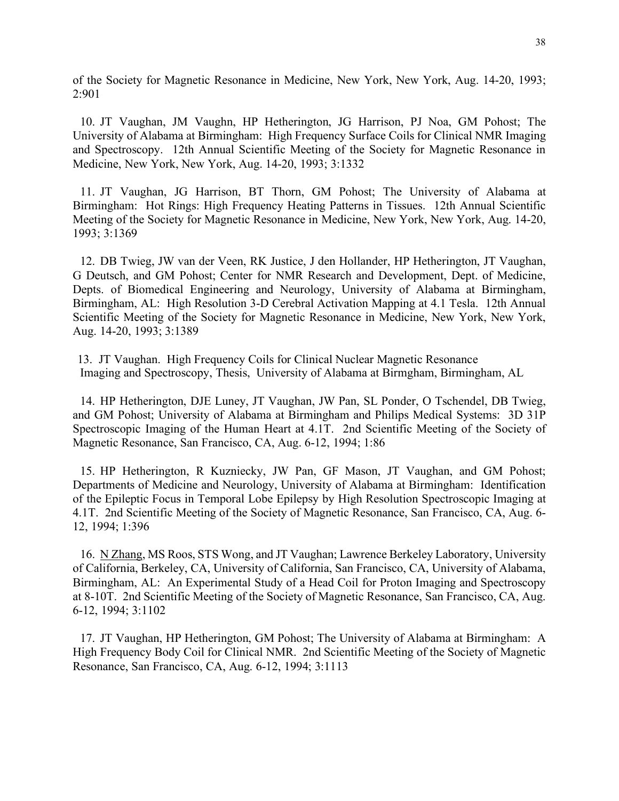of the Society for Magnetic Resonance in Medicine, New York, New York, Aug. 14-20, 1993; 2:901

10. JT Vaughan, JM Vaughn, HP Hetherington, JG Harrison, PJ Noa, GM Pohost; The University of Alabama at Birmingham: High Frequency Surface Coils for Clinical NMR Imaging and Spectroscopy. 12th Annual Scientific Meeting of the Society for Magnetic Resonance in Medicine, New York, New York, Aug. 14-20, 1993; 3:1332

11. JT Vaughan, JG Harrison, BT Thorn, GM Pohost; The University of Alabama at Birmingham: Hot Rings: High Frequency Heating Patterns in Tissues. 12th Annual Scientific Meeting of the Society for Magnetic Resonance in Medicine, New York, New York, Aug. 14-20, 1993; 3:1369

12. DB Twieg, JW van der Veen, RK Justice, J den Hollander, HP Hetherington, JT Vaughan, G Deutsch, and GM Pohost; Center for NMR Research and Development, Dept. of Medicine, Depts. of Biomedical Engineering and Neurology, University of Alabama at Birmingham, Birmingham, AL: High Resolution 3-D Cerebral Activation Mapping at 4.1 Tesla. 12th Annual Scientific Meeting of the Society for Magnetic Resonance in Medicine, New York, New York, Aug. 14-20, 1993; 3:1389

13. JT Vaughan. High Frequency Coils for Clinical Nuclear Magnetic Resonance Imaging and Spectroscopy, Thesis, University of Alabama at Birmgham, Birmingham, AL

14. HP Hetherington, DJE Luney, JT Vaughan, JW Pan, SL Ponder, O Tschendel, DB Twieg, and GM Pohost; University of Alabama at Birmingham and Philips Medical Systems: 3D 31P Spectroscopic Imaging of the Human Heart at 4.1T. 2nd Scientific Meeting of the Society of Magnetic Resonance, San Francisco, CA, Aug. 6-12, 1994; 1:86

15. HP Hetherington, R Kuzniecky, JW Pan, GF Mason, JT Vaughan, and GM Pohost; Departments of Medicine and Neurology, University of Alabama at Birmingham: Identification of the Epileptic Focus in Temporal Lobe Epilepsy by High Resolution Spectroscopic Imaging at 4.1T. 2nd Scientific Meeting of the Society of Magnetic Resonance, San Francisco, CA, Aug. 6- 12, 1994; 1:396

16. N Zhang, MS Roos, STS Wong, and JT Vaughan; Lawrence Berkeley Laboratory, University of California, Berkeley, CA, University of California, San Francisco, CA, University of Alabama, Birmingham, AL: An Experimental Study of a Head Coil for Proton Imaging and Spectroscopy at 8-10T. 2nd Scientific Meeting of the Society of Magnetic Resonance, San Francisco, CA, Aug. 6-12, 1994; 3:1102

17. JT Vaughan, HP Hetherington, GM Pohost; The University of Alabama at Birmingham: A High Frequency Body Coil for Clinical NMR. 2nd Scientific Meeting of the Society of Magnetic Resonance, San Francisco, CA, Aug. 6-12, 1994; 3:1113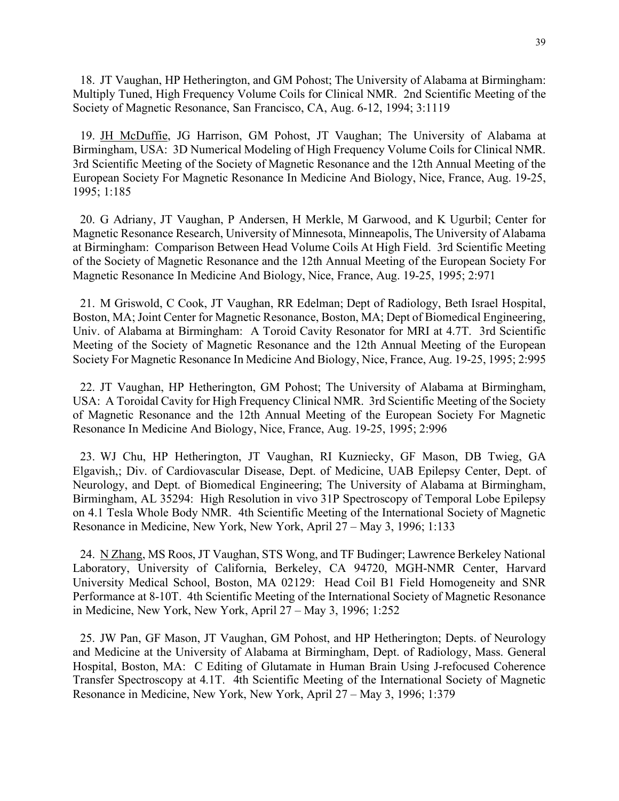18. JT Vaughan, HP Hetherington, and GM Pohost; The University of Alabama at Birmingham: Multiply Tuned, High Frequency Volume Coils for Clinical NMR. 2nd Scientific Meeting of the Society of Magnetic Resonance, San Francisco, CA, Aug. 6-12, 1994; 3:1119

19. JH McDuffie, JG Harrison, GM Pohost, JT Vaughan; The University of Alabama at Birmingham, USA: 3D Numerical Modeling of High Frequency Volume Coils for Clinical NMR. 3rd Scientific Meeting of the Society of Magnetic Resonance and the 12th Annual Meeting of the European Society For Magnetic Resonance In Medicine And Biology, Nice, France, Aug. 19-25, 1995; 1:185

20. G Adriany, JT Vaughan, P Andersen, H Merkle, M Garwood, and K Ugurbil; Center for Magnetic Resonance Research, University of Minnesota, Minneapolis, The University of Alabama at Birmingham: Comparison Between Head Volume Coils At High Field. 3rd Scientific Meeting of the Society of Magnetic Resonance and the 12th Annual Meeting of the European Society For Magnetic Resonance In Medicine And Biology, Nice, France, Aug. 19-25, 1995; 2:971

21. M Griswold, C Cook, JT Vaughan, RR Edelman; Dept of Radiology, Beth Israel Hospital, Boston, MA; Joint Center for Magnetic Resonance, Boston, MA; Dept of Biomedical Engineering, Univ. of Alabama at Birmingham: A Toroid Cavity Resonator for MRI at 4.7T. 3rd Scientific Meeting of the Society of Magnetic Resonance and the 12th Annual Meeting of the European Society For Magnetic Resonance In Medicine And Biology, Nice, France, Aug. 19-25, 1995; 2:995

22. JT Vaughan, HP Hetherington, GM Pohost; The University of Alabama at Birmingham, USA: A Toroidal Cavity for High Frequency Clinical NMR. 3rd Scientific Meeting of the Society of Magnetic Resonance and the 12th Annual Meeting of the European Society For Magnetic Resonance In Medicine And Biology, Nice, France, Aug. 19-25, 1995; 2:996

23. WJ Chu, HP Hetherington, JT Vaughan, RI Kuzniecky, GF Mason, DB Twieg, GA Elgavish,; Div. of Cardiovascular Disease, Dept. of Medicine, UAB Epilepsy Center, Dept. of Neurology, and Dept. of Biomedical Engineering; The University of Alabama at Birmingham, Birmingham, AL 35294: High Resolution in vivo 31P Spectroscopy of Temporal Lobe Epilepsy on 4.1 Tesla Whole Body NMR. 4th Scientific Meeting of the International Society of Magnetic Resonance in Medicine, New York, New York, April 27 – May 3, 1996; 1:133

24. N Zhang, MS Roos, JT Vaughan, STS Wong, and TF Budinger; Lawrence Berkeley National Laboratory, University of California, Berkeley, CA 94720, MGH-NMR Center, Harvard University Medical School, Boston, MA 02129: Head Coil B1 Field Homogeneity and SNR Performance at 8-10T. 4th Scientific Meeting of the International Society of Magnetic Resonance in Medicine, New York, New York, April 27 – May 3, 1996; 1:252

25. JW Pan, GF Mason, JT Vaughan, GM Pohost, and HP Hetherington; Depts. of Neurology and Medicine at the University of Alabama at Birmingham, Dept. of Radiology, Mass. General Hospital, Boston, MA: C Editing of Glutamate in Human Brain Using J-refocused Coherence Transfer Spectroscopy at 4.1T. 4th Scientific Meeting of the International Society of Magnetic Resonance in Medicine, New York, New York, April 27 – May 3, 1996; 1:379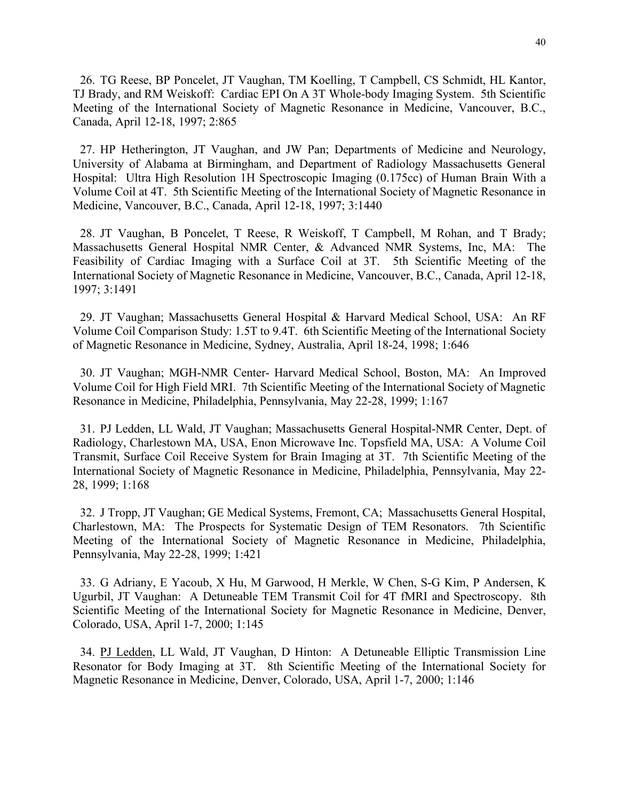26. TG Reese, BP Poncelet, JT Vaughan, TM Koelling, T Campbell, CS Schmidt, HL Kantor, TJ Brady, and RM Weiskoff: Cardiac EPI On A 3T Whole-body Imaging System. 5th Scientific Meeting of the International Society of Magnetic Resonance in Medicine, Vancouver, B.C., Canada, April 12-18, 1997; 2:865

27. HP Hetherington, JT Vaughan, and JW Pan; Departments of Medicine and Neurology, University of Alabama at Birmingham, and Department of Radiology Massachusetts General Hospital: Ultra High Resolution 1H Spectroscopic Imaging (0.175cc) of Human Brain With a Volume Coil at 4T. 5th Scientific Meeting of the International Society of Magnetic Resonance in Medicine, Vancouver, B.C., Canada, April 12-18, 1997; 3:1440

28. JT Vaughan, B Poncelet, T Reese, R Weiskoff, T Campbell, M Rohan, and T Brady; Massachusetts General Hospital NMR Center, & Advanced NMR Systems, Inc, MA: The Feasibility of Cardiac Imaging with a Surface Coil at 3T. 5th Scientific Meeting of the International Society of Magnetic Resonance in Medicine, Vancouver, B.C., Canada, April 12-18, 1997; 3:1491

29. JT Vaughan; Massachusetts General Hospital & Harvard Medical School, USA: An RF Volume Coil Comparison Study: 1.5T to 9.4T. 6th Scientific Meeting of the International Society of Magnetic Resonance in Medicine, Sydney, Australia, April 18-24, 1998; 1:646

30. JT Vaughan; MGH-NMR Center- Harvard Medical School, Boston, MA: An Improved Volume Coil for High Field MRI. 7th Scientific Meeting of the International Society of Magnetic Resonance in Medicine, Philadelphia, Pennsylvania, May 22-28, 1999; 1:167

31. PJ Ledden, LL Wald, JT Vaughan; Massachusetts General Hospital-NMR Center, Dept. of Radiology, Charlestown MA, USA, Enon Microwave Inc. Topsfield MA, USA: A Volume Coil Transmit, Surface Coil Receive System for Brain Imaging at 3T. 7th Scientific Meeting of the International Society of Magnetic Resonance in Medicine, Philadelphia, Pennsylvania, May 22- 28, 1999; 1:168

32. J Tropp, JT Vaughan; GE Medical Systems, Fremont, CA; Massachusetts General Hospital, Charlestown, MA: The Prospects for Systematic Design of TEM Resonators. 7th Scientific Meeting of the International Society of Magnetic Resonance in Medicine, Philadelphia, Pennsylvania, May 22-28, 1999; 1:421

33. G Adriany, E Yacoub, X Hu, M Garwood, H Merkle, W Chen, S-G Kim, P Andersen, K Ugurbil, JT Vaughan: A Detuneable TEM Transmit Coil for 4T fMRI and Spectroscopy. 8th Scientific Meeting of the International Society for Magnetic Resonance in Medicine, Denver, Colorado, USA, April 1-7, 2000; 1:145

34. PJ Ledden, LL Wald, JT Vaughan, D Hinton: A Detuneable Elliptic Transmission Line Resonator for Body Imaging at 3T. 8th Scientific Meeting of the International Society for Magnetic Resonance in Medicine, Denver, Colorado, USA, April 1-7, 2000; 1:146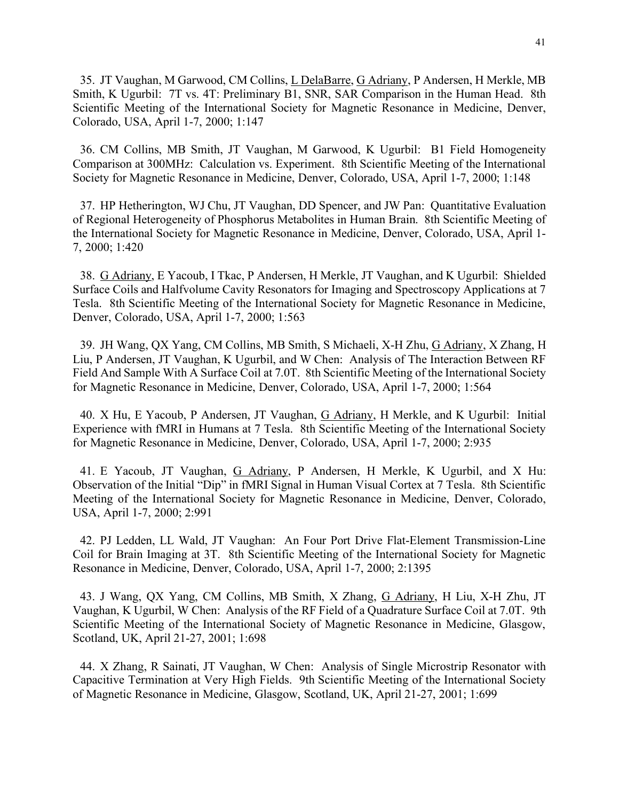35. JT Vaughan, M Garwood, CM Collins, L DelaBarre, G Adriany, P Andersen, H Merkle, MB Smith, K Ugurbil: 7T vs. 4T: Preliminary B1, SNR, SAR Comparison in the Human Head. 8th Scientific Meeting of the International Society for Magnetic Resonance in Medicine, Denver, Colorado, USA, April 1-7, 2000; 1:147

36. CM Collins, MB Smith, JT Vaughan, M Garwood, K Ugurbil: B1 Field Homogeneity Comparison at 300MHz: Calculation vs. Experiment. 8th Scientific Meeting of the International Society for Magnetic Resonance in Medicine, Denver, Colorado, USA, April 1-7, 2000; 1:148

37. HP Hetherington, WJ Chu, JT Vaughan, DD Spencer, and JW Pan: Quantitative Evaluation of Regional Heterogeneity of Phosphorus Metabolites in Human Brain. 8th Scientific Meeting of the International Society for Magnetic Resonance in Medicine, Denver, Colorado, USA, April 1- 7, 2000; 1:420

38. G Adriany, E Yacoub, I Tkac, P Andersen, H Merkle, JT Vaughan, and K Ugurbil: Shielded Surface Coils and Halfvolume Cavity Resonators for Imaging and Spectroscopy Applications at 7 Tesla. 8th Scientific Meeting of the International Society for Magnetic Resonance in Medicine, Denver, Colorado, USA, April 1-7, 2000; 1:563

39. JH Wang, QX Yang, CM Collins, MB Smith, S Michaeli, X-H Zhu, G Adriany, X Zhang, H Liu, P Andersen, JT Vaughan, K Ugurbil, and W Chen: Analysis of The Interaction Between RF Field And Sample With A Surface Coil at 7.0T. 8th Scientific Meeting of the International Society for Magnetic Resonance in Medicine, Denver, Colorado, USA, April 1-7, 2000; 1:564

40. X Hu, E Yacoub, P Andersen, JT Vaughan, G Adriany, H Merkle, and K Ugurbil: Initial Experience with fMRI in Humans at 7 Tesla. 8th Scientific Meeting of the International Society for Magnetic Resonance in Medicine, Denver, Colorado, USA, April 1-7, 2000; 2:935

41. E Yacoub, JT Vaughan, G Adriany, P Andersen, H Merkle, K Ugurbil, and X Hu: Observation of the Initial "Dip" in fMRI Signal in Human Visual Cortex at 7 Tesla. 8th Scientific Meeting of the International Society for Magnetic Resonance in Medicine, Denver, Colorado, USA, April 1-7, 2000; 2:991

42. PJ Ledden, LL Wald, JT Vaughan: An Four Port Drive Flat-Element Transmission-Line Coil for Brain Imaging at 3T. 8th Scientific Meeting of the International Society for Magnetic Resonance in Medicine, Denver, Colorado, USA, April 1-7, 2000; 2:1395

43. J Wang, QX Yang, CM Collins, MB Smith, X Zhang, G Adriany, H Liu, X-H Zhu, JT Vaughan, K Ugurbil, W Chen: Analysis of the RF Field of a Quadrature Surface Coil at 7.0T. 9th Scientific Meeting of the International Society of Magnetic Resonance in Medicine, Glasgow, Scotland, UK, April 21-27, 2001; 1:698

44. X Zhang, R Sainati, JT Vaughan, W Chen: Analysis of Single Microstrip Resonator with Capacitive Termination at Very High Fields. 9th Scientific Meeting of the International Society of Magnetic Resonance in Medicine, Glasgow, Scotland, UK, April 21-27, 2001; 1:699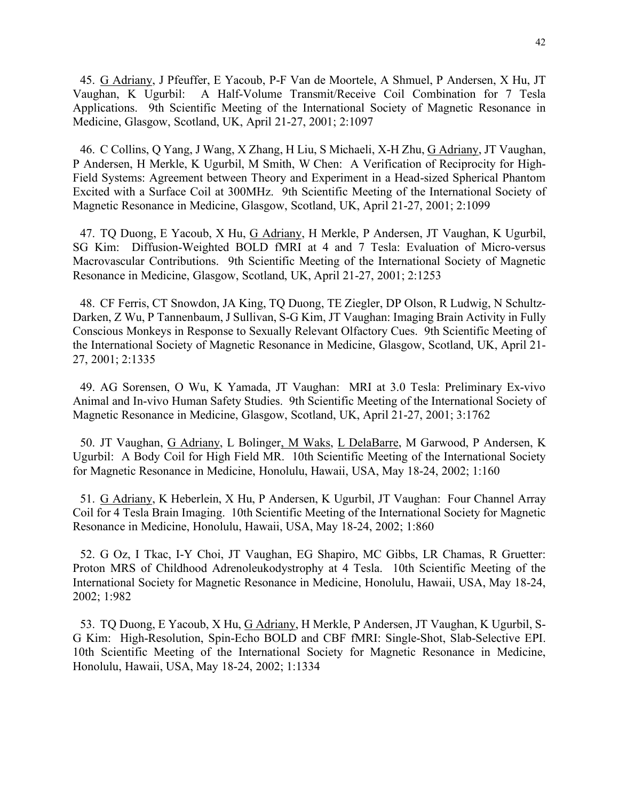45. G Adriany, J Pfeuffer, E Yacoub, P-F Van de Moortele, A Shmuel, P Andersen, X Hu, JT Vaughan, K Ugurbil: A Half-Volume Transmit/Receive Coil Combination for 7 Tesla Applications. 9th Scientific Meeting of the International Society of Magnetic Resonance in Medicine, Glasgow, Scotland, UK, April 21-27, 2001; 2:1097

46. C Collins, Q Yang, J Wang, X Zhang, H Liu, S Michaeli, X-H Zhu, G Adriany, JT Vaughan, P Andersen, H Merkle, K Ugurbil, M Smith, W Chen: A Verification of Reciprocity for High-Field Systems: Agreement between Theory and Experiment in a Head-sized Spherical Phantom Excited with a Surface Coil at 300MHz. 9th Scientific Meeting of the International Society of Magnetic Resonance in Medicine, Glasgow, Scotland, UK, April 21-27, 2001; 2:1099

47. TQ Duong, E Yacoub, X Hu, G Adriany, H Merkle, P Andersen, JT Vaughan, K Ugurbil, SG Kim: Diffusion-Weighted BOLD fMRI at 4 and 7 Tesla: Evaluation of Micro-versus Macrovascular Contributions. 9th Scientific Meeting of the International Society of Magnetic Resonance in Medicine, Glasgow, Scotland, UK, April 21-27, 2001; 2:1253

48. CF Ferris, CT Snowdon, JA King, TQ Duong, TE Ziegler, DP Olson, R Ludwig, N Schultz-Darken, Z Wu, P Tannenbaum, J Sullivan, S-G Kim, JT Vaughan: Imaging Brain Activity in Fully Conscious Monkeys in Response to Sexually Relevant Olfactory Cues. 9th Scientific Meeting of the International Society of Magnetic Resonance in Medicine, Glasgow, Scotland, UK, April 21- 27, 2001; 2:1335

49. AG Sorensen, O Wu, K Yamada, JT Vaughan: MRI at 3.0 Tesla: Preliminary Ex-vivo Animal and In-vivo Human Safety Studies. 9th Scientific Meeting of the International Society of Magnetic Resonance in Medicine, Glasgow, Scotland, UK, April 21-27, 2001; 3:1762

50. JT Vaughan, G Adriany, L Bolinger, M Waks, L DelaBarre, M Garwood, P Andersen, K Ugurbil: A Body Coil for High Field MR. 10th Scientific Meeting of the International Society for Magnetic Resonance in Medicine, Honolulu, Hawaii, USA, May 18-24, 2002; 1:160

51. G Adriany, K Heberlein, X Hu, P Andersen, K Ugurbil, JT Vaughan: Four Channel Array Coil for 4 Tesla Brain Imaging. 10th Scientific Meeting of the International Society for Magnetic Resonance in Medicine, Honolulu, Hawaii, USA, May 18-24, 2002; 1:860

52. G Oz, I Tkac, I-Y Choi, JT Vaughan, EG Shapiro, MC Gibbs, LR Chamas, R Gruetter: Proton MRS of Childhood Adrenoleukodystrophy at 4 Tesla. 10th Scientific Meeting of the International Society for Magnetic Resonance in Medicine, Honolulu, Hawaii, USA, May 18-24, 2002; 1:982

53. TQ Duong, E Yacoub, X Hu, G Adriany, H Merkle, P Andersen, JT Vaughan, K Ugurbil, S-G Kim: High-Resolution, Spin-Echo BOLD and CBF fMRI: Single-Shot, Slab-Selective EPI. 10th Scientific Meeting of the International Society for Magnetic Resonance in Medicine, Honolulu, Hawaii, USA, May 18-24, 2002; 1:1334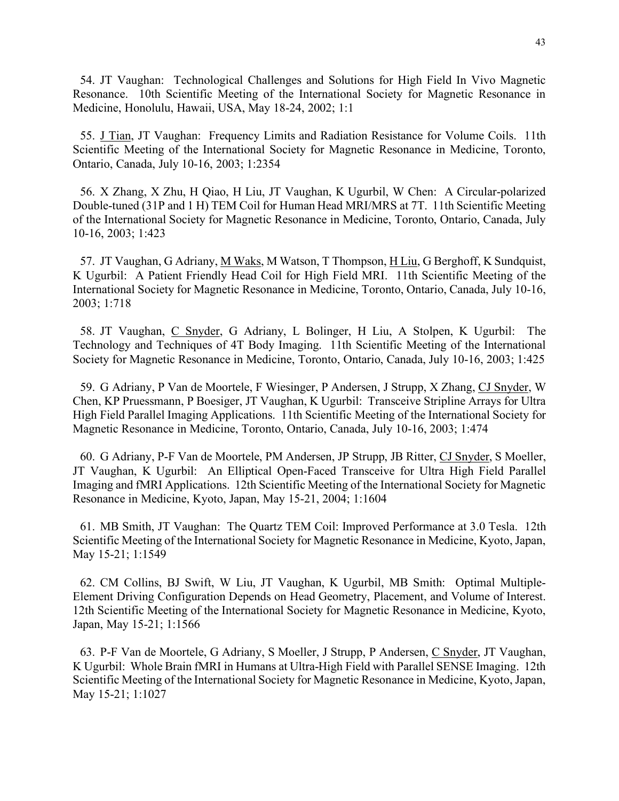54. JT Vaughan: Technological Challenges and Solutions for High Field In Vivo Magnetic Resonance. 10th Scientific Meeting of the International Society for Magnetic Resonance in Medicine, Honolulu, Hawaii, USA, May 18-24, 2002; 1:1

55. J Tian, JT Vaughan: Frequency Limits and Radiation Resistance for Volume Coils. 11th Scientific Meeting of the International Society for Magnetic Resonance in Medicine, Toronto, Ontario, Canada, July 10-16, 2003; 1:2354

56. X Zhang, X Zhu, H Qiao, H Liu, JT Vaughan, K Ugurbil, W Chen: A Circular-polarized Double-tuned (31P and 1 H) TEM Coil for Human Head MRI/MRS at 7T. 11th Scientific Meeting of the International Society for Magnetic Resonance in Medicine, Toronto, Ontario, Canada, July 10-16, 2003; 1:423

57. JT Vaughan, G Adriany, M Waks, M Watson, T Thompson, H Liu, G Berghoff, K Sundquist, K Ugurbil: A Patient Friendly Head Coil for High Field MRI. 11th Scientific Meeting of the International Society for Magnetic Resonance in Medicine, Toronto, Ontario, Canada, July 10-16, 2003; 1:718

58. JT Vaughan, C Snyder, G Adriany, L Bolinger, H Liu, A Stolpen, K Ugurbil: The Technology and Techniques of 4T Body Imaging. 11th Scientific Meeting of the International Society for Magnetic Resonance in Medicine, Toronto, Ontario, Canada, July 10-16, 2003; 1:425

59. G Adriany, P Van de Moortele, F Wiesinger, P Andersen, J Strupp, X Zhang, CJ Snyder, W Chen, KP Pruessmann, P Boesiger, JT Vaughan, K Ugurbil: Transceive Stripline Arrays for Ultra High Field Parallel Imaging Applications. 11th Scientific Meeting of the International Society for Magnetic Resonance in Medicine, Toronto, Ontario, Canada, July 10-16, 2003; 1:474

60. G Adriany, P-F Van de Moortele, PM Andersen, JP Strupp, JB Ritter, CJ Snyder, S Moeller, JT Vaughan, K Ugurbil: An Elliptical Open-Faced Transceive for Ultra High Field Parallel Imaging and fMRI Applications. 12th Scientific Meeting of the International Society for Magnetic Resonance in Medicine, Kyoto, Japan, May 15-21, 2004; 1:1604

61. MB Smith, JT Vaughan: The Quartz TEM Coil: Improved Performance at 3.0 Tesla. 12th Scientific Meeting of the International Society for Magnetic Resonance in Medicine, Kyoto, Japan, May 15-21; 1:1549

62. CM Collins, BJ Swift, W Liu, JT Vaughan, K Ugurbil, MB Smith: Optimal Multiple-Element Driving Configuration Depends on Head Geometry, Placement, and Volume of Interest. 12th Scientific Meeting of the International Society for Magnetic Resonance in Medicine, Kyoto, Japan, May 15-21; 1:1566

63. P-F Van de Moortele, G Adriany, S Moeller, J Strupp, P Andersen, C Snyder, JT Vaughan, K Ugurbil: Whole Brain fMRI in Humans at Ultra-High Field with Parallel SENSE Imaging. 12th Scientific Meeting of the International Society for Magnetic Resonance in Medicine, Kyoto, Japan, May 15-21; 1:1027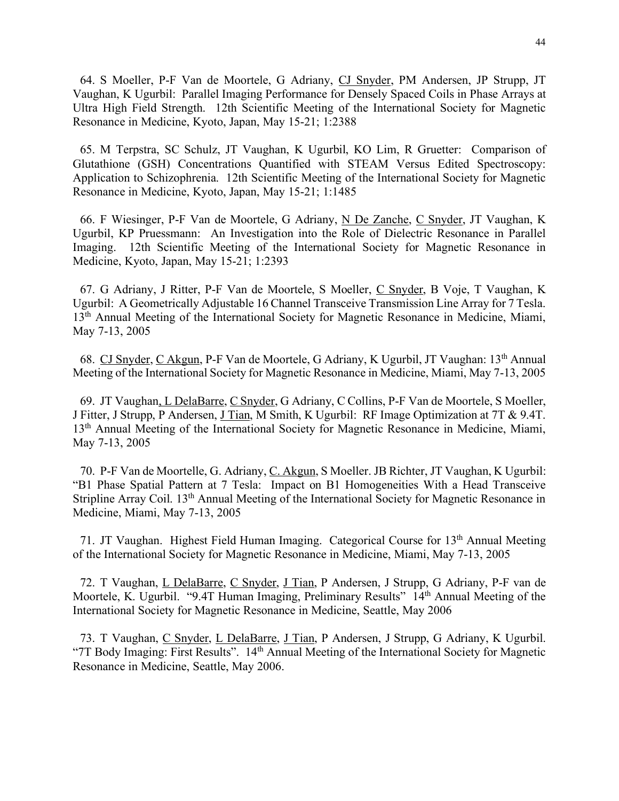64. S Moeller, P-F Van de Moortele, G Adriany, CJ Snyder, PM Andersen, JP Strupp, JT Vaughan, K Ugurbil: Parallel Imaging Performance for Densely Spaced Coils in Phase Arrays at Ultra High Field Strength. 12th Scientific Meeting of the International Society for Magnetic Resonance in Medicine, Kyoto, Japan, May 15-21; 1:2388

65. M Terpstra, SC Schulz, JT Vaughan, K Ugurbil, KO Lim, R Gruetter: Comparison of Glutathione (GSH) Concentrations Quantified with STEAM Versus Edited Spectroscopy: Application to Schizophrenia. 12th Scientific Meeting of the International Society for Magnetic Resonance in Medicine, Kyoto, Japan, May 15-21; 1:1485

66. F Wiesinger, P-F Van de Moortele, G Adriany, N De Zanche, C Snyder, JT Vaughan, K Ugurbil, KP Pruessmann: An Investigation into the Role of Dielectric Resonance in Parallel Imaging. 12th Scientific Meeting of the International Society for Magnetic Resonance in Medicine, Kyoto, Japan, May 15-21; 1:2393

67. G Adriany, J Ritter, P-F Van de Moortele, S Moeller, C Snyder, B Voje, T Vaughan, K Ugurbil: A Geometrically Adjustable 16 Channel Transceive Transmission Line Array for 7 Tesla. 13<sup>th</sup> Annual Meeting of the International Society for Magnetic Resonance in Medicine, Miami, May 7-13, 2005

68. CJ Snyder, C Akgun, P-F Van de Moortele, G Adriany, K Ugurbil, JT Vaughan: 13th Annual Meeting of the International Society for Magnetic Resonance in Medicine, Miami, May 7-13, 2005

69. JT Vaughan, L DelaBarre, C Snyder, G Adriany, C Collins, P-F Van de Moortele, S Moeller, J Fitter, J Strupp, P Andersen, <u>J Tian</u>, M Smith, K Ugurbil: RF Image Optimization at 7T & 9.4T. 13<sup>th</sup> Annual Meeting of the International Society for Magnetic Resonance in Medicine, Miami, May 7-13, 2005

70. P-F Van de Moortelle, G. Adriany, C. Akgun, S Moeller. JB Richter, JT Vaughan, K Ugurbil: "B1 Phase Spatial Pattern at 7 Tesla: Impact on B1 Homogeneities With a Head Transceive Stripline Array Coil. 13<sup>th</sup> Annual Meeting of the International Society for Magnetic Resonance in Medicine, Miami, May 7-13, 2005

71. JT Vaughan. Highest Field Human Imaging. Categorical Course for 13<sup>th</sup> Annual Meeting of the International Society for Magnetic Resonance in Medicine, Miami, May 7-13, 2005

72. T Vaughan, L DelaBarre, C Snyder, J Tian, P Andersen, J Strupp, G Adriany, P-F van de Moortele, K. Ugurbil. "9.4T Human Imaging, Preliminary Results" 14<sup>th</sup> Annual Meeting of the International Society for Magnetic Resonance in Medicine, Seattle, May 2006

73. T Vaughan, C Snyder, L DelaBarre, J Tian, P Andersen, J Strupp, G Adriany, K Ugurbil. "7T Body Imaging: First Results". 14th Annual Meeting of the International Society for Magnetic Resonance in Medicine, Seattle, May 2006.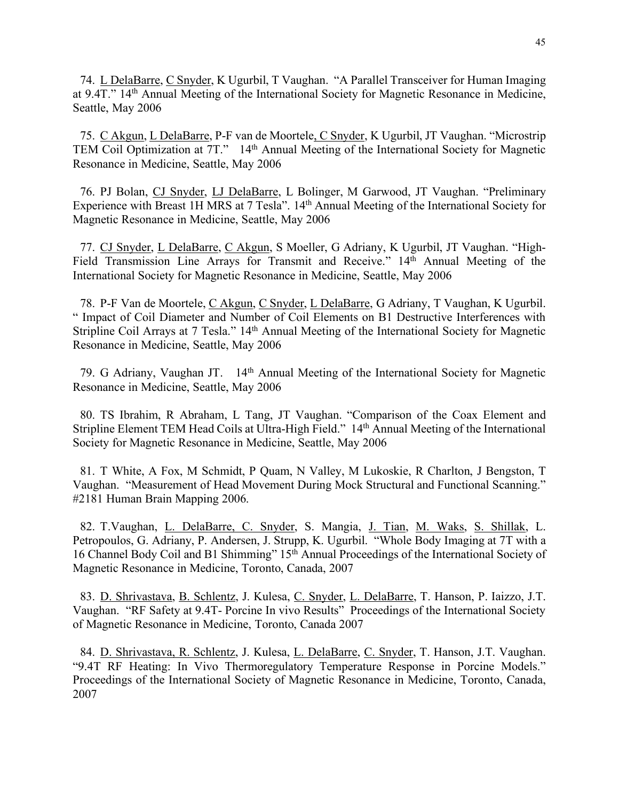74. L DelaBarre, C Snyder, K Ugurbil, T Vaughan. "A Parallel Transceiver for Human Imaging at 9.4T." 14th Annual Meeting of the International Society for Magnetic Resonance in Medicine, Seattle, May 2006

75. C Akgun, L DelaBarre, P-F van de Moortele, C Snyder, K Ugurbil, JT Vaughan. "Microstrip TEM Coil Optimization at 7T." 14<sup>th</sup> Annual Meeting of the International Society for Magnetic Resonance in Medicine, Seattle, May 2006

76. PJ Bolan, CJ Snyder, LJ DelaBarre, L Bolinger, M Garwood, JT Vaughan. "Preliminary Experience with Breast 1H MRS at 7 Tesla". 14<sup>th</sup> Annual Meeting of the International Society for Magnetic Resonance in Medicine, Seattle, May 2006

77. CJ Snyder, L DelaBarre, C Akgun, S Moeller, G Adriany, K Ugurbil, JT Vaughan. "High-Field Transmission Line Arrays for Transmit and Receive." 14<sup>th</sup> Annual Meeting of the International Society for Magnetic Resonance in Medicine, Seattle, May 2006

78. P-F Van de Moortele, C Akgun, C Snyder, L DelaBarre, G Adriany, T Vaughan, K Ugurbil. " Impact of Coil Diameter and Number of Coil Elements on B1 Destructive Interferences with Stripline Coil Arrays at 7 Tesla." 14<sup>th</sup> Annual Meeting of the International Society for Magnetic Resonance in Medicine, Seattle, May 2006

79. G Adriany, Vaughan JT. 14th Annual Meeting of the International Society for Magnetic Resonance in Medicine, Seattle, May 2006

80. TS Ibrahim, R Abraham, L Tang, JT Vaughan. "Comparison of the Coax Element and Stripline Element TEM Head Coils at Ultra-High Field." 14th Annual Meeting of the International Society for Magnetic Resonance in Medicine, Seattle, May 2006

81. T White, A Fox, M Schmidt, P Quam, N Valley, M Lukoskie, R Charlton, J Bengston, T Vaughan. "Measurement of Head Movement During Mock Structural and Functional Scanning." #2181 Human Brain Mapping 2006.

82. T.Vaughan, L. DelaBarre, C. Snyder, S. Mangia, J. Tian, M. Waks, S. Shillak, L. Petropoulos, G. Adriany, P. Andersen, J. Strupp, K. Ugurbil. "Whole Body Imaging at 7T with a 16 Channel Body Coil and B1 Shimming" 15th Annual Proceedings of the International Society of Magnetic Resonance in Medicine, Toronto, Canada, 2007

83. D. Shrivastava, B. Schlentz, J. Kulesa, C. Snyder, L. DelaBarre, T. Hanson, P. Iaizzo, J.T. Vaughan. "RF Safety at 9.4T- Porcine In vivo Results" Proceedings of the International Society of Magnetic Resonance in Medicine, Toronto, Canada 2007

84. D. Shrivastava, R. Schlentz, J. Kulesa, L. DelaBarre, C. Snyder, T. Hanson, J.T. Vaughan. "9.4T RF Heating: In Vivo Thermoregulatory Temperature Response in Porcine Models." Proceedings of the International Society of Magnetic Resonance in Medicine, Toronto, Canada, 2007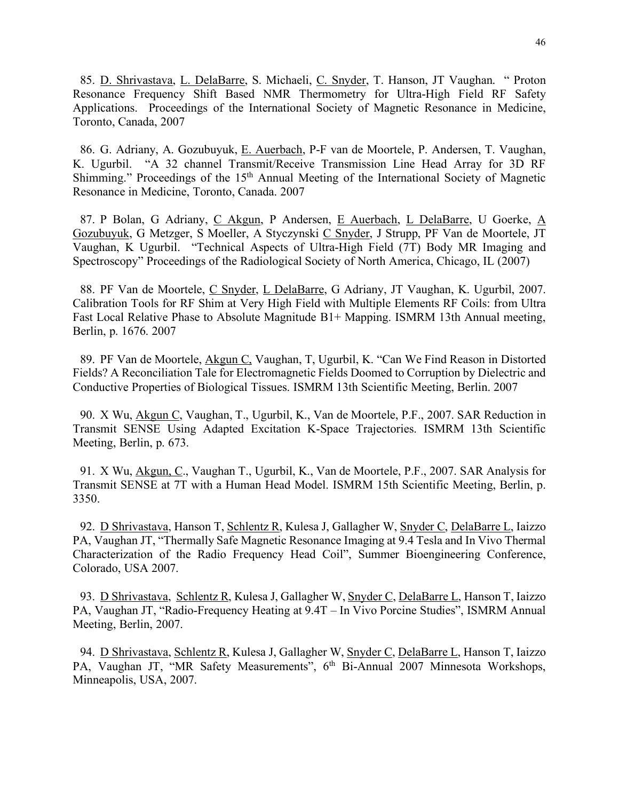85. D. Shrivastava, L. DelaBarre, S. Michaeli, C. Snyder, T. Hanson, JT Vaughan. " Proton Resonance Frequency Shift Based NMR Thermometry for Ultra-High Field RF Safety Applications. Proceedings of the International Society of Magnetic Resonance in Medicine, Toronto, Canada, 2007

86. G. Adriany, A. Gozubuyuk, E. Auerbach, P-F van de Moortele, P. Andersen, T. Vaughan, K. Ugurbil. "A 32 channel Transmit/Receive Transmission Line Head Array for 3D RF Shimming." Proceedings of the 15<sup>th</sup> Annual Meeting of the International Society of Magnetic Resonance in Medicine, Toronto, Canada. 2007

87. P Bolan, G Adriany, C Akgun, P Andersen, E Auerbach, L DelaBarre, U Goerke, A Gozubuyuk, G Metzger, S Moeller, A Styczynski C Snyder, J Strupp, PF Van de Moortele, JT Vaughan, K Ugurbil. "Technical Aspects of Ultra-High Field (7T) Body MR Imaging and Spectroscopy" Proceedings of the Radiological Society of North America, Chicago, IL (2007)

88. PF Van de Moortele, C Snyder, L DelaBarre, G Adriany, JT Vaughan, K. Ugurbil, 2007. Calibration Tools for RF Shim at Very High Field with Multiple Elements RF Coils: from Ultra Fast Local Relative Phase to Absolute Magnitude B1+ Mapping. ISMRM 13th Annual meeting, Berlin, p. 1676. 2007

89. PF Van de Moortele, Akgun C, Vaughan, T, Ugurbil, K. "Can We Find Reason in Distorted Fields? A Reconciliation Tale for Electromagnetic Fields Doomed to Corruption by Dielectric and Conductive Properties of Biological Tissues. ISMRM 13th Scientific Meeting, Berlin. 2007

90. X Wu, Akgun C, Vaughan, T., Ugurbil, K., Van de Moortele, P.F., 2007. SAR Reduction in Transmit SENSE Using Adapted Excitation K-Space Trajectories. ISMRM 13th Scientific Meeting, Berlin, p. 673.

91. X Wu, Akgun, C., Vaughan T., Ugurbil, K., Van de Moortele, P.F., 2007. SAR Analysis for Transmit SENSE at 7T with a Human Head Model. ISMRM 15th Scientific Meeting, Berlin, p. 3350.

92. D Shrivastava, Hanson T, Schlentz R, Kulesa J, Gallagher W, Snyder C, DelaBarre L, Iaizzo PA, Vaughan JT, "Thermally Safe Magnetic Resonance Imaging at 9.4 Tesla and In Vivo Thermal Characterization of the Radio Frequency Head Coil", Summer Bioengineering Conference, Colorado, USA 2007.

93. D Shrivastava, Schlentz R, Kulesa J, Gallagher W, Snyder C, DelaBarre L, Hanson T, Iaizzo PA, Vaughan JT, "Radio-Frequency Heating at 9.4T – In Vivo Porcine Studies", ISMRM Annual Meeting, Berlin, 2007.

94. D Shrivastava, Schlentz R, Kulesa J, Gallagher W, Snyder C, DelaBarre L, Hanson T, Iaizzo PA, Vaughan JT, "MR Safety Measurements", 6<sup>th</sup> Bi-Annual 2007 Minnesota Workshops, Minneapolis, USA, 2007.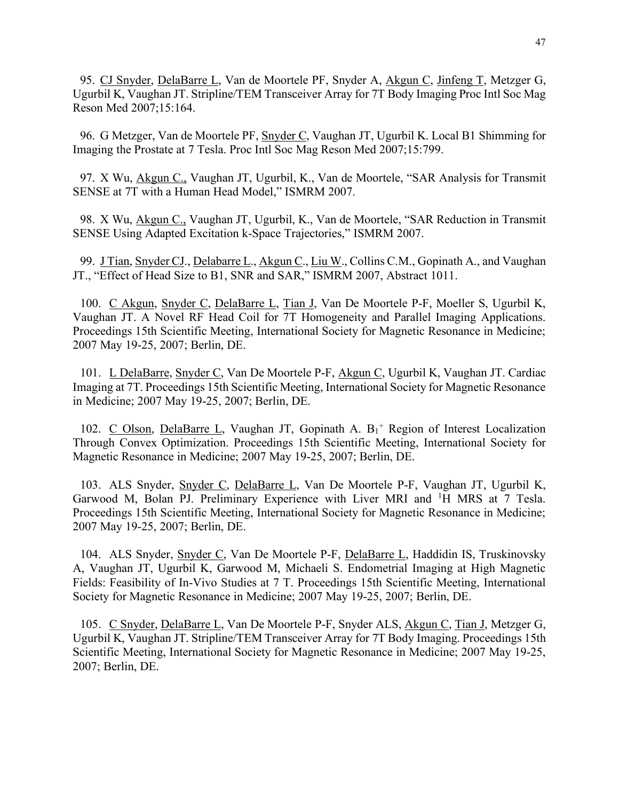95. CJ Snyder, DelaBarre L, Van de Moortele PF, Snyder A, Akgun C, Jinfeng T, Metzger G, Ugurbil K, Vaughan JT. Stripline/TEM Transceiver Array for 7T Body Imaging Proc Intl Soc Mag Reson Med 2007;15:164.

96. G Metzger, Van de Moortele PF, Snyder C, Vaughan JT, Ugurbil K. Local B1 Shimming for Imaging the Prostate at 7 Tesla. Proc Intl Soc Mag Reson Med 2007;15:799.

97. X Wu, Akgun C., Vaughan JT, Ugurbil, K., Van de Moortele, "SAR Analysis for Transmit SENSE at 7T with a Human Head Model," ISMRM 2007.

98. X Wu, Akgun C., Vaughan JT, Ugurbil, K., Van de Moortele, "SAR Reduction in Transmit SENSE Using Adapted Excitation k-Space Trajectories," ISMRM 2007.

99. J Tian, Snyder CJ., Delabarre L., Akgun C., Liu W., Collins C.M., Gopinath A., and Vaughan JT., "Effect of Head Size to B1, SNR and SAR," ISMRM 2007, Abstract 1011.

100. C Akgun, Snyder C, DelaBarre L, Tian J, Van De Moortele P-F, Moeller S, Ugurbil K, Vaughan JT. A Novel RF Head Coil for 7T Homogeneity and Parallel Imaging Applications. Proceedings 15th Scientific Meeting, International Society for Magnetic Resonance in Medicine; 2007 May 19-25, 2007; Berlin, DE.

101. L DelaBarre, Snyder C, Van De Moortele P-F, Akgun C, Ugurbil K, Vaughan JT. Cardiac Imaging at 7T. Proceedings 15th Scientific Meeting, International Society for Magnetic Resonance in Medicine; 2007 May 19-25, 2007; Berlin, DE.

102. C Olson, DelaBarre L, Vaughan JT, Gopinath A.  $B_1$ <sup>+</sup> Region of Interest Localization Through Convex Optimization. Proceedings 15th Scientific Meeting, International Society for Magnetic Resonance in Medicine; 2007 May 19-25, 2007; Berlin, DE.

103. ALS Snyder, Snyder C, DelaBarre L, Van De Moortele P-F, Vaughan JT, Ugurbil K, Garwood M, Bolan PJ. Preliminary Experience with Liver MRI and <sup>1</sup>H MRS at 7 Tesla. Proceedings 15th Scientific Meeting, International Society for Magnetic Resonance in Medicine; 2007 May 19-25, 2007; Berlin, DE.

104. ALS Snyder, Snyder C, Van De Moortele P-F, DelaBarre L, Haddidin IS, Truskinovsky A, Vaughan JT, Ugurbil K, Garwood M, Michaeli S. Endometrial Imaging at High Magnetic Fields: Feasibility of In-Vivo Studies at 7 T. Proceedings 15th Scientific Meeting, International Society for Magnetic Resonance in Medicine; 2007 May 19-25, 2007; Berlin, DE.

105. C Snyder, DelaBarre L, Van De Moortele P-F, Snyder ALS, Akgun C, Tian J, Metzger G, Ugurbil K, Vaughan JT. Stripline/TEM Transceiver Array for 7T Body Imaging. Proceedings 15th Scientific Meeting, International Society for Magnetic Resonance in Medicine; 2007 May 19-25, 2007; Berlin, DE.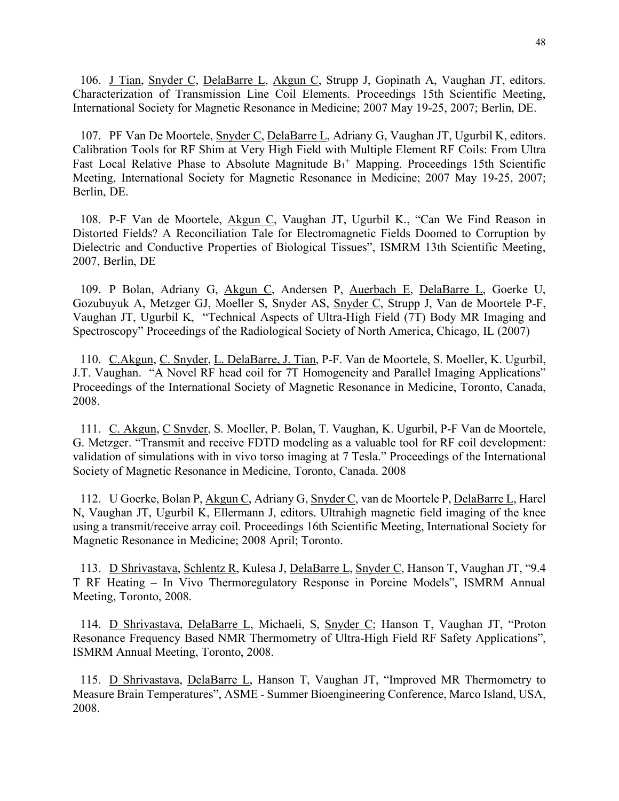106. J Tian, Snyder C, DelaBarre L, Akgun C, Strupp J, Gopinath A, Vaughan JT, editors. Characterization of Transmission Line Coil Elements. Proceedings 15th Scientific Meeting, International Society for Magnetic Resonance in Medicine; 2007 May 19-25, 2007; Berlin, DE.

107. PF Van De Moortele, Snyder C, DelaBarre L, Adriany G, Vaughan JT, Ugurbil K, editors. Calibration Tools for RF Shim at Very High Field with Multiple Element RF Coils: From Ultra Fast Local Relative Phase to Absolute Magnitude  $B_1$ <sup>+</sup> Mapping. Proceedings 15th Scientific Meeting, International Society for Magnetic Resonance in Medicine; 2007 May 19-25, 2007; Berlin, DE.

108. P-F Van de Moortele, Akgun C, Vaughan JT, Ugurbil K., "Can We Find Reason in Distorted Fields? A Reconciliation Tale for Electromagnetic Fields Doomed to Corruption by Dielectric and Conductive Properties of Biological Tissues", ISMRM 13th Scientific Meeting, 2007, Berlin, DE

109. P Bolan, Adriany G, Akgun C, Andersen P, Auerbach E, DelaBarre L, Goerke U, Gozubuyuk A, Metzger GJ, Moeller S, Snyder AS, Snyder C, Strupp J, Van de Moortele P-F, Vaughan JT, Ugurbil K, "Technical Aspects of Ultra-High Field (7T) Body MR Imaging and Spectroscopy" Proceedings of the Radiological Society of North America, Chicago, IL (2007)

110. C.Akgun, C. Snyder, L. DelaBarre, J. Tian, P-F. Van de Moortele, S. Moeller, K. Ugurbil, J.T. Vaughan. "A Novel RF head coil for 7T Homogeneity and Parallel Imaging Applications" Proceedings of the International Society of Magnetic Resonance in Medicine, Toronto, Canada, 2008.

111. C. Akgun, C Snyder, S. Moeller, P. Bolan, T. Vaughan, K. Ugurbil, P-F Van de Moortele, G. Metzger. "Transmit and receive FDTD modeling as a valuable tool for RF coil development: validation of simulations with in vivo torso imaging at 7 Tesla." Proceedings of the International Society of Magnetic Resonance in Medicine, Toronto, Canada. 2008

112. U Goerke, Bolan P, Akgun C, Adriany G, Snyder C, van de Moortele P, DelaBarre L, Harel N, Vaughan JT, Ugurbil K, Ellermann J, editors. Ultrahigh magnetic field imaging of the knee using a transmit/receive array coil. Proceedings 16th Scientific Meeting, International Society for Magnetic Resonance in Medicine; 2008 April; Toronto.

113. D Shrivastava, Schlentz R, Kulesa J, DelaBarre L, Snyder C, Hanson T, Vaughan JT, "9.4 T RF Heating – In Vivo Thermoregulatory Response in Porcine Models", ISMRM Annual Meeting, Toronto, 2008.

114. D Shrivastava, DelaBarre L, Michaeli, S, Snyder C; Hanson T, Vaughan JT, "Proton Resonance Frequency Based NMR Thermometry of Ultra-High Field RF Safety Applications", ISMRM Annual Meeting, Toronto, 2008.

115. D Shrivastava, DelaBarre L, Hanson T, Vaughan JT, "Improved MR Thermometry to Measure Brain Temperatures", ASME - Summer Bioengineering Conference, Marco Island, USA, 2008.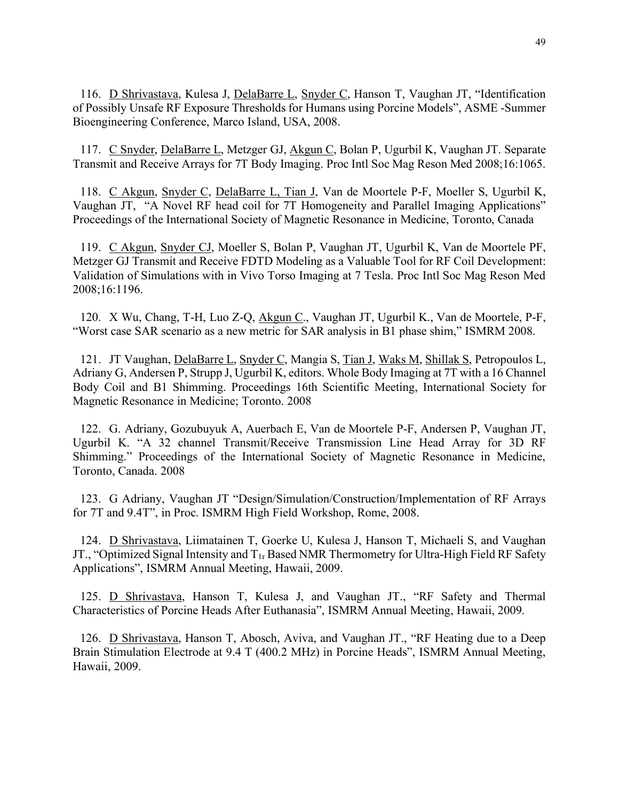116. D Shrivastava, Kulesa J, DelaBarre L, Snyder C, Hanson T, Vaughan JT, "Identification of Possibly Unsafe RF Exposure Thresholds for Humans using Porcine Models", ASME -Summer Bioengineering Conference, Marco Island, USA, 2008.

117. C Snyder, DelaBarre L, Metzger GJ, Akgun C, Bolan P, Ugurbil K, Vaughan JT. Separate Transmit and Receive Arrays for 7T Body Imaging. Proc Intl Soc Mag Reson Med 2008;16:1065.

118. C Akgun, Snyder C, DelaBarre L, Tian J, Van de Moortele P-F, Moeller S, Ugurbil K, Vaughan JT, "A Novel RF head coil for 7T Homogeneity and Parallel Imaging Applications" Proceedings of the International Society of Magnetic Resonance in Medicine, Toronto, Canada

119. C Akgun, Snyder CJ, Moeller S, Bolan P, Vaughan JT, Ugurbil K, Van de Moortele PF, Metzger GJ Transmit and Receive FDTD Modeling as a Valuable Tool for RF Coil Development: Validation of Simulations with in Vivo Torso Imaging at 7 Tesla. Proc Intl Soc Mag Reson Med 2008;16:1196.

120. X Wu, Chang, T-H, Luo Z-Q, Akgun C., Vaughan JT, Ugurbil K., Van de Moortele, P-F, "Worst case SAR scenario as a new metric for SAR analysis in B1 phase shim," ISMRM 2008.

121. JT Vaughan, DelaBarre L, Snyder C, Mangia S, Tian J, Waks M, Shillak S, Petropoulos L, Adriany G, Andersen P, Strupp J, Ugurbil K, editors. Whole Body Imaging at 7T with a 16 Channel Body Coil and B1 Shimming. Proceedings 16th Scientific Meeting, International Society for Magnetic Resonance in Medicine; Toronto. 2008

122. G. Adriany, Gozubuyuk A, Auerbach E, Van de Moortele P-F, Andersen P, Vaughan JT, Ugurbil K. "A 32 channel Transmit/Receive Transmission Line Head Array for 3D RF Shimming." Proceedings of the International Society of Magnetic Resonance in Medicine, Toronto, Canada. 2008

123. G Adriany, Vaughan JT "Design/Simulation/Construction/Implementation of RF Arrays for 7T and 9.4T", in Proc. ISMRM High Field Workshop, Rome, 2008.

124. D Shrivastava, Liimatainen T, Goerke U, Kulesa J, Hanson T, Michaeli S, and Vaughan JT., "Optimized Signal Intensity and T1r Based NMR Thermometry for Ultra-High Field RF Safety Applications", ISMRM Annual Meeting, Hawaii, 2009.

125. D Shrivastava, Hanson T, Kulesa J, and Vaughan JT., "RF Safety and Thermal Characteristics of Porcine Heads After Euthanasia", ISMRM Annual Meeting, Hawaii, 2009.

126. D Shrivastava, Hanson T, Abosch, Aviva, and Vaughan JT., "RF Heating due to a Deep Brain Stimulation Electrode at 9.4 T (400.2 MHz) in Porcine Heads", ISMRM Annual Meeting, Hawaii, 2009.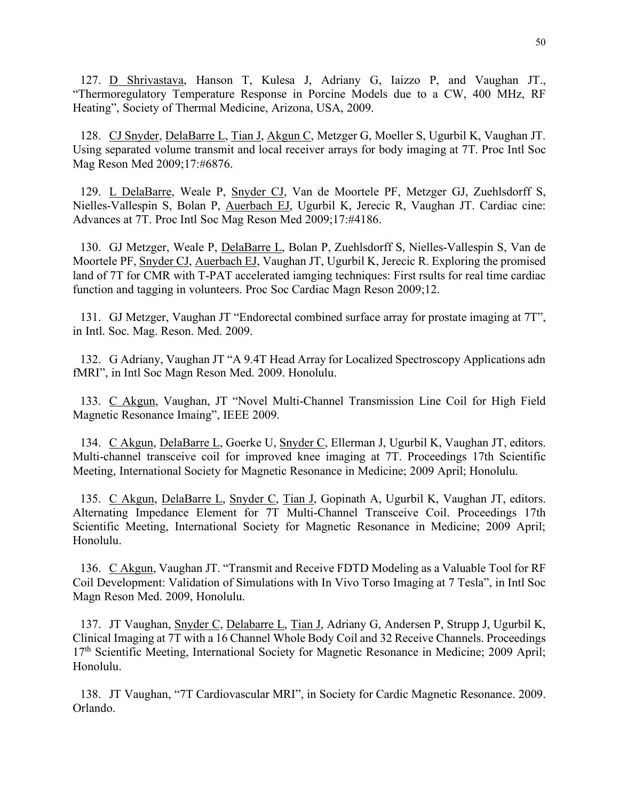127. D Shrivastava, Hanson T, Kulesa J, Adriany G, Iaizzo P, and Vaughan JT., "Thermoregulatory Temperature Response in Porcine Models due to a CW, 400 MHz, RF Heating", Society of Thermal Medicine, Arizona, USA, 2009.

128. CJ Snyder, DelaBarre L, Tian J, Akgun C, Metzger G, Moeller S, Ugurbil K, Vaughan JT. Using separated volume transmit and local receiver arrays for body imaging at 7T. Proc Intl Soc Mag Reson Med 2009;17:#6876.

129. L DelaBarre, Weale P, Snyder CJ, Van de Moortele PF, Metzger GJ, Zuehlsdorff S, Nielles-Vallespin S, Bolan P, Auerbach EJ, Ugurbil K, Jerecic R, Vaughan JT. Cardiac cine: Advances at 7T. Proc Intl Soc Mag Reson Med 2009;17:#4186.

130. GJ Metzger, Weale P, DelaBarre L, Bolan P, Zuehlsdorff S, Nielles-Vallespin S, Van de Moortele PF, Snyder CJ, Auerbach EJ, Vaughan JT, Ugurbil K, Jerecic R. Exploring the promised land of 7T for CMR with T-PAT accelerated iamging techniques: First rsults for real time cardiac function and tagging in volunteers. Proc Soc Cardiac Magn Reson 2009;12.

131. GJ Metzger, Vaughan JT "Endorectal combined surface array for prostate imaging at 7T", in Intl. Soc. Mag. Reson. Med. 2009.

132. G Adriany, Vaughan JT "A 9.4T Head Array for Localized Spectroscopy Applications adn fMRI", in Intl Soc Magn Reson Med. 2009. Honolulu.

133. C Akgun, Vaughan, JT "Novel Multi-Channel Transmission Line Coil for High Field Magnetic Resonance Imaing", IEEE 2009.

134. C Akgun, DelaBarre L, Goerke U, Snyder C, Ellerman J, Ugurbil K, Vaughan JT, editors. Multi-channel transceive coil for improved knee imaging at 7T. Proceedings 17th Scientific Meeting, International Society for Magnetic Resonance in Medicine; 2009 April; Honolulu.

135. C Akgun, DelaBarre L, Snyder C, Tian J, Gopinath A, Ugurbil K, Vaughan JT, editors. Alternating Impedance Element for 7T Multi-Channel Transceive Coil. Proceedings 17th Scientific Meeting, International Society for Magnetic Resonance in Medicine; 2009 April; Honolulu.

136. C Akgun, Vaughan JT. "Transmit and Receive FDTD Modeling as a Valuable Tool for RF Coil Development: Validation of Simulations with In Vivo Torso Imaging at 7 Tesla", in Intl Soc Magn Reson Med. 2009, Honolulu.

137. JT Vaughan, Snyder C, Delabarre L, Tian J, Adriany G, Andersen P, Strupp J, Ugurbil K, Clinical Imaging at 7T with a 16 Channel Whole Body Coil and 32 Receive Channels. Proceedings 17<sup>th</sup> Scientific Meeting, International Society for Magnetic Resonance in Medicine; 2009 April; Honolulu.

138. JT Vaughan, "7T Cardiovascular MRI", in Society for Cardic Magnetic Resonance. 2009. Orlando.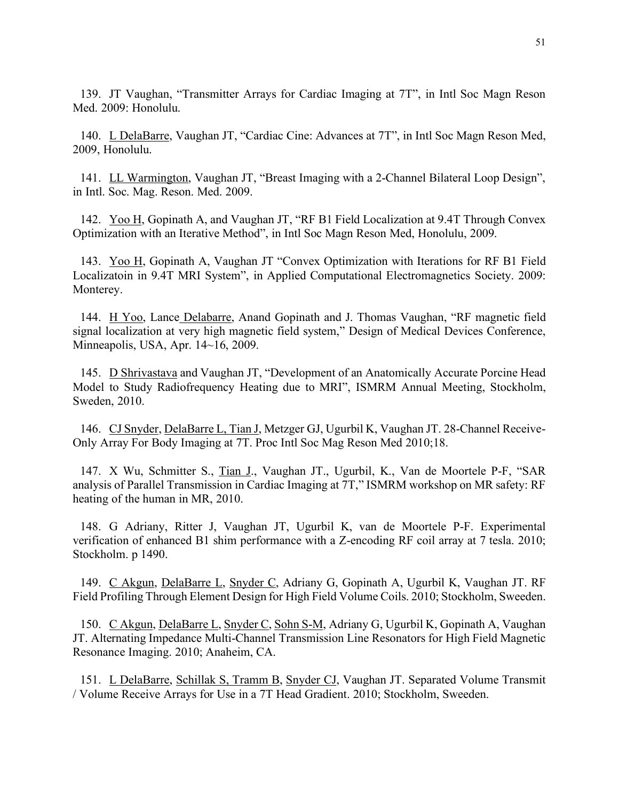139. JT Vaughan, "Transmitter Arrays for Cardiac Imaging at 7T", in Intl Soc Magn Reson Med. 2009: Honolulu.

140. L DelaBarre, Vaughan JT, "Cardiac Cine: Advances at 7T", in Intl Soc Magn Reson Med, 2009, Honolulu.

141. LL Warmington, Vaughan JT, "Breast Imaging with a 2-Channel Bilateral Loop Design", in Intl. Soc. Mag. Reson. Med. 2009.

142. Yoo H, Gopinath A, and Vaughan JT, "RF B1 Field Localization at 9.4T Through Convex Optimization with an Iterative Method", in Intl Soc Magn Reson Med, Honolulu, 2009.

143. Yoo H, Gopinath A, Vaughan JT "Convex Optimization with Iterations for RF B1 Field Localizatoin in 9.4T MRI System", in Applied Computational Electromagnetics Society. 2009: Monterey.

144. H Yoo, Lance Delabarre, Anand Gopinath and J. Thomas Vaughan, "RF magnetic field signal localization at very high magnetic field system," Design of Medical Devices Conference, Minneapolis, USA, Apr. 14~16, 2009.

145. D Shrivastava and Vaughan JT, "Development of an Anatomically Accurate Porcine Head Model to Study Radiofrequency Heating due to MRI", ISMRM Annual Meeting, Stockholm, Sweden, 2010.

146. CJ Snyder, DelaBarre L, Tian J, Metzger GJ, Ugurbil K, Vaughan JT. 28-Channel Receive-Only Array For Body Imaging at 7T. Proc Intl Soc Mag Reson Med 2010;18.

147. X Wu, Schmitter S., Tian J., Vaughan JT., Ugurbil, K., Van de Moortele P-F, "SAR analysis of Parallel Transmission in Cardiac Imaging at 7T," ISMRM workshop on MR safety: RF heating of the human in MR, 2010.

148. G Adriany, Ritter J, Vaughan JT, Ugurbil K, van de Moortele P-F. Experimental verification of enhanced B1 shim performance with a Z-encoding RF coil array at 7 tesla. 2010; Stockholm. p 1490.

149. C Akgun, DelaBarre L, Snyder C, Adriany G, Gopinath A, Ugurbil K, Vaughan JT. RF Field Profiling Through Element Design for High Field Volume Coils. 2010; Stockholm, Sweeden.

150. C Akgun, DelaBarre L, Snyder C, Sohn S-M, Adriany G, Ugurbil K, Gopinath A, Vaughan JT. Alternating Impedance Multi-Channel Transmission Line Resonators for High Field Magnetic Resonance Imaging. 2010; Anaheim, CA.

151. L DelaBarre, Schillak S, Tramm B, Snyder CJ, Vaughan JT. Separated Volume Transmit / Volume Receive Arrays for Use in a 7T Head Gradient. 2010; Stockholm, Sweeden.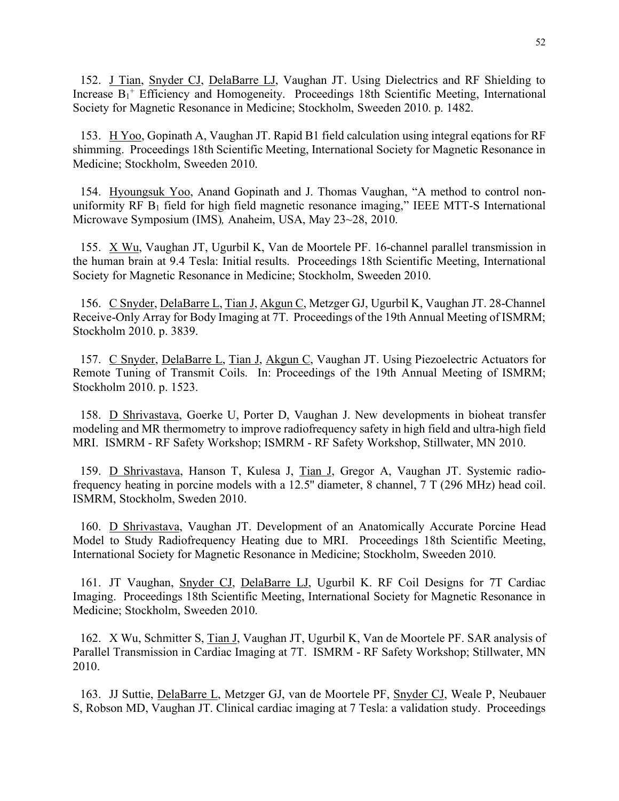152. J Tian, Snyder CJ, DelaBarre LJ, Vaughan JT. Using Dielectrics and RF Shielding to Increase  $B_1$ <sup>+</sup> Efficiency and Homogeneity. Proceedings 18th Scientific Meeting, International Society for Magnetic Resonance in Medicine; Stockholm, Sweeden 2010. p. 1482.

153. H Yoo, Gopinath A, Vaughan JT. Rapid B1 field calculation using integral eqations for RF shimming. Proceedings 18th Scientific Meeting, International Society for Magnetic Resonance in Medicine; Stockholm, Sweeden 2010.

154. Hyoungsuk Yoo, Anand Gopinath and J. Thomas Vaughan, "A method to control nonuniformity RF  $B_1$  field for high field magnetic resonance imaging," IEEE MTT-S International Microwave Symposium (IMS)*,* Anaheim, USA, May 23~28, 2010.

155. X Wu, Vaughan JT, Ugurbil K, Van de Moortele PF. 16-channel parallel transmission in the human brain at 9.4 Tesla: Initial results. Proceedings 18th Scientific Meeting, International Society for Magnetic Resonance in Medicine; Stockholm, Sweeden 2010.

156. C Snyder, DelaBarre L, Tian J, Akgun C, Metzger GJ, Ugurbil K, Vaughan JT. 28-Channel Receive-Only Array for Body Imaging at 7T. Proceedings of the 19th Annual Meeting of ISMRM; Stockholm 2010. p. 3839.

157. C Snyder, DelaBarre L, Tian J, Akgun C, Vaughan JT. Using Piezoelectric Actuators for Remote Tuning of Transmit Coils. In: Proceedings of the 19th Annual Meeting of ISMRM; Stockholm 2010. p. 1523.

158. D Shrivastava, Goerke U, Porter D, Vaughan J. New developments in bioheat transfer modeling and MR thermometry to improve radiofrequency safety in high field and ultra-high field MRI. ISMRM - RF Safety Workshop; ISMRM - RF Safety Workshop, Stillwater, MN 2010.

159. D Shrivastava, Hanson T, Kulesa J, Tian J, Gregor A, Vaughan JT. Systemic radiofrequency heating in porcine models with a 12.5'' diameter, 8 channel, 7 T (296 MHz) head coil. ISMRM, Stockholm, Sweden 2010.

160. D Shrivastava, Vaughan JT. Development of an Anatomically Accurate Porcine Head Model to Study Radiofrequency Heating due to MRI. Proceedings 18th Scientific Meeting, International Society for Magnetic Resonance in Medicine; Stockholm, Sweeden 2010.

161. JT Vaughan, Snyder CJ, DelaBarre LJ, Ugurbil K. RF Coil Designs for 7T Cardiac Imaging. Proceedings 18th Scientific Meeting, International Society for Magnetic Resonance in Medicine; Stockholm, Sweeden 2010.

162. X Wu, Schmitter S, Tian J, Vaughan JT, Ugurbil K, Van de Moortele PF. SAR analysis of Parallel Transmission in Cardiac Imaging at 7T. ISMRM - RF Safety Workshop; Stillwater, MN 2010.

163. JJ Suttie, DelaBarre L, Metzger GJ, van de Moortele PF, Snyder CJ, Weale P, Neubauer S, Robson MD, Vaughan JT. Clinical cardiac imaging at 7 Tesla: a validation study. Proceedings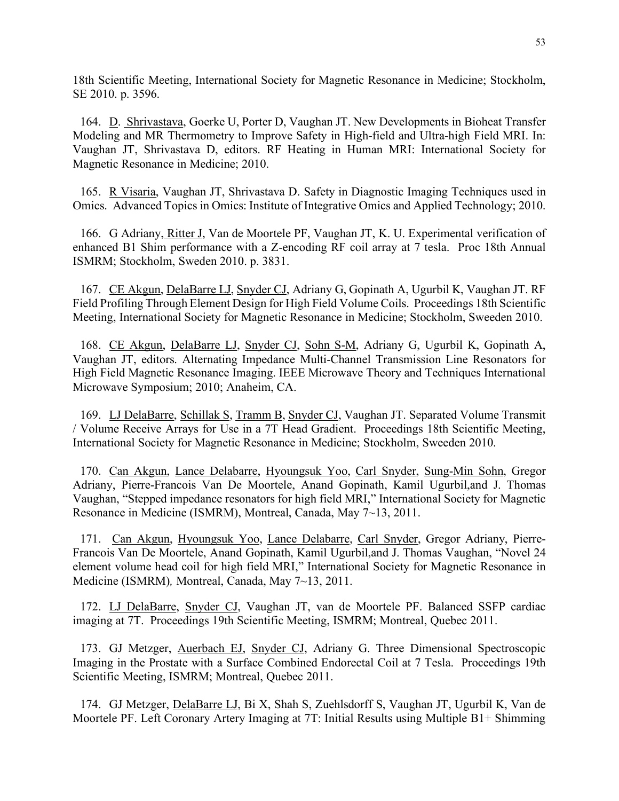18th Scientific Meeting, International Society for Magnetic Resonance in Medicine; Stockholm, SE 2010. p. 3596.

164. D. Shrivastava, Goerke U, Porter D, Vaughan JT. New Developments in Bioheat Transfer Modeling and MR Thermometry to Improve Safety in High-field and Ultra-high Field MRI. In: Vaughan JT, Shrivastava D, editors. RF Heating in Human MRI: International Society for Magnetic Resonance in Medicine; 2010.

165. R Visaria, Vaughan JT, Shrivastava D. Safety in Diagnostic Imaging Techniques used in Omics. Advanced Topics in Omics: Institute of Integrative Omics and Applied Technology; 2010.

166. G Adriany, Ritter J, Van de Moortele PF, Vaughan JT, K. U. Experimental verification of enhanced B1 Shim performance with a Z-encoding RF coil array at 7 tesla. Proc 18th Annual ISMRM; Stockholm, Sweden 2010. p. 3831.

167. CE Akgun, DelaBarre LJ, Snyder CJ, Adriany G, Gopinath A, Ugurbil K, Vaughan JT. RF Field Profiling Through Element Design for High Field Volume Coils. Proceedings 18th Scientific Meeting, International Society for Magnetic Resonance in Medicine; Stockholm, Sweeden 2010.

168. CE Akgun, DelaBarre LJ, Snyder CJ, Sohn S-M, Adriany G, Ugurbil K, Gopinath A, Vaughan JT, editors. Alternating Impedance Multi-Channel Transmission Line Resonators for High Field Magnetic Resonance Imaging. IEEE Microwave Theory and Techniques International Microwave Symposium; 2010; Anaheim, CA.

169. LJ DelaBarre, Schillak S, Tramm B, Snyder CJ, Vaughan JT. Separated Volume Transmit / Volume Receive Arrays for Use in a 7T Head Gradient. Proceedings 18th Scientific Meeting, International Society for Magnetic Resonance in Medicine; Stockholm, Sweeden 2010.

170. Can Akgun, Lance Delabarre, Hyoungsuk Yoo, Carl Snyder, Sung-Min Sohn, Gregor Adriany, Pierre-Francois Van De Moortele, Anand Gopinath, Kamil Ugurbil,and J. Thomas Vaughan, "Stepped impedance resonators for high field MRI," International Society for Magnetic Resonance in Medicine (ISMRM), Montreal, Canada, May 7~13, 2011.

171. Can Akgun, Hyoungsuk Yoo, Lance Delabarre, Carl Snyder, Gregor Adriany, Pierre-Francois Van De Moortele, Anand Gopinath, Kamil Ugurbil,and J. Thomas Vaughan, "Novel 24 element volume head coil for high field MRI," International Society for Magnetic Resonance in Medicine (ISMRM)*,* Montreal, Canada, May 7~13, 2011.

172. LJ DelaBarre, Snyder CJ, Vaughan JT, van de Moortele PF. Balanced SSFP cardiac imaging at 7T. Proceedings 19th Scientific Meeting, ISMRM; Montreal, Quebec 2011.

173. GJ Metzger, Auerbach EJ, Snyder CJ, Adriany G. Three Dimensional Spectroscopic Imaging in the Prostate with a Surface Combined Endorectal Coil at 7 Tesla. Proceedings 19th Scientific Meeting, ISMRM; Montreal, Quebec 2011.

174. GJ Metzger, DelaBarre LJ, Bi X, Shah S, Zuehlsdorff S, Vaughan JT, Ugurbil K, Van de Moortele PF. Left Coronary Artery Imaging at 7T: Initial Results using Multiple B1+ Shimming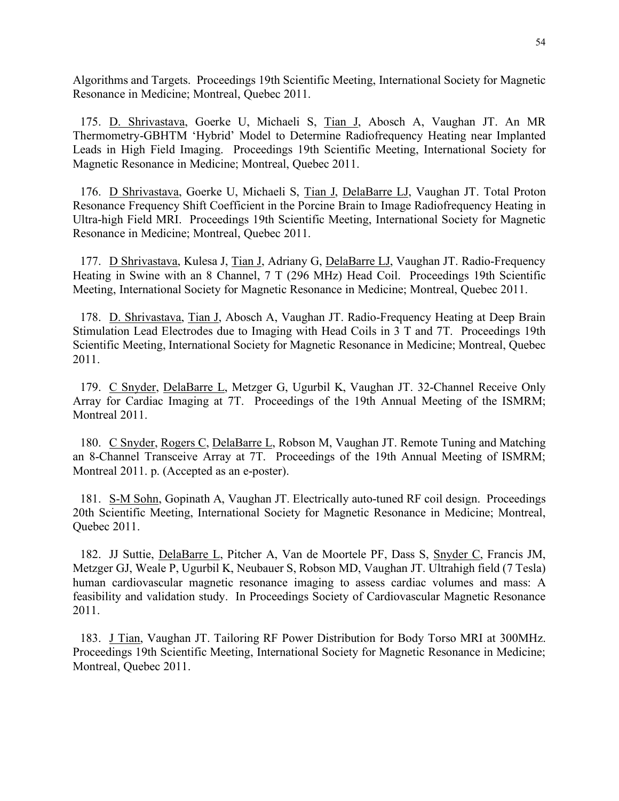Algorithms and Targets. Proceedings 19th Scientific Meeting, International Society for Magnetic Resonance in Medicine; Montreal, Quebec 2011.

175. D. Shrivastava, Goerke U, Michaeli S, Tian J, Abosch A, Vaughan JT. An MR Thermometry-GBHTM 'Hybrid' Model to Determine Radiofrequency Heating near Implanted Leads in High Field Imaging. Proceedings 19th Scientific Meeting, International Society for Magnetic Resonance in Medicine; Montreal, Quebec 2011.

176. D Shrivastava, Goerke U, Michaeli S, Tian J, DelaBarre LJ, Vaughan JT. Total Proton Resonance Frequency Shift Coefficient in the Porcine Brain to Image Radiofrequency Heating in Ultra-high Field MRI. Proceedings 19th Scientific Meeting, International Society for Magnetic Resonance in Medicine; Montreal, Quebec 2011.

177. D Shrivastava, Kulesa J, Tian J, Adriany G, DelaBarre LJ, Vaughan JT. Radio-Frequency Heating in Swine with an 8 Channel, 7 T (296 MHz) Head Coil. Proceedings 19th Scientific Meeting, International Society for Magnetic Resonance in Medicine; Montreal, Quebec 2011.

178. D. Shrivastava, Tian J, Abosch A, Vaughan JT. Radio-Frequency Heating at Deep Brain Stimulation Lead Electrodes due to Imaging with Head Coils in 3 T and 7T. Proceedings 19th Scientific Meeting, International Society for Magnetic Resonance in Medicine; Montreal, Quebec 2011.

179. C Snyder, DelaBarre L, Metzger G, Ugurbil K, Vaughan JT. 32-Channel Receive Only Array for Cardiac Imaging at 7T. Proceedings of the 19th Annual Meeting of the ISMRM; Montreal 2011.

180. C Snyder, Rogers C, DelaBarre L, Robson M, Vaughan JT. Remote Tuning and Matching an 8-Channel Transceive Array at 7T. Proceedings of the 19th Annual Meeting of ISMRM; Montreal 2011. p. (Accepted as an e-poster).

181. S-M Sohn, Gopinath A, Vaughan JT. Electrically auto-tuned RF coil design. Proceedings 20th Scientific Meeting, International Society for Magnetic Resonance in Medicine; Montreal, Quebec 2011.

182. JJ Suttie, DelaBarre L, Pitcher A, Van de Moortele PF, Dass S, Snyder C, Francis JM, Metzger GJ, Weale P, Ugurbil K, Neubauer S, Robson MD, Vaughan JT. Ultrahigh field (7 Tesla) human cardiovascular magnetic resonance imaging to assess cardiac volumes and mass: A feasibility and validation study. In Proceedings Society of Cardiovascular Magnetic Resonance 2011.

183. J Tian, Vaughan JT. Tailoring RF Power Distribution for Body Torso MRI at 300MHz. Proceedings 19th Scientific Meeting, International Society for Magnetic Resonance in Medicine; Montreal, Quebec 2011.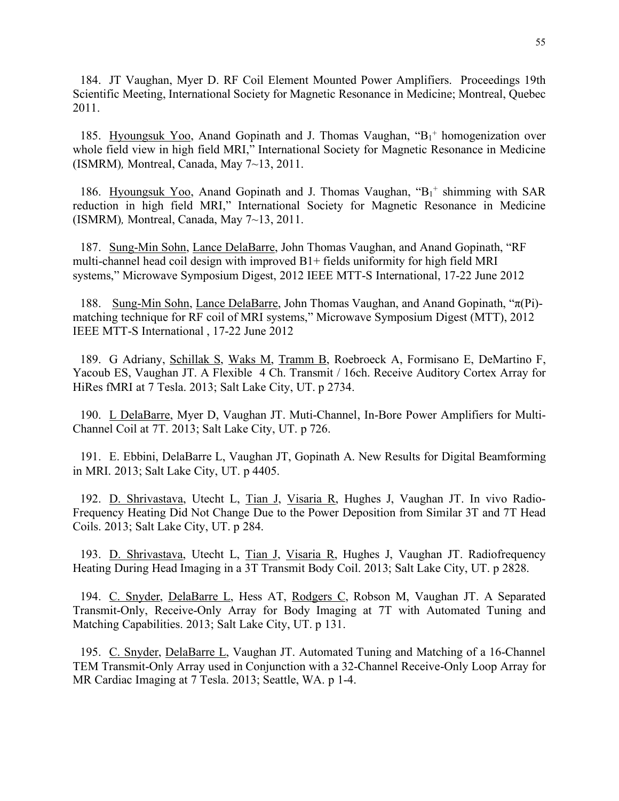184. JT Vaughan, Myer D. RF Coil Element Mounted Power Amplifiers. Proceedings 19th Scientific Meeting, International Society for Magnetic Resonance in Medicine; Montreal, Quebec 2011.

185. Hyoungsuk Yoo, Anand Gopinath and J. Thomas Vaughan, "B<sub>1</sub>+ homogenization over whole field view in high field MRI," International Society for Magnetic Resonance in Medicine (ISMRM)*,* Montreal, Canada, May 7~13, 2011.

186. Hyoungsuk Yoo, Anand Gopinath and J. Thomas Vaughan, "B<sub>1</sub>+ shimming with SAR reduction in high field MRI," International Society for Magnetic Resonance in Medicine (ISMRM)*,* Montreal, Canada, May 7~13, 2011.

187. Sung-Min Sohn, Lance DelaBarre, John Thomas Vaughan, and Anand Gopinath, "RF multi-channel head coil design with improved B1+ fields uniformity for high field MRI systems," Microwave Symposium Digest, 2012 IEEE MTT-S International, 17-22 June 2012

188. Sung-Min Sohn, Lance DelaBarre, John Thomas Vaughan, and Anand Gopinath, "π(Pi) matching technique for RF coil of MRI systems," Microwave Symposium Digest (MTT), 2012 IEEE MTT-S International , 17-22 June 2012

189. G Adriany, Schillak S, Waks M, Tramm B, Roebroeck A, Formisano E, DeMartino F, Yacoub ES, Vaughan JT. A Flexible 4 Ch. Transmit / 16ch. Receive Auditory Cortex Array for HiRes fMRI at 7 Tesla. 2013; Salt Lake City, UT. p 2734.

190. L DelaBarre, Myer D, Vaughan JT. Muti-Channel, In-Bore Power Amplifiers for Multi-Channel Coil at 7T. 2013; Salt Lake City, UT. p 726.

191. E. Ebbini, DelaBarre L, Vaughan JT, Gopinath A. New Results for Digital Beamforming in MRI. 2013; Salt Lake City, UT. p 4405.

192. D. Shrivastava, Utecht L, Tian J, Visaria R, Hughes J, Vaughan JT. In vivo Radio-Frequency Heating Did Not Change Due to the Power Deposition from Similar 3T and 7T Head Coils. 2013; Salt Lake City, UT. p 284.

193. D. Shrivastava, Utecht L, Tian J, Visaria R, Hughes J, Vaughan JT. Radiofrequency Heating During Head Imaging in a 3T Transmit Body Coil. 2013; Salt Lake City, UT. p 2828.

194. C. Snyder, DelaBarre L, Hess AT, Rodgers C, Robson M, Vaughan JT. A Separated Transmit-Only, Receive-Only Array for Body Imaging at 7T with Automated Tuning and Matching Capabilities. 2013; Salt Lake City, UT. p 131.

195. C. Snyder, DelaBarre L, Vaughan JT. Automated Tuning and Matching of a 16-Channel TEM Transmit-Only Array used in Conjunction with a 32-Channel Receive-Only Loop Array for MR Cardiac Imaging at 7 Tesla. 2013; Seattle, WA. p 1-4.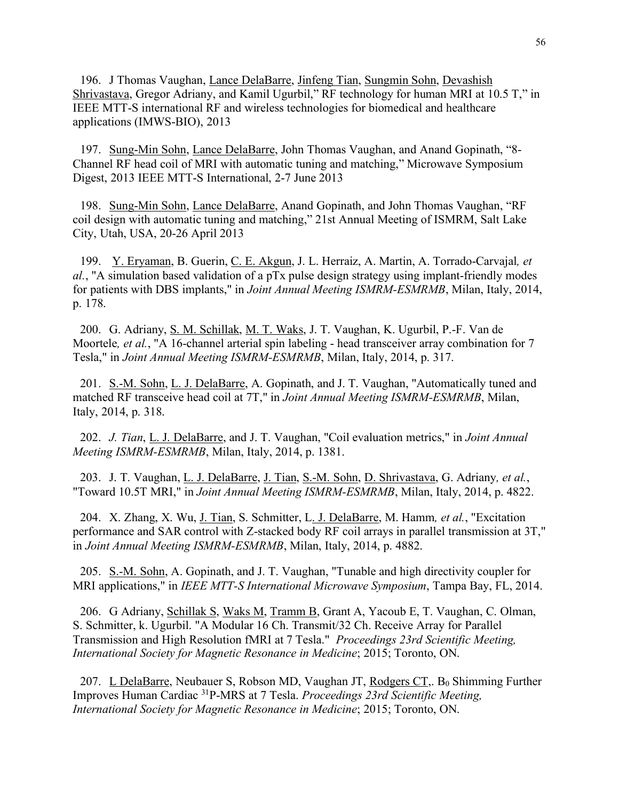196. J Thomas Vaughan, Lance DelaBarre, Jinfeng Tian, Sungmin Sohn, Devashish Shrivastava, Gregor Adriany, and Kamil Ugurbil," RF technology for human MRI at 10.5 T," in IEEE MTT-S international RF and wireless technologies for biomedical and healthcare applications (IMWS-BIO), 2013

197. Sung-Min Sohn, Lance DelaBarre, John Thomas Vaughan, and Anand Gopinath, "8- Channel RF head coil of MRI with automatic tuning and matching," Microwave Symposium Digest, 2013 IEEE MTT-S International, 2-7 June 2013

198. Sung-Min Sohn, Lance DelaBarre, Anand Gopinath, and John Thomas Vaughan, "RF coil design with automatic tuning and matching," 21st Annual Meeting of ISMRM, Salt Lake City, Utah, USA, 20-26 April 2013

199. Y. Eryaman, B. Guerin, C. E. Akgun, J. L. Herraiz, A. Martin, A. Torrado-Carvajal*, et al.*, "A simulation based validation of a pTx pulse design strategy using implant-friendly modes for patients with DBS implants," in *Joint Annual Meeting ISMRM-ESMRMB*, Milan, Italy, 2014, p. 178.

200. G. Adriany, S. M. Schillak, M. T. Waks, J. T. Vaughan, K. Ugurbil, P.-F. Van de Moortele*, et al.*, "A 16-channel arterial spin labeling - head transceiver array combination for 7 Tesla," in *Joint Annual Meeting ISMRM-ESMRMB*, Milan, Italy, 2014, p. 317.

201. S.-M. Sohn, L. J. DelaBarre, A. Gopinath, and J. T. Vaughan, "Automatically tuned and matched RF transceive head coil at 7T," in *Joint Annual Meeting ISMRM-ESMRMB*, Milan, Italy, 2014, p. 318.

202. *J. Tian*, L. J. DelaBarre, and J. T. Vaughan, "Coil evaluation metrics," in *Joint Annual Meeting ISMRM-ESMRMB*, Milan, Italy, 2014, p. 1381.

203. J. T. Vaughan, L. J. DelaBarre, J. Tian, S.-M. Sohn, D. Shrivastava, G. Adriany*, et al.*, "Toward 10.5T MRI," in *Joint Annual Meeting ISMRM-ESMRMB*, Milan, Italy, 2014, p. 4822.

204. X. Zhang, X. Wu, J. Tian, S. Schmitter, L. J. DelaBarre, M. Hamm*, et al.*, "Excitation performance and SAR control with Z-stacked body RF coil arrays in parallel transmission at 3T," in *Joint Annual Meeting ISMRM-ESMRMB*, Milan, Italy, 2014, p. 4882.

205. S.-M. Sohn, A. Gopinath, and J. T. Vaughan, "Tunable and high directivity coupler for MRI applications," in *IEEE MTT-S International Microwave Symposium*, Tampa Bay, FL, 2014.

206. G Adriany, Schillak S, Waks M, Tramm B, Grant A, Yacoub E, T. Vaughan, C. Olman, S. Schmitter, k. Ugurbil. "A Modular 16 Ch. Transmit/32 Ch. Receive Array for Parallel Transmission and High Resolution fMRI at 7 Tesla." *Proceedings 23rd Scientific Meeting, International Society for Magnetic Resonance in Medicine*; 2015; Toronto, ON.

207. L DelaBarre, Neubauer S, Robson MD, Vaughan JT, Rodgers CT, B<sub>0</sub> Shimming Further Improves Human Cardiac 31P-MRS at 7 Tesla. *Proceedings 23rd Scientific Meeting, International Society for Magnetic Resonance in Medicine*; 2015; Toronto, ON.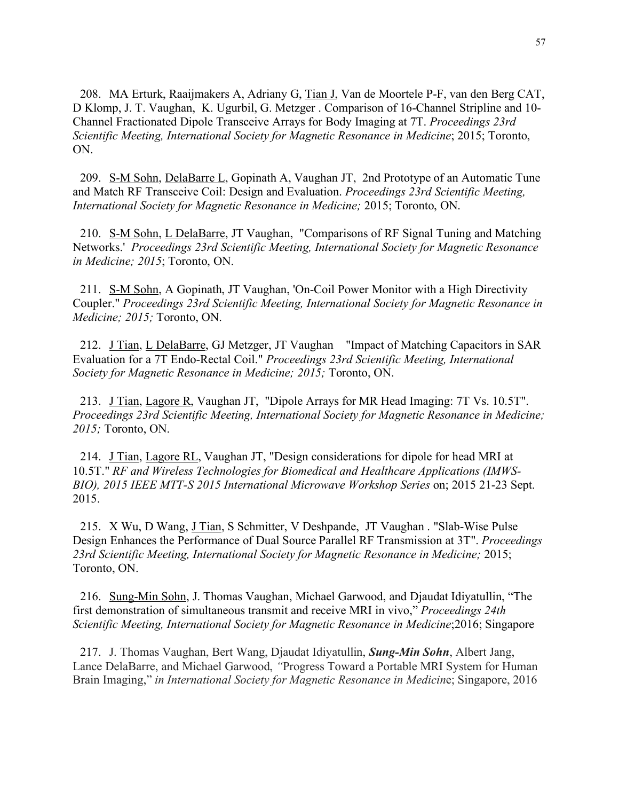208. MA Erturk, Raaijmakers A, Adriany G, Tian J, Van de Moortele P-F, van den Berg CAT, D Klomp, J. T. Vaughan, K. Ugurbil, G. Metzger . Comparison of 16-Channel Stripline and 10- Channel Fractionated Dipole Transceive Arrays for Body Imaging at 7T. *Proceedings 23rd Scientific Meeting, International Society for Magnetic Resonance in Medicine*; 2015; Toronto, ON.

209. S-M Sohn, DelaBarre L, Gopinath A, Vaughan JT, 2nd Prototype of an Automatic Tune and Match RF Transceive Coil: Design and Evaluation. *Proceedings 23rd Scientific Meeting, International Society for Magnetic Resonance in Medicine;* 2015; Toronto, ON.

210. S-M Sohn, L DelaBarre, JT Vaughan, "Comparisons of RF Signal Tuning and Matching Networks.' *Proceedings 23rd Scientific Meeting, International Society for Magnetic Resonance in Medicine; 2015*; Toronto, ON.

211. S-M Sohn, A Gopinath, JT Vaughan, 'On-Coil Power Monitor with a High Directivity Coupler." *Proceedings 23rd Scientific Meeting, International Society for Magnetic Resonance in Medicine; 2015;* Toronto, ON.

212. J Tian, L DelaBarre, GJ Metzger, JT Vaughan "Impact of Matching Capacitors in SAR Evaluation for a 7T Endo-Rectal Coil." *Proceedings 23rd Scientific Meeting, International Society for Magnetic Resonance in Medicine; 2015;* Toronto, ON.

213. J Tian, Lagore R, Vaughan JT, "Dipole Arrays for MR Head Imaging: 7T Vs. 10.5T". *Proceedings 23rd Scientific Meeting, International Society for Magnetic Resonance in Medicine; 2015;* Toronto, ON.

214. J Tian, Lagore RL, Vaughan JT, "Design considerations for dipole for head MRI at 10.5T." *RF and Wireless Technologies for Biomedical and Healthcare Applications (IMWS-BIO), 2015 IEEE MTT-S 2015 International Microwave Workshop Series* on; 2015 21-23 Sept. 2015.

215. X Wu, D Wang, J Tian, S Schmitter, V Deshpande, JT Vaughan . "Slab-Wise Pulse Design Enhances the Performance of Dual Source Parallel RF Transmission at 3T". *Proceedings 23rd Scientific Meeting, International Society for Magnetic Resonance in Medicine;* 2015; Toronto, ON.

216. Sung-Min Sohn, J. Thomas Vaughan, Michael Garwood, and Djaudat Idiyatullin, "The first demonstration of simultaneous transmit and receive MRI in vivo," *Proceedings 24th Scientific Meeting, International Society for Magnetic Resonance in Medicine*;2016; Singapore

217. J. Thomas Vaughan, Bert Wang, Djaudat Idiyatullin, *Sung-Min Sohn*, Albert Jang, Lance DelaBarre, and Michael Garwood, *"*Progress Toward a Portable MRI System for Human Brain Imaging," *in International Society for Magnetic Resonance in Medicin*e; Singapore, 2016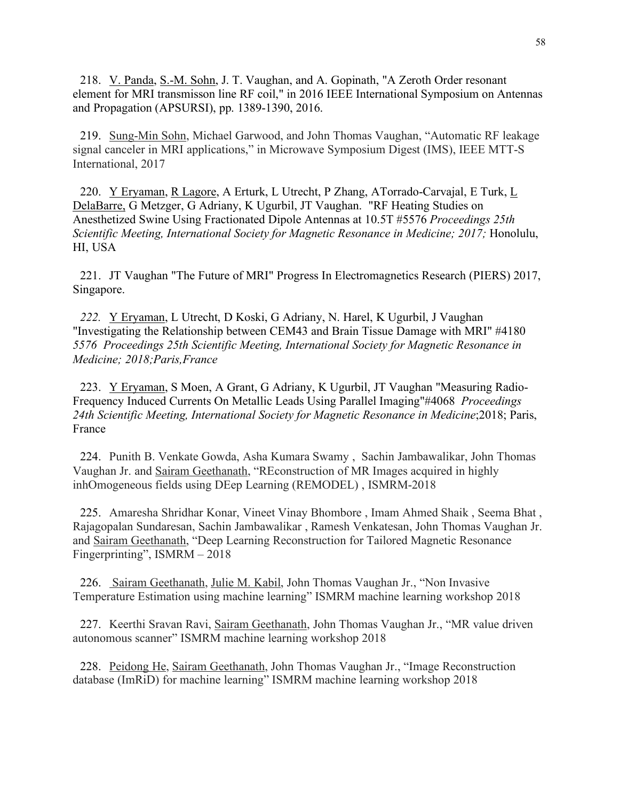218. V. Panda, S.-M. Sohn, J. T. Vaughan, and A. Gopinath, "A Zeroth Order resonant element for MRI transmisson line RF coil," in 2016 IEEE International Symposium on Antennas and Propagation (APSURSI), pp. 1389-1390, 2016.

219. Sung-Min Sohn, Michael Garwood, and John Thomas Vaughan, "Automatic RF leakage signal canceler in MRI applications," in Microwave Symposium Digest (IMS), IEEE MTT-S International, 2017

220. Y Eryaman, R Lagore, A Erturk, L Utrecht, P Zhang, ATorrado-Carvajal, E Turk, L DelaBarre, G Metzger, G Adriany, K Ugurbil, JT Vaughan. "RF Heating Studies on Anesthetized Swine Using Fractionated Dipole Antennas at 10.5T #5576 *Proceedings 25th Scientific Meeting, International Society for Magnetic Resonance in Medicine; 2017;* Honolulu, HI, USA

221. JT Vaughan "The Future of MRI" Progress In Electromagnetics Research (PIERS) 2017, Singapore.

*222.* Y Eryaman, L Utrecht, D Koski, G Adriany, N. Harel, K Ugurbil, J Vaughan "Investigating the Relationship between CEM43 and Brain Tissue Damage with MRI" #4180 *5576 Proceedings 25th Scientific Meeting, International Society for Magnetic Resonance in Medicine; 2018;Paris,France*

223. Y Eryaman, S Moen, A Grant, G Adriany, K Ugurbil, JT Vaughan "Measuring Radio-Frequency Induced Currents On Metallic Leads Using Parallel Imaging"#4068 *Proceedings 24th Scientific Meeting, International Society for Magnetic Resonance in Medicine*;2018; Paris, France

224. Punith B. Venkate Gowda, Asha Kumara Swamy , Sachin Jambawalikar, John Thomas Vaughan Jr. and Sairam Geethanath, "REconstruction of MR Images acquired in highly inhOmogeneous fields using DEep Learning (REMODEL) , ISMRM-2018

225. Amaresha Shridhar Konar, Vineet Vinay Bhombore , Imam Ahmed Shaik , Seema Bhat , Rajagopalan Sundaresan, Sachin Jambawalikar , Ramesh Venkatesan, John Thomas Vaughan Jr. and Sairam Geethanath, "Deep Learning Reconstruction for Tailored Magnetic Resonance Fingerprinting", ISMRM – 2018

226. Sairam Geethanath, Julie M. Kabil, John Thomas Vaughan Jr., "Non Invasive Temperature Estimation using machine learning" ISMRM machine learning workshop 2018

227. Keerthi Sravan Ravi, Sairam Geethanath, John Thomas Vaughan Jr., "MR value driven autonomous scanner" ISMRM machine learning workshop 2018

228. Peidong He, Sairam Geethanath, John Thomas Vaughan Jr., "Image Reconstruction database (ImRiD) for machine learning" ISMRM machine learning workshop 2018